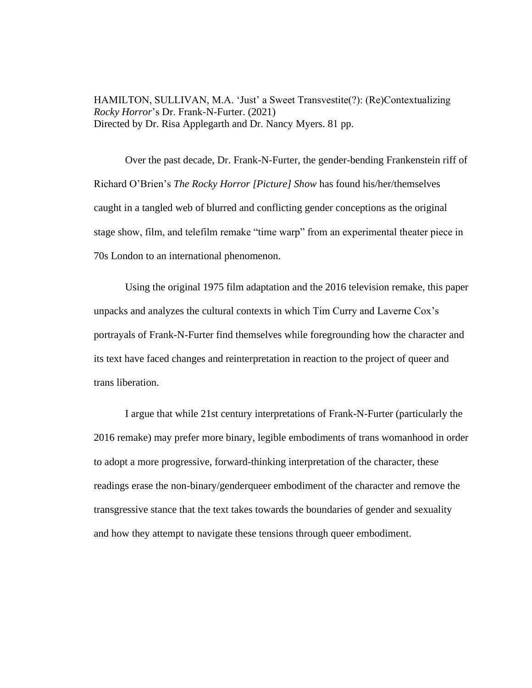HAMILTON, SULLIVAN, M.A. 'Just' a Sweet Transvestite(?): (Re)Contextualizing *Rocky Horror*'s Dr. Frank-N-Furter. (2021) Directed by Dr. Risa Applegarth and Dr. Nancy Myers. 81 pp.

Over the past decade, Dr. Frank-N-Furter, the gender-bending Frankenstein riff of Richard O'Brien's *The Rocky Horror [Picture] Show* has found his/her/themselves caught in a tangled web of blurred and conflicting gender conceptions as the original stage show, film, and telefilm remake "time warp" from an experimental theater piece in 70s London to an international phenomenon.

Using the original 1975 film adaptation and the 2016 television remake, this paper unpacks and analyzes the cultural contexts in which Tim Curry and Laverne Cox's portrayals of Frank-N-Furter find themselves while foregrounding how the character and its text have faced changes and reinterpretation in reaction to the project of queer and trans liberation.

I argue that while 21st century interpretations of Frank-N-Furter (particularly the 2016 remake) may prefer more binary, legible embodiments of trans womanhood in order to adopt a more progressive, forward-thinking interpretation of the character, these readings erase the non-binary/genderqueer embodiment of the character and remove the transgressive stance that the text takes towards the boundaries of gender and sexuality and how they attempt to navigate these tensions through queer embodiment.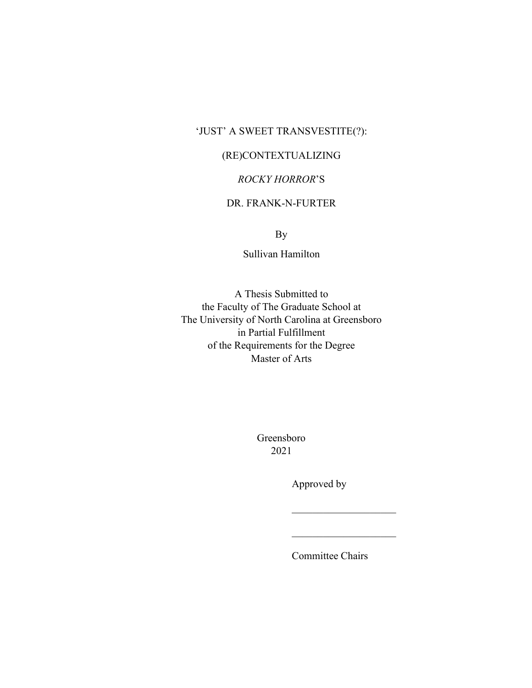#### 'JUST' A SWEET TRANSVESTITE(?):

## (RE)CONTEXTUALIZING

#### *ROCKY HORROR*'S

#### DR. FRANK-N-FURTER

By

Sullivan Hamilton

A Thesis Submitted to the Faculty of The Graduate School at The University of North Carolina at Greensboro in Partial Fulfillment of the Requirements for the Degree Master of Arts

> Greensboro 2021

> > Approved by

Committee Chairs

\_\_\_\_\_\_\_\_\_\_\_\_\_\_\_\_\_\_\_\_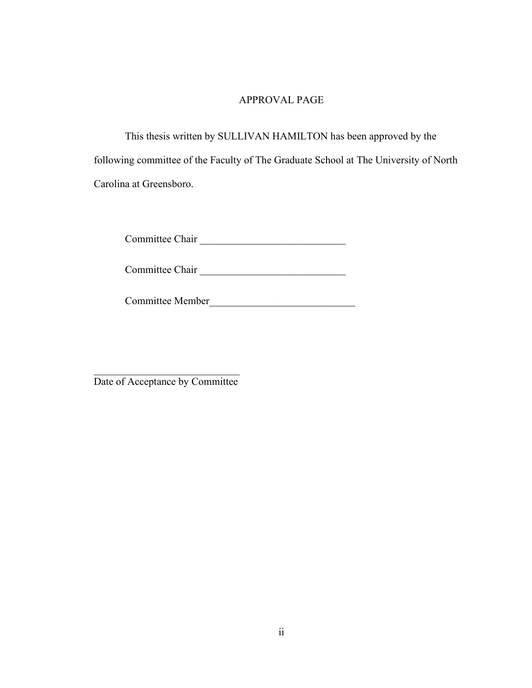#### APPROVAL PAGE

This thesis written by SULLIVAN HAMILTON has been approved by the following committee of the Faculty of The Graduate School at The University of North Carolina at Greensboro.

Committee Chair \_\_\_\_\_\_\_\_\_\_\_\_\_\_\_\_\_\_\_\_\_\_\_\_\_\_\_\_

Committee Chair \_\_\_\_\_\_\_\_\_\_\_\_\_\_\_\_\_\_\_\_\_\_\_\_\_\_\_\_

Committee Member\_\_\_\_\_\_\_\_\_\_\_\_\_\_\_\_\_\_\_\_\_\_\_\_\_\_\_\_

 $\mathcal{L}_\mathcal{L}$  , which is a set of the set of the set of the set of the set of the set of the set of the set of the set of the set of the set of the set of the set of the set of the set of the set of the set of the set of Date of Acceptance by Committee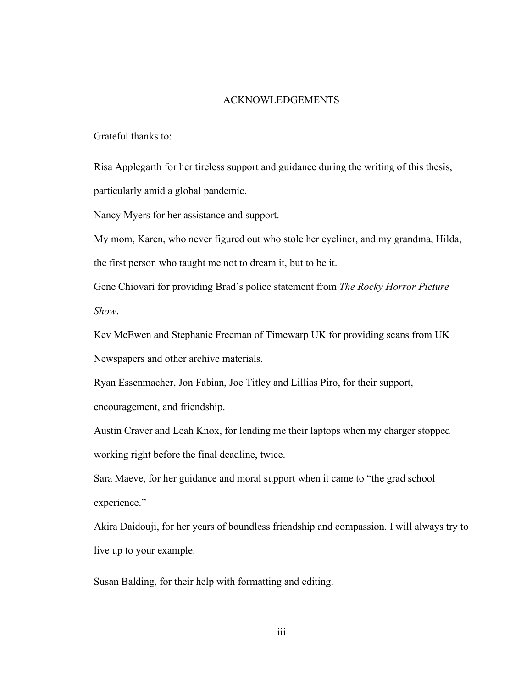#### ACKNOWLEDGEMENTS

Grateful thanks to:

Risa Applegarth for her tireless support and guidance during the writing of this thesis, particularly amid a global pandemic.

Nancy Myers for her assistance and support.

My mom, Karen, who never figured out who stole her eyeliner, and my grandma, Hilda, the first person who taught me not to dream it, but to be it.

Gene Chiovari for providing Brad's police statement from *The Rocky Horror Picture Show*.

Kev McEwen and Stephanie Freeman of Timewarp UK for providing scans from UK Newspapers and other archive materials.

Ryan Essenmacher, Jon Fabian, Joe Titley and Lillias Piro, for their support,

encouragement, and friendship.

Austin Craver and Leah Knox, for lending me their laptops when my charger stopped working right before the final deadline, twice.

Sara Maeve, for her guidance and moral support when it came to "the grad school experience."

Akira Daidouji, for her years of boundless friendship and compassion. I will always try to live up to your example.

Susan Balding, for their help with formatting and editing.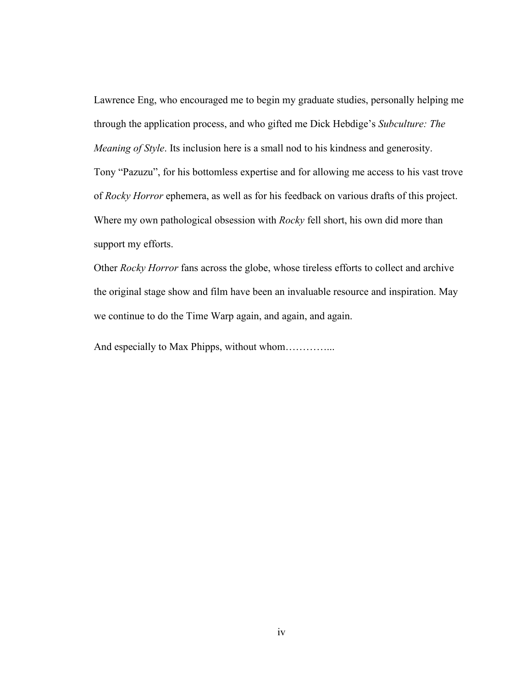Lawrence Eng, who encouraged me to begin my graduate studies, personally helping me through the application process, and who gifted me Dick Hebdige's *Subculture: The Meaning of Style*. Its inclusion here is a small nod to his kindness and generosity. Tony "Pazuzu", for his bottomless expertise and for allowing me access to his vast trove of *Rocky Horror* ephemera, as well as for his feedback on various drafts of this project. Where my own pathological obsession with *Rocky* fell short, his own did more than support my efforts.

Other *Rocky Horror* fans across the globe, whose tireless efforts to collect and archive the original stage show and film have been an invaluable resource and inspiration. May we continue to do the Time Warp again, and again, and again.

And especially to Max Phipps, without whom…………...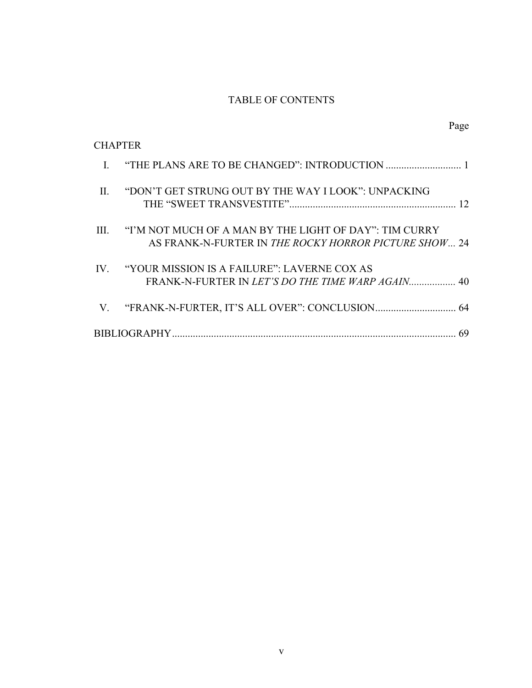### TABLE OF CONTENTS

Page

| <b>CHAPTER</b> |                                                                                                                 |
|----------------|-----------------------------------------------------------------------------------------------------------------|
|                |                                                                                                                 |
| $\Pi$ .        | "DON'T GET STRUNG OUT BY THE WAY I LOOK": UNPACKING                                                             |
| III.           | "I'M NOT MUCH OF A MAN BY THE LIGHT OF DAY": TIM CURRY<br>AS FRANK-N-FURTER IN THE ROCKY HORROR PICTURE SHOW 24 |
|                | IV. "YOUR MISSION IS A FAILURE": LAVERNE COX AS                                                                 |
|                | V. "FRANK-N-FURTER, IT'S ALL OVER": CONCLUSION 64                                                               |
| 69             |                                                                                                                 |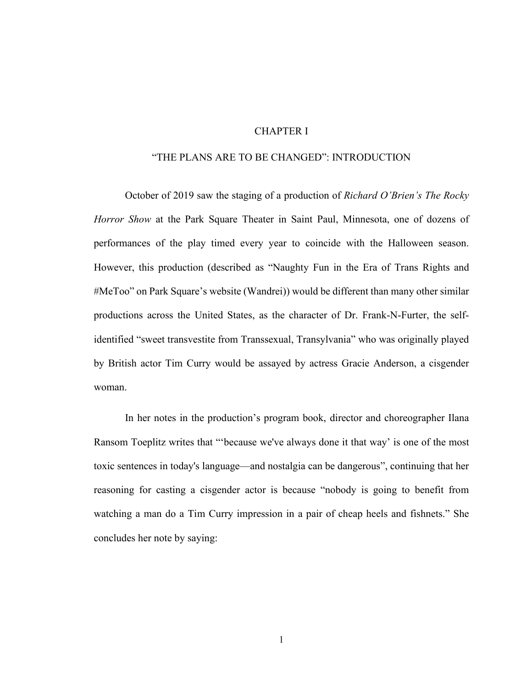#### CHAPTER I

#### "THE PLANS ARE TO BE CHANGED": INTRODUCTION

October of 2019 saw the staging of a production of *Richard O'Brien's The Rocky Horror Show* at the Park Square Theater in Saint Paul, Minnesota, one of dozens of performances of the play timed every year to coincide with the Halloween season. However, this production (described as "Naughty Fun in the Era of Trans Rights and #MeToo" on Park Square's website (Wandrei)) would be different than many other similar productions across the United States, as the character of Dr. Frank-N-Furter, the selfidentified "sweet transvestite from Transsexual, Transylvania" who was originally played by British actor Tim Curry would be assayed by actress Gracie Anderson, a cisgender woman.

In her notes in the production's program book, director and choreographer Ilana Ransom Toeplitz writes that "'because we've always done it that way' is one of the most toxic sentences in today's language—and nostalgia can be dangerous", continuing that her reasoning for casting a cisgender actor is because "nobody is going to benefit from watching a man do a Tim Curry impression in a pair of cheap heels and fishnets." She concludes her note by saying: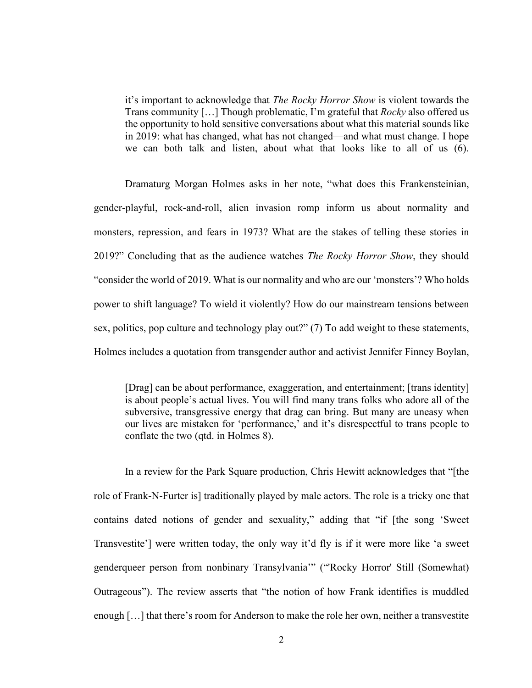it's important to acknowledge that *The Rocky Horror Show* is violent towards the Trans community […] Though problematic, I'm grateful that *Rocky* also offered us the opportunity to hold sensitive conversations about what this material sounds like in 2019: what has changed, what has not changed—and what must change. I hope we can both talk and listen, about what that looks like to all of us (6).

Dramaturg Morgan Holmes asks in her note, "what does this Frankensteinian, gender-playful, rock-and-roll, alien invasion romp inform us about normality and monsters, repression, and fears in 1973? What are the stakes of telling these stories in 2019?" Concluding that as the audience watches *The Rocky Horror Show*, they should "consider the world of 2019. What is our normality and who are our 'monsters'? Who holds power to shift language? To wield it violently? How do our mainstream tensions between sex, politics, pop culture and technology play out?" (7) To add weight to these statements, Holmes includes a quotation from transgender author and activist Jennifer Finney Boylan,

[Drag] can be about performance, exaggeration, and entertainment; [trans identity] is about people's actual lives. You will find many trans folks who adore all of the subversive, transgressive energy that drag can bring. But many are uneasy when our lives are mistaken for 'performance,' and it's disrespectful to trans people to conflate the two (qtd. in Holmes 8).

In a review for the Park Square production, Chris Hewitt acknowledges that "[the role of Frank-N-Furter is] traditionally played by male actors. The role is a tricky one that contains dated notions of gender and sexuality," adding that "if [the song 'Sweet Transvestite'] were written today, the only way it'd fly is if it were more like 'a sweet genderqueer person from nonbinary Transylvania'" ("'Rocky Horror' Still (Somewhat) Outrageous"). The review asserts that "the notion of how Frank identifies is muddled enough […] that there's room for Anderson to make the role her own, neither a transvestite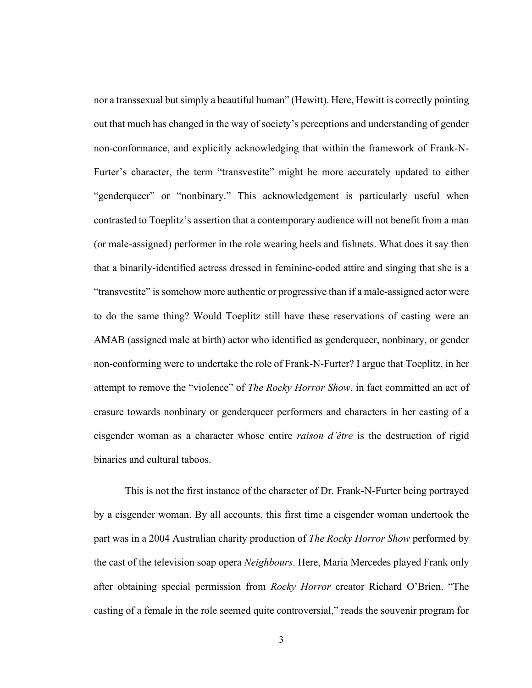nor a transsexual but simply a beautiful human" (Hewitt). Here, Hewitt is correctly pointing out that much has changed in the way of society's perceptions and understanding of gender non-conformance, and explicitly acknowledging that within the framework of Frank-N-Furter's character, the term "transvestite" might be more accurately updated to either "genderqueer" or "nonbinary." This acknowledgement is particularly useful when contrasted to Toeplitz's assertion that a contemporary audience will not benefit from a man (or male-assigned) performer in the role wearing heels and fishnets. What does it say then that a binarily-identified actress dressed in feminine-coded attire and singing that she is a "transvestite" is somehow more authentic or progressive than if a male-assigned actor were to do the same thing? Would Toeplitz still have these reservations of casting were an AMAB (assigned male at birth) actor who identified as genderqueer, nonbinary, or gender non-conforming were to undertake the role of Frank-N-Furter? I argue that Toeplitz, in her attempt to remove the "violence" of *The Rocky Horror Show*, in fact committed an act of erasure towards nonbinary or genderqueer performers and characters in her casting of a cisgender woman as a character whose entire *raison d'être* is the destruction of rigid binaries and cultural taboos.

This is not the first instance of the character of Dr. Frank-N-Furter being portrayed by a cisgender woman. By all accounts, this first time a cisgender woman undertook the part was in a 2004 Australian charity production of *The Rocky Horror Show* performed by the cast of the television soap opera *Neighbours*. Here, Maria Mercedes played Frank only after obtaining special permission from *Rocky Horror* creator Richard O'Brien. "The casting of a female in the role seemed quite controversial," reads the souvenir program for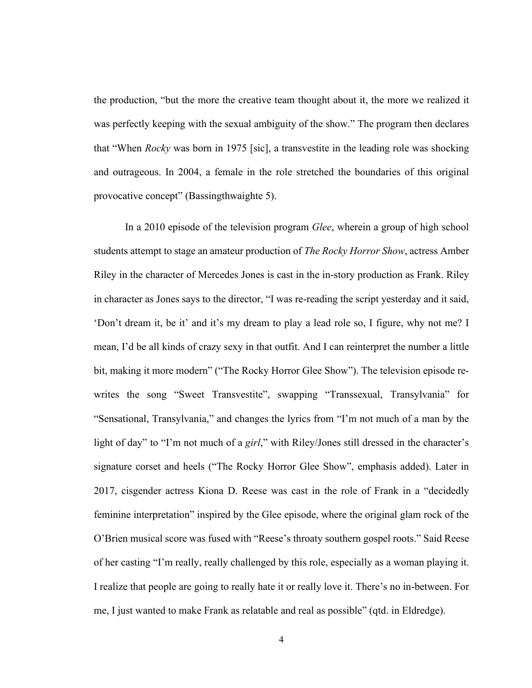the production, "but the more the creative team thought about it, the more we realized it was perfectly keeping with the sexual ambiguity of the show." The program then declares that "When *Rocky* was born in 1975 [sic], a transvestite in the leading role was shocking and outrageous. In 2004, a female in the role stretched the boundaries of this original provocative concept" (Bassingthwaighte 5).

In a 2010 episode of the television program *Glee*, wherein a group of high school students attempt to stage an amateur production of *The Rocky Horror Show*, actress Amber Riley in the character of Mercedes Jones is cast in the in-story production as Frank. Riley in character as Jones says to the director, "I was re-reading the script yesterday and it said, 'Don't dream it, be it' and it's my dream to play a lead role so, I figure, why not me? I mean, I'd be all kinds of crazy sexy in that outfit. And I can reinterpret the number a little bit, making it more modern" ("The Rocky Horror Glee Show"). The television episode rewrites the song "Sweet Transvestite", swapping "Transsexual, Transylvania" for "Sensational, Transylvania," and changes the lyrics from "I'm not much of a man by the light of day" to "I'm not much of a *girl*," with Riley/Jones still dressed in the character's signature corset and heels ("The Rocky Horror Glee Show", emphasis added). Later in 2017, cisgender actress Kiona D. Reese was cast in the role of Frank in a "decidedly feminine interpretation" inspired by the Glee episode, where the original glam rock of the O'Brien musical score was fused with "Reese's throaty southern gospel roots." Said Reese of her casting "I'm really, really challenged by this role, especially as a woman playing it. I realize that people are going to really hate it or really love it. There's no in-between. For me, I just wanted to make Frank as relatable and real as possible" (qtd. in Eldredge).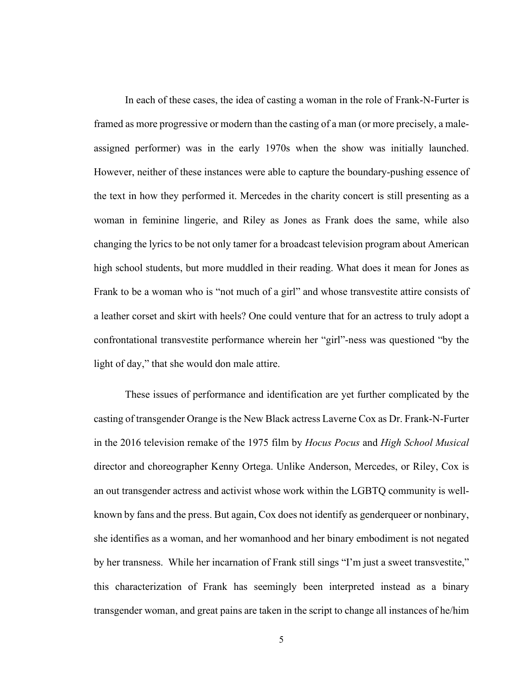In each of these cases, the idea of casting a woman in the role of Frank-N-Furter is framed as more progressive or modern than the casting of a man (or more precisely, a maleassigned performer) was in the early 1970s when the show was initially launched. However, neither of these instances were able to capture the boundary-pushing essence of the text in how they performed it. Mercedes in the charity concert is still presenting as a woman in feminine lingerie, and Riley as Jones as Frank does the same, while also changing the lyrics to be not only tamer for a broadcast television program about American high school students, but more muddled in their reading. What does it mean for Jones as Frank to be a woman who is "not much of a girl" and whose transvestite attire consists of a leather corset and skirt with heels? One could venture that for an actress to truly adopt a confrontational transvestite performance wherein her "girl"-ness was questioned "by the light of day," that she would don male attire.

These issues of performance and identification are yet further complicated by the casting of transgender Orange is the New Black actress Laverne Cox as Dr. Frank-N-Furter in the 2016 television remake of the 1975 film by *Hocus Pocus* and *High School Musical* director and choreographer Kenny Ortega. Unlike Anderson, Mercedes, or Riley, Cox is an out transgender actress and activist whose work within the LGBTQ community is wellknown by fans and the press. But again, Cox does not identify as genderqueer or nonbinary, she identifies as a woman, and her womanhood and her binary embodiment is not negated by her transness. While her incarnation of Frank still sings "I'm just a sweet transvestite," this characterization of Frank has seemingly been interpreted instead as a binary transgender woman, and great pains are taken in the script to change all instances of he/him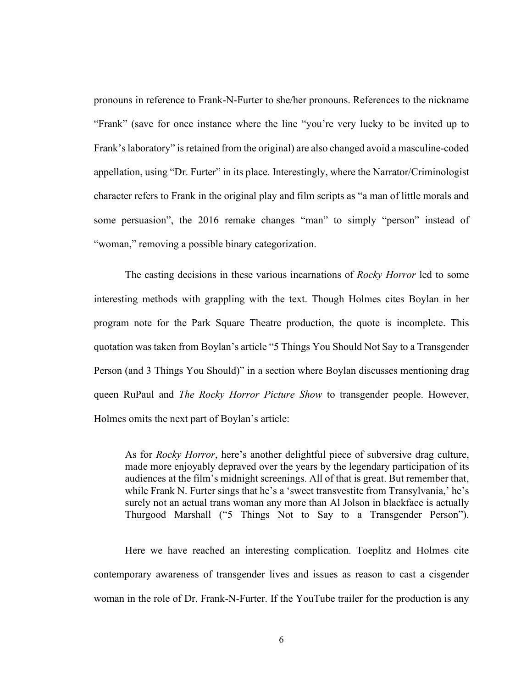pronouns in reference to Frank-N-Furter to she/her pronouns. References to the nickname "Frank" (save for once instance where the line "you're very lucky to be invited up to Frank's laboratory" is retained from the original) are also changed avoid a masculine-coded appellation, using "Dr. Furter" in its place. Interestingly, where the Narrator/Criminologist character refers to Frank in the original play and film scripts as "a man of little morals and some persuasion", the 2016 remake changes "man" to simply "person" instead of "woman," removing a possible binary categorization.

The casting decisions in these various incarnations of *Rocky Horror* led to some interesting methods with grappling with the text. Though Holmes cites Boylan in her program note for the Park Square Theatre production, the quote is incomplete. This quotation was taken from Boylan's article "5 Things You Should Not Say to a Transgender Person (and 3 Things You Should)" in a section where Boylan discusses mentioning drag queen RuPaul and *The Rocky Horror Picture Show* to transgender people. However, Holmes omits the next part of Boylan's article:

As for *Rocky Horror*, here's another delightful piece of subversive drag culture, made more enjoyably depraved over the years by the legendary participation of its audiences at the film's midnight screenings. All of that is great. But remember that, while Frank N. Furter sings that he's a 'sweet transvestite from Transylvania,' he's surely not an actual trans woman any more than Al Jolson in blackface is actually Thurgood Marshall ("5 Things Not to Say to a Transgender Person").

Here we have reached an interesting complication. Toeplitz and Holmes cite contemporary awareness of transgender lives and issues as reason to cast a cisgender woman in the role of Dr. Frank-N-Furter. If the YouTube trailer for the production is any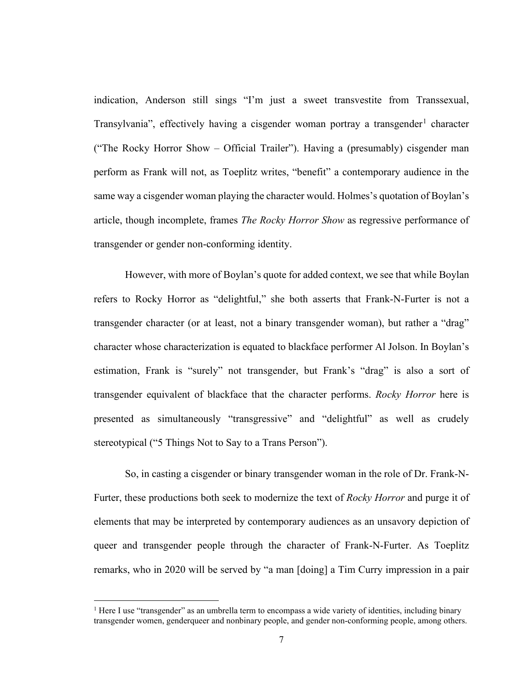indication, Anderson still sings "I'm just a sweet transvestite from Transsexual, Transylvania", effectively having a cisgender woman portray a transgender<sup>[1](#page-12-0)</sup> character ("The Rocky Horror Show – Official Trailer"). Having a (presumably) cisgender man perform as Frank will not, as Toeplitz writes, "benefit" a contemporary audience in the same way a cisgender woman playing the character would. Holmes's quotation of Boylan's article, though incomplete, frames *The Rocky Horror Show* as regressive performance of transgender or gender non-conforming identity.

However, with more of Boylan's quote for added context, we see that while Boylan refers to Rocky Horror as "delightful," she both asserts that Frank-N-Furter is not a transgender character (or at least, not a binary transgender woman), but rather a "drag" character whose characterization is equated to blackface performer Al Jolson. In Boylan's estimation, Frank is "surely" not transgender, but Frank's "drag" is also a sort of transgender equivalent of blackface that the character performs. *Rocky Horror* here is presented as simultaneously "transgressive" and "delightful" as well as crudely stereotypical ("5 Things Not to Say to a Trans Person").

So, in casting a cisgender or binary transgender woman in the role of Dr. Frank-N-Furter, these productions both seek to modernize the text of *Rocky Horror* and purge it of elements that may be interpreted by contemporary audiences as an unsavory depiction of queer and transgender people through the character of Frank-N-Furter. As Toeplitz remarks, who in 2020 will be served by "a man [doing] a Tim Curry impression in a pair

<span id="page-12-0"></span><sup>&</sup>lt;sup>1</sup> Here I use "transgender" as an umbrella term to encompass a wide variety of identities, including binary transgender women, genderqueer and nonbinary people, and gender non-conforming people, among others.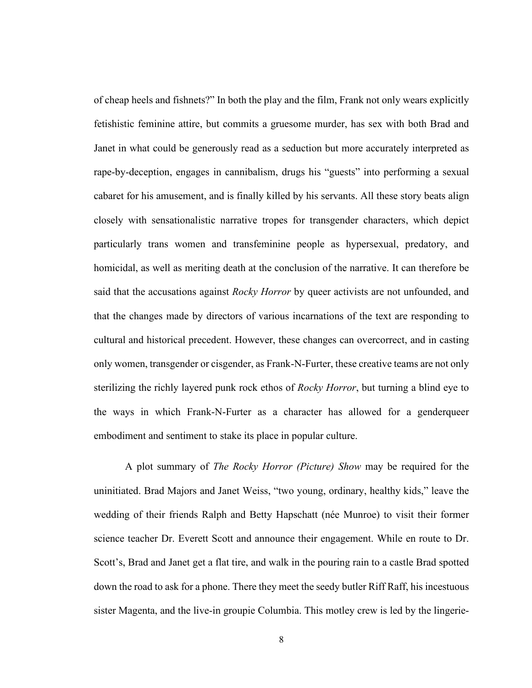of cheap heels and fishnets?" In both the play and the film, Frank not only wears explicitly fetishistic feminine attire, but commits a gruesome murder, has sex with both Brad and Janet in what could be generously read as a seduction but more accurately interpreted as rape-by-deception, engages in cannibalism, drugs his "guests" into performing a sexual cabaret for his amusement, and is finally killed by his servants. All these story beats align closely with sensationalistic narrative tropes for transgender characters, which depict particularly trans women and transfeminine people as hypersexual, predatory, and homicidal, as well as meriting death at the conclusion of the narrative. It can therefore be said that the accusations against *Rocky Horror* by queer activists are not unfounded, and that the changes made by directors of various incarnations of the text are responding to cultural and historical precedent. However, these changes can overcorrect, and in casting only women, transgender or cisgender, as Frank-N-Furter, these creative teams are not only sterilizing the richly layered punk rock ethos of *Rocky Horror*, but turning a blind eye to the ways in which Frank-N-Furter as a character has allowed for a genderqueer embodiment and sentiment to stake its place in popular culture.

A plot summary of *The Rocky Horror (Picture) Show* may be required for the uninitiated. Brad Majors and Janet Weiss, "two young, ordinary, healthy kids," leave the wedding of their friends Ralph and Betty Hapschatt (née Munroe) to visit their former science teacher Dr. Everett Scott and announce their engagement. While en route to Dr. Scott's, Brad and Janet get a flat tire, and walk in the pouring rain to a castle Brad spotted down the road to ask for a phone. There they meet the seedy butler Riff Raff, his incestuous sister Magenta, and the live-in groupie Columbia. This motley crew is led by the lingerie-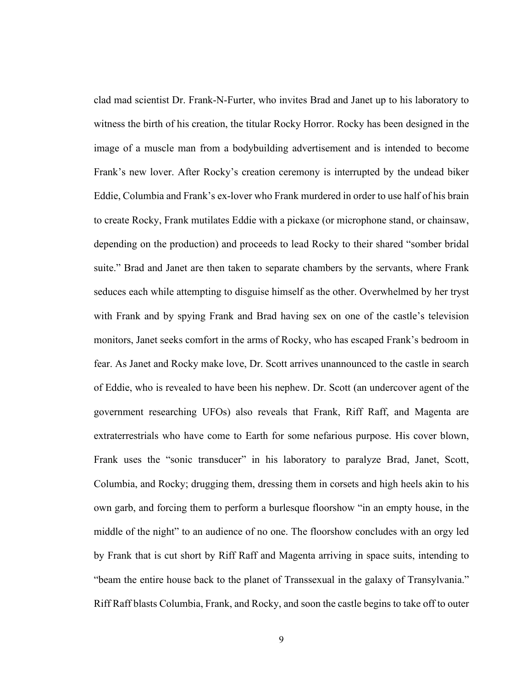clad mad scientist Dr. Frank-N-Furter, who invites Brad and Janet up to his laboratory to witness the birth of his creation, the titular Rocky Horror. Rocky has been designed in the image of a muscle man from a bodybuilding advertisement and is intended to become Frank's new lover. After Rocky's creation ceremony is interrupted by the undead biker Eddie, Columbia and Frank's ex-lover who Frank murdered in order to use half of his brain to create Rocky, Frank mutilates Eddie with a pickaxe (or microphone stand, or chainsaw, depending on the production) and proceeds to lead Rocky to their shared "somber bridal suite." Brad and Janet are then taken to separate chambers by the servants, where Frank seduces each while attempting to disguise himself as the other. Overwhelmed by her tryst with Frank and by spying Frank and Brad having sex on one of the castle's television monitors, Janet seeks comfort in the arms of Rocky, who has escaped Frank's bedroom in fear. As Janet and Rocky make love, Dr. Scott arrives unannounced to the castle in search of Eddie, who is revealed to have been his nephew. Dr. Scott (an undercover agent of the government researching UFOs) also reveals that Frank, Riff Raff, and Magenta are extraterrestrials who have come to Earth for some nefarious purpose. His cover blown, Frank uses the "sonic transducer" in his laboratory to paralyze Brad, Janet, Scott, Columbia, and Rocky; drugging them, dressing them in corsets and high heels akin to his own garb, and forcing them to perform a burlesque floorshow "in an empty house, in the middle of the night" to an audience of no one. The floorshow concludes with an orgy led by Frank that is cut short by Riff Raff and Magenta arriving in space suits, intending to "beam the entire house back to the planet of Transsexual in the galaxy of Transylvania." Riff Raff blasts Columbia, Frank, and Rocky, and soon the castle begins to take off to outer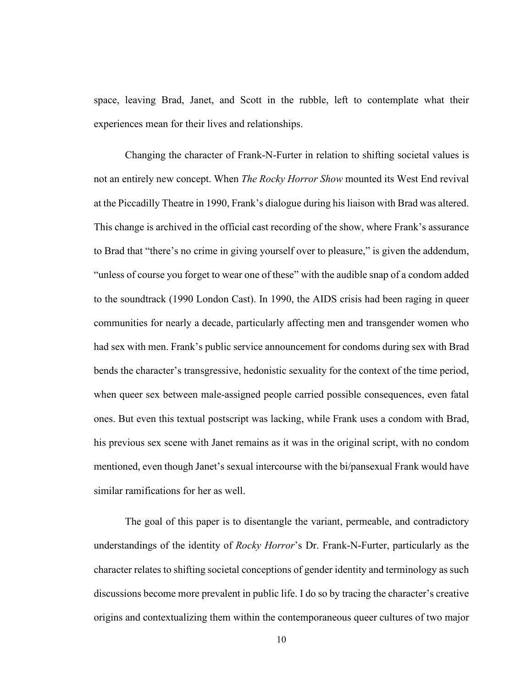space, leaving Brad, Janet, and Scott in the rubble, left to contemplate what their experiences mean for their lives and relationships.

Changing the character of Frank-N-Furter in relation to shifting societal values is not an entirely new concept. When *The Rocky Horror Show* mounted its West End revival at the Piccadilly Theatre in 1990, Frank's dialogue during his liaison with Brad was altered. This change is archived in the official cast recording of the show, where Frank's assurance to Brad that "there's no crime in giving yourself over to pleasure," is given the addendum, "unless of course you forget to wear one of these" with the audible snap of a condom added to the soundtrack (1990 London Cast). In 1990, the AIDS crisis had been raging in queer communities for nearly a decade, particularly affecting men and transgender women who had sex with men. Frank's public service announcement for condoms during sex with Brad bends the character's transgressive, hedonistic sexuality for the context of the time period, when queer sex between male-assigned people carried possible consequences, even fatal ones. But even this textual postscript was lacking, while Frank uses a condom with Brad, his previous sex scene with Janet remains as it was in the original script, with no condom mentioned, even though Janet's sexual intercourse with the bi/pansexual Frank would have similar ramifications for her as well.

The goal of this paper is to disentangle the variant, permeable, and contradictory understandings of the identity of *Rocky Horror*'s Dr. Frank-N-Furter, particularly as the character relates to shifting societal conceptions of gender identity and terminology as such discussions become more prevalent in public life. I do so by tracing the character's creative origins and contextualizing them within the contemporaneous queer cultures of two major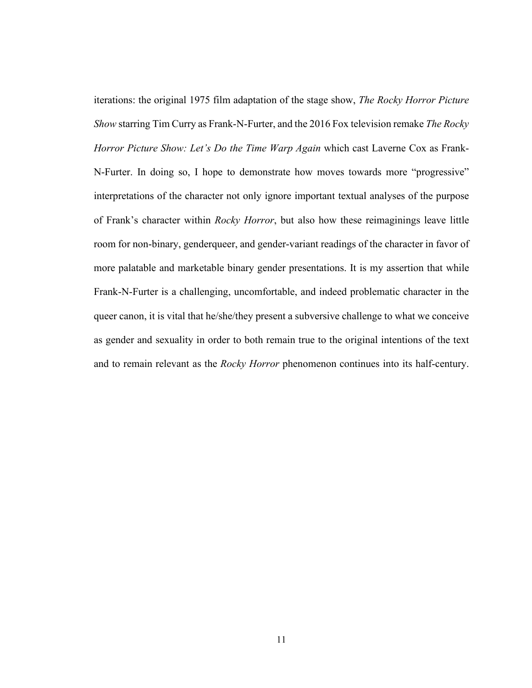iterations: the original 1975 film adaptation of the stage show, *The Rocky Horror Picture Show* starring Tim Curry as Frank-N-Furter, and the 2016 Fox television remake *The Rocky Horror Picture Show: Let's Do the Time Warp Again* which cast Laverne Cox as Frank-N-Furter. In doing so, I hope to demonstrate how moves towards more "progressive" interpretations of the character not only ignore important textual analyses of the purpose of Frank's character within *Rocky Horror*, but also how these reimaginings leave little room for non-binary, genderqueer, and gender-variant readings of the character in favor of more palatable and marketable binary gender presentations. It is my assertion that while Frank-N-Furter is a challenging, uncomfortable, and indeed problematic character in the queer canon, it is vital that he/she/they present a subversive challenge to what we conceive as gender and sexuality in order to both remain true to the original intentions of the text and to remain relevant as the *Rocky Horror* phenomenon continues into its half-century.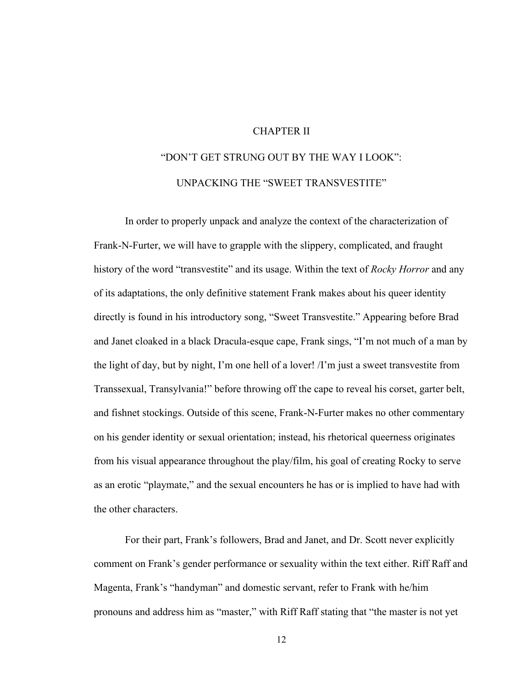#### CHAPTER II

## "DON'T GET STRUNG OUT BY THE WAY I LOOK": UNPACKING THE "SWEET TRANSVESTITE"

In order to properly unpack and analyze the context of the characterization of Frank-N-Furter, we will have to grapple with the slippery, complicated, and fraught history of the word "transvestite" and its usage. Within the text of *Rocky Horror* and any of its adaptations, the only definitive statement Frank makes about his queer identity directly is found in his introductory song, "Sweet Transvestite." Appearing before Brad and Janet cloaked in a black Dracula-esque cape, Frank sings, "I'm not much of a man by the light of day, but by night, I'm one hell of a lover! /I'm just a sweet transvestite from Transsexual, Transylvania!" before throwing off the cape to reveal his corset, garter belt, and fishnet stockings. Outside of this scene, Frank-N-Furter makes no other commentary on his gender identity or sexual orientation; instead, his rhetorical queerness originates from his visual appearance throughout the play/film, his goal of creating Rocky to serve as an erotic "playmate," and the sexual encounters he has or is implied to have had with the other characters.

For their part, Frank's followers, Brad and Janet, and Dr. Scott never explicitly comment on Frank's gender performance or sexuality within the text either. Riff Raff and Magenta, Frank's "handyman" and domestic servant, refer to Frank with he/him pronouns and address him as "master," with Riff Raff stating that "the master is not yet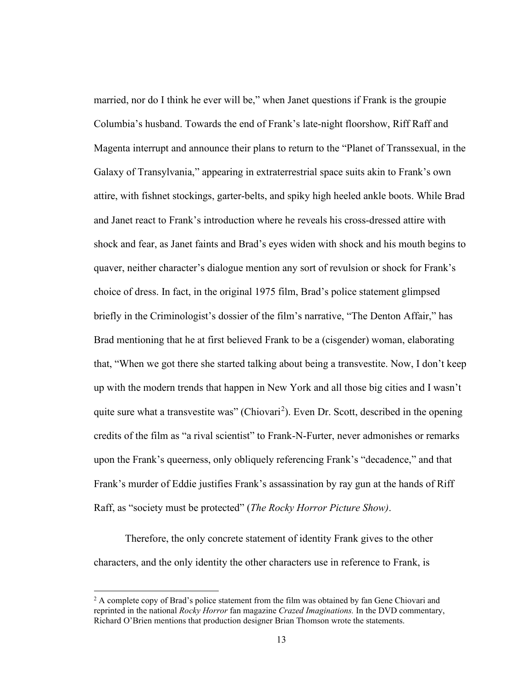married, nor do I think he ever will be," when Janet questions if Frank is the groupie Columbia's husband. Towards the end of Frank's late-night floorshow, Riff Raff and Magenta interrupt and announce their plans to return to the "Planet of Transsexual, in the Galaxy of Transylvania," appearing in extraterrestrial space suits akin to Frank's own attire, with fishnet stockings, garter-belts, and spiky high heeled ankle boots. While Brad and Janet react to Frank's introduction where he reveals his cross-dressed attire with shock and fear, as Janet faints and Brad's eyes widen with shock and his mouth begins to quaver, neither character's dialogue mention any sort of revulsion or shock for Frank's choice of dress. In fact, in the original 1975 film, Brad's police statement glimpsed briefly in the Criminologist's dossier of the film's narrative, "The Denton Affair," has Brad mentioning that he at first believed Frank to be a (cisgender) woman, elaborating that, "When we got there she started talking about being a transvestite. Now, I don't keep up with the modern trends that happen in New York and all those big cities and I wasn't quite sure what a transvestite was" (Chiovari<sup>[2](#page-18-0)</sup>). Even Dr. Scott, described in the opening credits of the film as "a rival scientist" to Frank-N-Furter, never admonishes or remarks upon the Frank's queerness, only obliquely referencing Frank's "decadence," and that Frank's murder of Eddie justifies Frank's assassination by ray gun at the hands of Riff Raff, as "society must be protected" (*The Rocky Horror Picture Show)*.

Therefore, the only concrete statement of identity Frank gives to the other characters, and the only identity the other characters use in reference to Frank, is

<span id="page-18-0"></span> $2A$  complete copy of Brad's police statement from the film was obtained by fan Gene Chiovari and reprinted in the national *Rocky Horror* fan magazine *Crazed Imaginations.* In the DVD commentary, Richard O'Brien mentions that production designer Brian Thomson wrote the statements.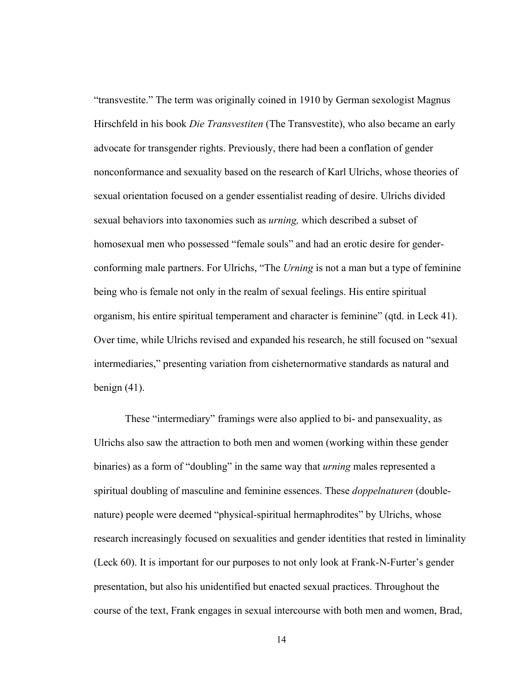"transvestite." The term was originally coined in 1910 by German sexologist Magnus Hirschfeld in his book *Die Transvestiten* (The Transvestite), who also became an early advocate for transgender rights. Previously, there had been a conflation of gender nonconformance and sexuality based on the research of Karl Ulrichs, whose theories of sexual orientation focused on a gender essentialist reading of desire. Ulrichs divided sexual behaviors into taxonomies such as *urning,* which described a subset of homosexual men who possessed "female souls" and had an erotic desire for genderconforming male partners. For Ulrichs, "The *Urning* is not a man but a type of feminine being who is female not only in the realm of sexual feelings. His entire spiritual organism, his entire spiritual temperament and character is feminine" (qtd. in Leck 41). Over time, while Ulrichs revised and expanded his research, he still focused on "sexual intermediaries," presenting variation from cisheternormative standards as natural and benign  $(41)$ .

These "intermediary" framings were also applied to bi- and pansexuality, as Ulrichs also saw the attraction to both men and women (working within these gender binaries) as a form of "doubling" in the same way that *urning* males represented a spiritual doubling of masculine and feminine essences. These *doppelnaturen* (doublenature) people were deemed "physical-spiritual hermaphrodites" by Ulrichs, whose research increasingly focused on sexualities and gender identities that rested in liminality (Leck 60). It is important for our purposes to not only look at Frank-N-Furter's gender presentation, but also his unidentified but enacted sexual practices. Throughout the course of the text, Frank engages in sexual intercourse with both men and women, Brad,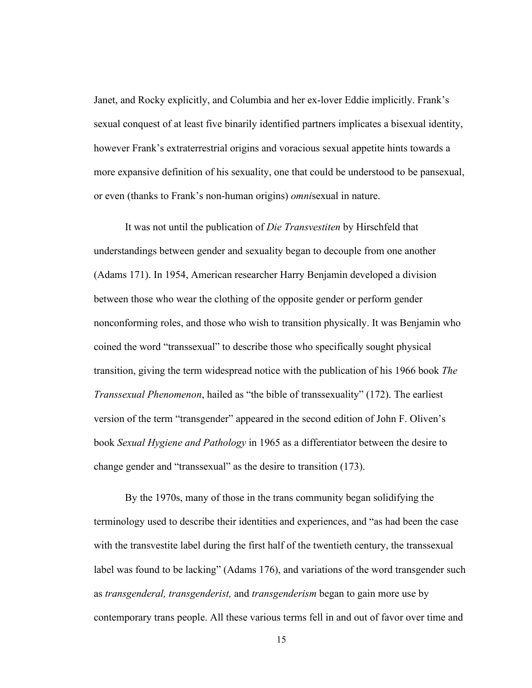Janet, and Rocky explicitly, and Columbia and her ex-lover Eddie implicitly. Frank's sexual conquest of at least five binarily identified partners implicates a bisexual identity, however Frank's extraterrestrial origins and voracious sexual appetite hints towards a more expansive definition of his sexuality, one that could be understood to be pansexual, or even (thanks to Frank's non-human origins) *omni*sexual in nature.

It was not until the publication of *Die Transvestiten* by Hirschfeld that understandings between gender and sexuality began to decouple from one another (Adams 171). In 1954, American researcher Harry Benjamin developed a division between those who wear the clothing of the opposite gender or perform gender nonconforming roles, and those who wish to transition physically. It was Benjamin who coined the word "transsexual" to describe those who specifically sought physical transition, giving the term widespread notice with the publication of his 1966 book *The Transsexual Phenomenon*, hailed as "the bible of transsexuality" (172). The earliest version of the term "transgender" appeared in the second edition of John F. Oliven's book *Sexual Hygiene and Pathology* in 1965 as a differentiator between the desire to change gender and "transsexual" as the desire to transition (173).

By the 1970s, many of those in the trans community began solidifying the terminology used to describe their identities and experiences, and "as had been the case with the transvestite label during the first half of the twentieth century, the transsexual label was found to be lacking" (Adams 176), and variations of the word transgender such as *transgenderal, transgenderist,* and *transgenderism* began to gain more use by contemporary trans people. All these various terms fell in and out of favor over time and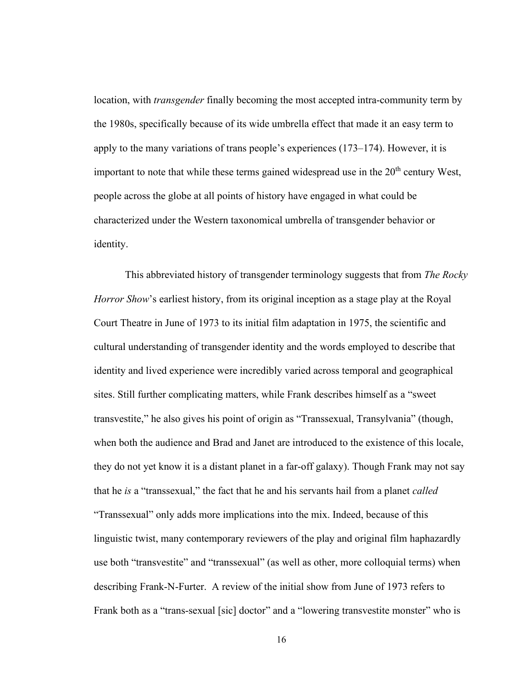location, with *transgender* finally becoming the most accepted intra-community term by the 1980s, specifically because of its wide umbrella effect that made it an easy term to apply to the many variations of trans people's experiences (173–174). However, it is important to note that while these terms gained widespread use in the  $20<sup>th</sup>$  century West, people across the globe at all points of history have engaged in what could be characterized under the Western taxonomical umbrella of transgender behavior or identity.

This abbreviated history of transgender terminology suggests that from *The Rocky Horror Show*'s earliest history, from its original inception as a stage play at the Royal Court Theatre in June of 1973 to its initial film adaptation in 1975, the scientific and cultural understanding of transgender identity and the words employed to describe that identity and lived experience were incredibly varied across temporal and geographical sites. Still further complicating matters, while Frank describes himself as a "sweet transvestite," he also gives his point of origin as "Transsexual, Transylvania" (though, when both the audience and Brad and Janet are introduced to the existence of this locale, they do not yet know it is a distant planet in a far-off galaxy). Though Frank may not say that he *is* a "transsexual," the fact that he and his servants hail from a planet *called* "Transsexual" only adds more implications into the mix. Indeed, because of this linguistic twist, many contemporary reviewers of the play and original film haphazardly use both "transvestite" and "transsexual" (as well as other, more colloquial terms) when describing Frank-N-Furter. A review of the initial show from June of 1973 refers to Frank both as a "trans-sexual [sic] doctor" and a "lowering transvestite monster" who is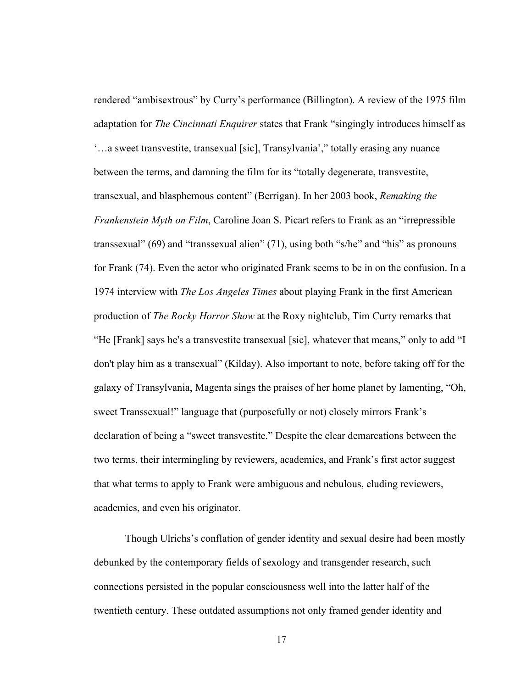rendered "ambisextrous" by Curry's performance (Billington). A review of the 1975 film adaptation for *The Cincinnati Enquirer* states that Frank "singingly introduces himself as '…a sweet transvestite, transexual [sic], Transylvania'," totally erasing any nuance between the terms, and damning the film for its "totally degenerate, transvestite, transexual, and blasphemous content" (Berrigan). In her 2003 book, *Remaking the Frankenstein Myth on Film*, Caroline Joan S. Picart refers to Frank as an "irrepressible transsexual" (69) and "transsexual alien" (71), using both "s/he" and "his" as pronouns for Frank (74). Even the actor who originated Frank seems to be in on the confusion. In a 1974 interview with *The Los Angeles Times* about playing Frank in the first American production of *The Rocky Horror Show* at the Roxy nightclub, Tim Curry remarks that "He [Frank] says he's a transvestite transexual [sic], whatever that means," only to add "I don't play him as a transexual" (Kilday). Also important to note, before taking off for the galaxy of Transylvania, Magenta sings the praises of her home planet by lamenting, "Oh, sweet Transsexual!" language that (purposefully or not) closely mirrors Frank's declaration of being a "sweet transvestite." Despite the clear demarcations between the two terms, their intermingling by reviewers, academics, and Frank's first actor suggest that what terms to apply to Frank were ambiguous and nebulous, eluding reviewers, academics, and even his originator.

Though Ulrichs's conflation of gender identity and sexual desire had been mostly debunked by the contemporary fields of sexology and transgender research, such connections persisted in the popular consciousness well into the latter half of the twentieth century. These outdated assumptions not only framed gender identity and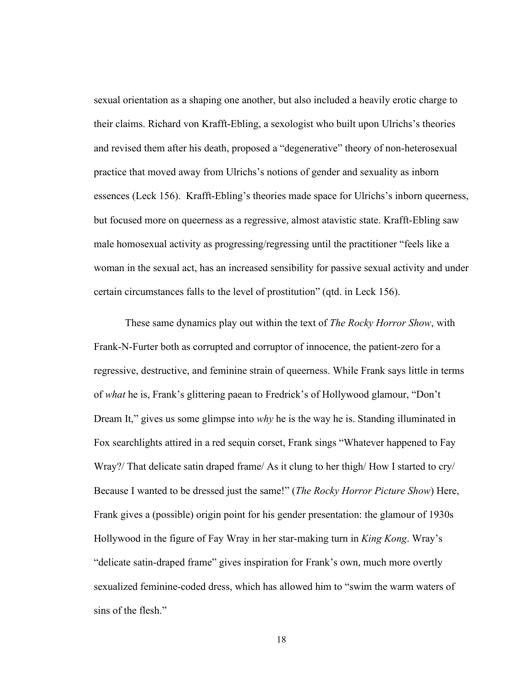sexual orientation as a shaping one another, but also included a heavily erotic charge to their claims. Richard von Krafft-Ebling, a sexologist who built upon Ulrichs's theories and revised them after his death, proposed a "degenerative" theory of non-heterosexual practice that moved away from Ulrichs's notions of gender and sexuality as inborn essences (Leck 156). Krafft-Ebling's theories made space for Ulrichs's inborn queerness, but focused more on queerness as a regressive, almost atavistic state. Krafft-Ebling saw male homosexual activity as progressing/regressing until the practitioner "feels like a woman in the sexual act, has an increased sensibility for passive sexual activity and under certain circumstances falls to the level of prostitution" (qtd. in Leck 156).

These same dynamics play out within the text of *The Rocky Horror Show*, with Frank-N-Furter both as corrupted and corruptor of innocence, the patient-zero for a regressive, destructive, and feminine strain of queerness. While Frank says little in terms of *what* he is, Frank's glittering paean to Fredrick's of Hollywood glamour, "Don't Dream It," gives us some glimpse into *why* he is the way he is. Standing illuminated in Fox searchlights attired in a red sequin corset, Frank sings "Whatever happened to Fay Wray?/ That delicate satin draped frame/ As it clung to her thigh/ How I started to cry/ Because I wanted to be dressed just the same!" (*The Rocky Horror Picture Show*) Here, Frank gives a (possible) origin point for his gender presentation: the glamour of 1930s Hollywood in the figure of Fay Wray in her star-making turn in *King Kong*. Wray's "delicate satin-draped frame" gives inspiration for Frank's own, much more overtly sexualized feminine-coded dress, which has allowed him to "swim the warm waters of sins of the flesh."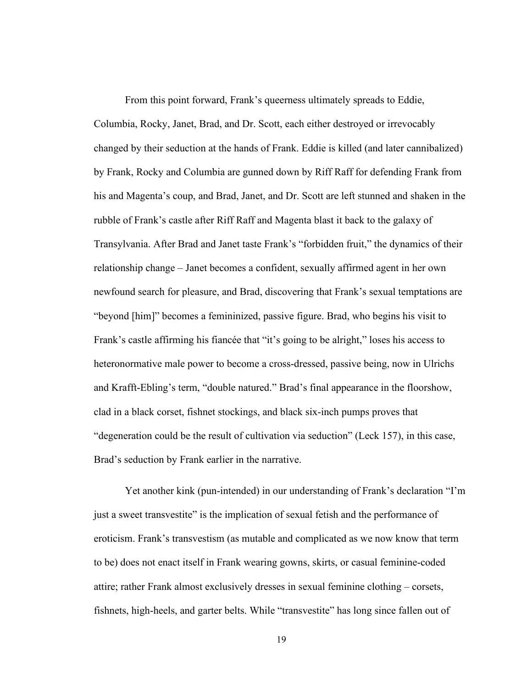From this point forward, Frank's queerness ultimately spreads to Eddie, Columbia, Rocky, Janet, Brad, and Dr. Scott, each either destroyed or irrevocably changed by their seduction at the hands of Frank. Eddie is killed (and later cannibalized) by Frank, Rocky and Columbia are gunned down by Riff Raff for defending Frank from his and Magenta's coup, and Brad, Janet, and Dr. Scott are left stunned and shaken in the rubble of Frank's castle after Riff Raff and Magenta blast it back to the galaxy of Transylvania. After Brad and Janet taste Frank's "forbidden fruit," the dynamics of their relationship change – Janet becomes a confident, sexually affirmed agent in her own newfound search for pleasure, and Brad, discovering that Frank's sexual temptations are "beyond [him]" becomes a femininized, passive figure. Brad, who begins his visit to Frank's castle affirming his fiancée that "it's going to be alright," loses his access to heteronormative male power to become a cross-dressed, passive being, now in Ulrichs and Krafft-Ebling's term, "double natured." Brad's final appearance in the floorshow, clad in a black corset, fishnet stockings, and black six-inch pumps proves that "degeneration could be the result of cultivation via seduction" (Leck 157), in this case, Brad's seduction by Frank earlier in the narrative.

Yet another kink (pun-intended) in our understanding of Frank's declaration "I'm just a sweet transvestite" is the implication of sexual fetish and the performance of eroticism. Frank's transvestism (as mutable and complicated as we now know that term to be) does not enact itself in Frank wearing gowns, skirts, or casual feminine-coded attire; rather Frank almost exclusively dresses in sexual feminine clothing – corsets, fishnets, high-heels, and garter belts. While "transvestite" has long since fallen out of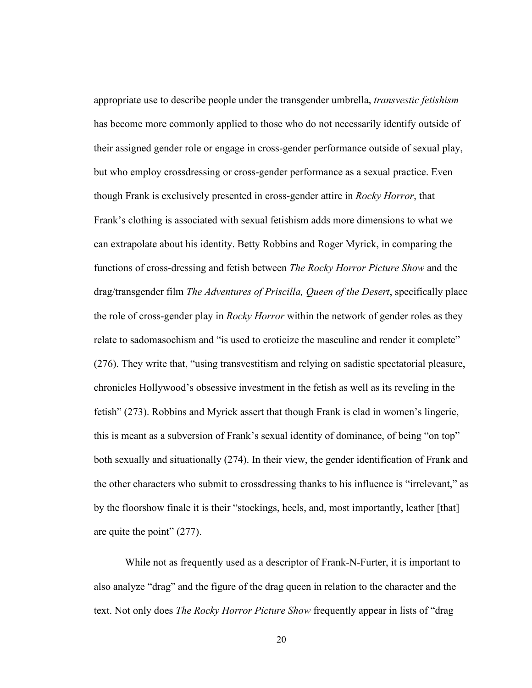appropriate use to describe people under the transgender umbrella, *transvestic fetishism*  has become more commonly applied to those who do not necessarily identify outside of their assigned gender role or engage in cross-gender performance outside of sexual play, but who employ crossdressing or cross-gender performance as a sexual practice. Even though Frank is exclusively presented in cross-gender attire in *Rocky Horror*, that Frank's clothing is associated with sexual fetishism adds more dimensions to what we can extrapolate about his identity. Betty Robbins and Roger Myrick, in comparing the functions of cross-dressing and fetish between *The Rocky Horror Picture Show* and the drag/transgender film *The Adventures of Priscilla, Queen of the Desert*, specifically place the role of cross-gender play in *Rocky Horror* within the network of gender roles as they relate to sadomasochism and "is used to eroticize the masculine and render it complete" (276). They write that, "using transvestitism and relying on sadistic spectatorial pleasure, chronicles Hollywood's obsessive investment in the fetish as well as its reveling in the fetish" (273). Robbins and Myrick assert that though Frank is clad in women's lingerie, this is meant as a subversion of Frank's sexual identity of dominance, of being "on top" both sexually and situationally (274). In their view, the gender identification of Frank and the other characters who submit to crossdressing thanks to his influence is "irrelevant," as by the floorshow finale it is their "stockings, heels, and, most importantly, leather [that] are quite the point" (277).

While not as frequently used as a descriptor of Frank-N-Furter, it is important to also analyze "drag" and the figure of the drag queen in relation to the character and the text. Not only does *The Rocky Horror Picture Show* frequently appear in lists of "drag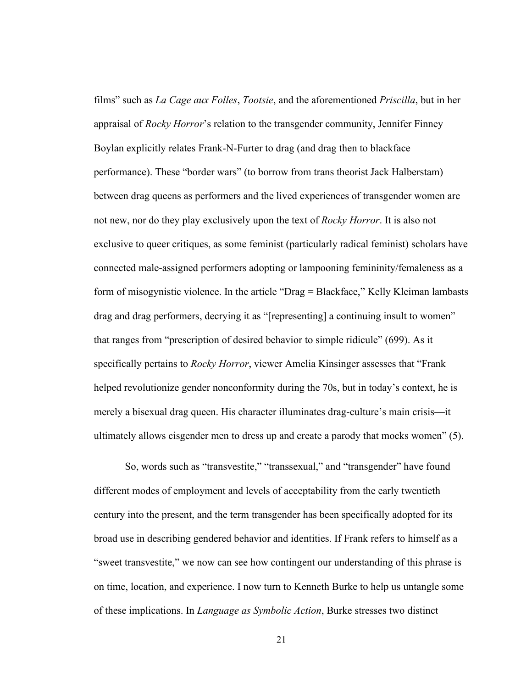films" such as *La Cage aux Folles*, *Tootsie*, and the aforementioned *Priscilla*, but in her appraisal of *Rocky Horror*'s relation to the transgender community, Jennifer Finney Boylan explicitly relates Frank-N-Furter to drag (and drag then to blackface performance). These "border wars" (to borrow from trans theorist Jack Halberstam) between drag queens as performers and the lived experiences of transgender women are not new, nor do they play exclusively upon the text of *Rocky Horror*. It is also not exclusive to queer critiques, as some feminist (particularly radical feminist) scholars have connected male-assigned performers adopting or lampooning femininity/femaleness as a form of misogynistic violence. In the article "Drag = Blackface," Kelly Kleiman lambasts drag and drag performers, decrying it as "[representing] a continuing insult to women" that ranges from "prescription of desired behavior to simple ridicule" (699). As it specifically pertains to *Rocky Horror*, viewer Amelia Kinsinger assesses that "Frank helped revolutionize gender nonconformity during the 70s, but in today's context, he is merely a bisexual drag queen. His character illuminates drag-culture's main crisis—it ultimately allows cisgender men to dress up and create a parody that mocks women" (5).

So, words such as "transvestite," "transsexual," and "transgender" have found different modes of employment and levels of acceptability from the early twentieth century into the present, and the term transgender has been specifically adopted for its broad use in describing gendered behavior and identities. If Frank refers to himself as a "sweet transvestite," we now can see how contingent our understanding of this phrase is on time, location, and experience. I now turn to Kenneth Burke to help us untangle some of these implications. In *Language as Symbolic Action*, Burke stresses two distinct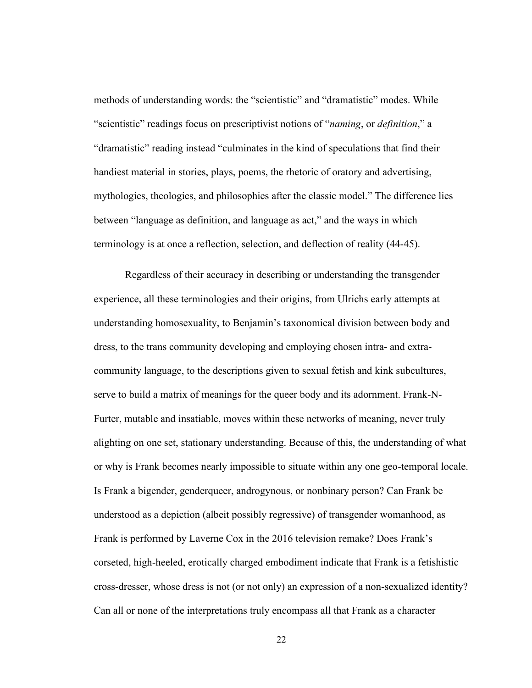methods of understanding words: the "scientistic" and "dramatistic" modes. While "scientistic" readings focus on prescriptivist notions of "*naming*, or *definition*," a "dramatistic" reading instead "culminates in the kind of speculations that find their handiest material in stories, plays, poems, the rhetoric of oratory and advertising, mythologies, theologies, and philosophies after the classic model." The difference lies between "language as definition, and language as act," and the ways in which terminology is at once a reflection, selection, and deflection of reality (44-45).

Regardless of their accuracy in describing or understanding the transgender experience, all these terminologies and their origins, from Ulrichs early attempts at understanding homosexuality, to Benjamin's taxonomical division between body and dress, to the trans community developing and employing chosen intra- and extracommunity language, to the descriptions given to sexual fetish and kink subcultures, serve to build a matrix of meanings for the queer body and its adornment. Frank-N-Furter, mutable and insatiable, moves within these networks of meaning, never truly alighting on one set, stationary understanding. Because of this, the understanding of what or why is Frank becomes nearly impossible to situate within any one geo-temporal locale. Is Frank a bigender, genderqueer, androgynous, or nonbinary person? Can Frank be understood as a depiction (albeit possibly regressive) of transgender womanhood, as Frank is performed by Laverne Cox in the 2016 television remake? Does Frank's corseted, high-heeled, erotically charged embodiment indicate that Frank is a fetishistic cross-dresser, whose dress is not (or not only) an expression of a non-sexualized identity? Can all or none of the interpretations truly encompass all that Frank as a character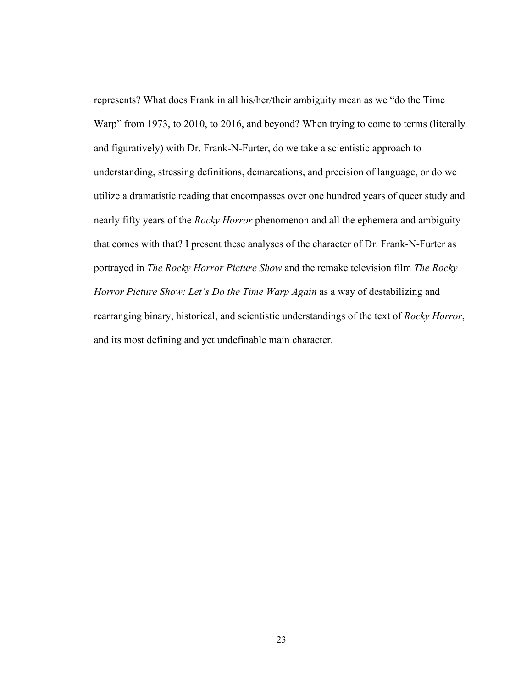represents? What does Frank in all his/her/their ambiguity mean as we "do the Time Warp" from 1973, to 2010, to 2016, and beyond? When trying to come to terms (literally and figuratively) with Dr. Frank-N-Furter, do we take a scientistic approach to understanding, stressing definitions, demarcations, and precision of language, or do we utilize a dramatistic reading that encompasses over one hundred years of queer study and nearly fifty years of the *Rocky Horror* phenomenon and all the ephemera and ambiguity that comes with that? I present these analyses of the character of Dr. Frank-N-Furter as portrayed in *The Rocky Horror Picture Show* and the remake television film *The Rocky Horror Picture Show: Let's Do the Time Warp Again* as a way of destabilizing and rearranging binary, historical, and scientistic understandings of the text of *Rocky Horror*, and its most defining and yet undefinable main character.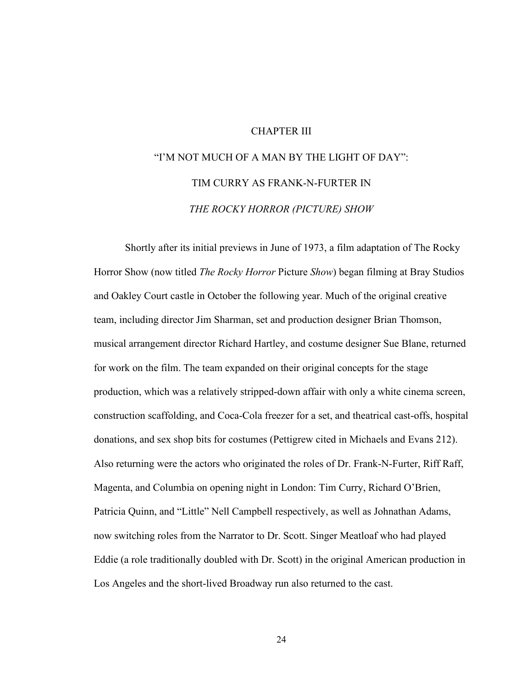#### CHAPTER III

# "I'M NOT MUCH OF A MAN BY THE LIGHT OF DAY": TIM CURRY AS FRANK-N-FURTER IN *THE ROCKY HORROR (PICTURE) SHOW*

Shortly after its initial previews in June of 1973, a film adaptation of The Rocky Horror Show (now titled *The Rocky Horror* Picture *Show*) began filming at Bray Studios and Oakley Court castle in October the following year. Much of the original creative team, including director Jim Sharman, set and production designer Brian Thomson, musical arrangement director Richard Hartley, and costume designer Sue Blane, returned for work on the film. The team expanded on their original concepts for the stage production, which was a relatively stripped-down affair with only a white cinema screen, construction scaffolding, and Coca-Cola freezer for a set, and theatrical cast-offs, hospital donations, and sex shop bits for costumes (Pettigrew cited in Michaels and Evans 212). Also returning were the actors who originated the roles of Dr. Frank-N-Furter, Riff Raff, Magenta, and Columbia on opening night in London: Tim Curry, Richard O'Brien, Patricia Quinn, and "Little" Nell Campbell respectively, as well as Johnathan Adams, now switching roles from the Narrator to Dr. Scott. Singer Meatloaf who had played Eddie (a role traditionally doubled with Dr. Scott) in the original American production in Los Angeles and the short-lived Broadway run also returned to the cast.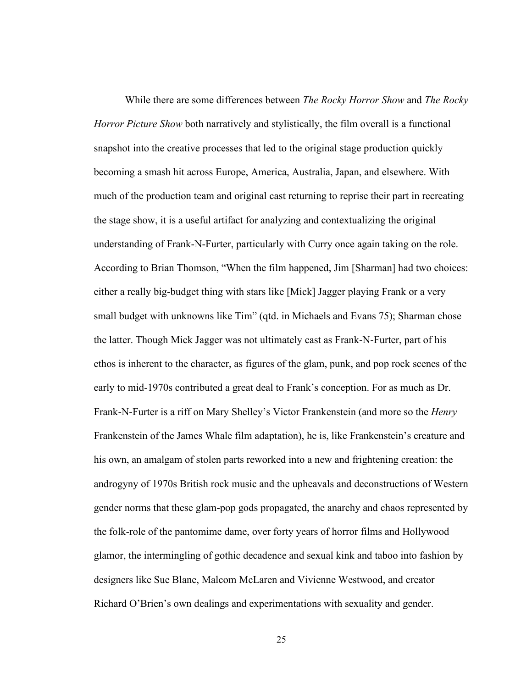While there are some differences between *The Rocky Horror Show* and *The Rocky Horror Picture Show* both narratively and stylistically, the film overall is a functional snapshot into the creative processes that led to the original stage production quickly becoming a smash hit across Europe, America, Australia, Japan, and elsewhere. With much of the production team and original cast returning to reprise their part in recreating the stage show, it is a useful artifact for analyzing and contextualizing the original understanding of Frank-N-Furter, particularly with Curry once again taking on the role. According to Brian Thomson, "When the film happened, Jim [Sharman] had two choices: either a really big-budget thing with stars like [Mick] Jagger playing Frank or a very small budget with unknowns like Tim" (qtd. in Michaels and Evans 75); Sharman chose the latter. Though Mick Jagger was not ultimately cast as Frank-N-Furter, part of his ethos is inherent to the character, as figures of the glam, punk, and pop rock scenes of the early to mid-1970s contributed a great deal to Frank's conception. For as much as Dr. Frank-N-Furter is a riff on Mary Shelley's Victor Frankenstein (and more so the *Henry*  Frankenstein of the James Whale film adaptation), he is, like Frankenstein's creature and his own, an amalgam of stolen parts reworked into a new and frightening creation: the androgyny of 1970s British rock music and the upheavals and deconstructions of Western gender norms that these glam-pop gods propagated, the anarchy and chaos represented by the folk-role of the pantomime dame, over forty years of horror films and Hollywood glamor, the intermingling of gothic decadence and sexual kink and taboo into fashion by designers like Sue Blane, Malcom McLaren and Vivienne Westwood, and creator Richard O'Brien's own dealings and experimentations with sexuality and gender.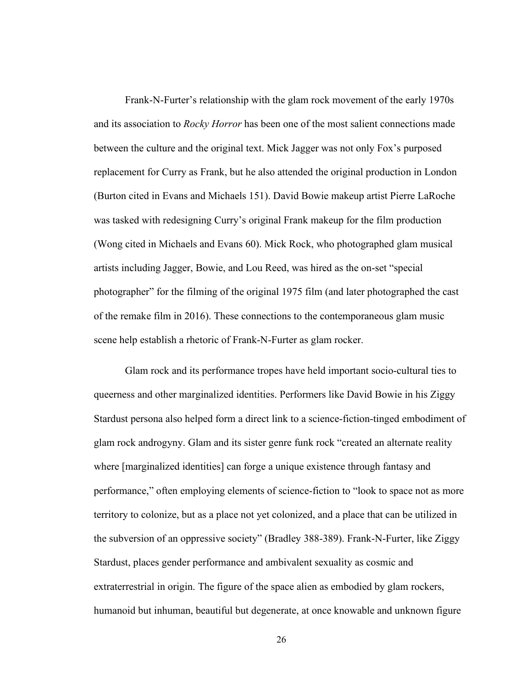Frank-N-Furter's relationship with the glam rock movement of the early 1970s and its association to *Rocky Horror* has been one of the most salient connections made between the culture and the original text. Mick Jagger was not only Fox's purposed replacement for Curry as Frank, but he also attended the original production in London (Burton cited in Evans and Michaels 151). David Bowie makeup artist Pierre LaRoche was tasked with redesigning Curry's original Frank makeup for the film production (Wong cited in Michaels and Evans 60). Mick Rock, who photographed glam musical artists including Jagger, Bowie, and Lou Reed, was hired as the on-set "special photographer" for the filming of the original 1975 film (and later photographed the cast of the remake film in 2016). These connections to the contemporaneous glam music scene help establish a rhetoric of Frank-N-Furter as glam rocker.

Glam rock and its performance tropes have held important socio-cultural ties to queerness and other marginalized identities. Performers like David Bowie in his Ziggy Stardust persona also helped form a direct link to a science-fiction-tinged embodiment of glam rock androgyny. Glam and its sister genre funk rock "created an alternate reality where [marginalized identities] can forge a unique existence through fantasy and performance," often employing elements of science-fiction to "look to space not as more territory to colonize, but as a place not yet colonized, and a place that can be utilized in the subversion of an oppressive society" (Bradley 388-389). Frank-N-Furter, like Ziggy Stardust, places gender performance and ambivalent sexuality as cosmic and extraterrestrial in origin. The figure of the space alien as embodied by glam rockers, humanoid but inhuman, beautiful but degenerate, at once knowable and unknown figure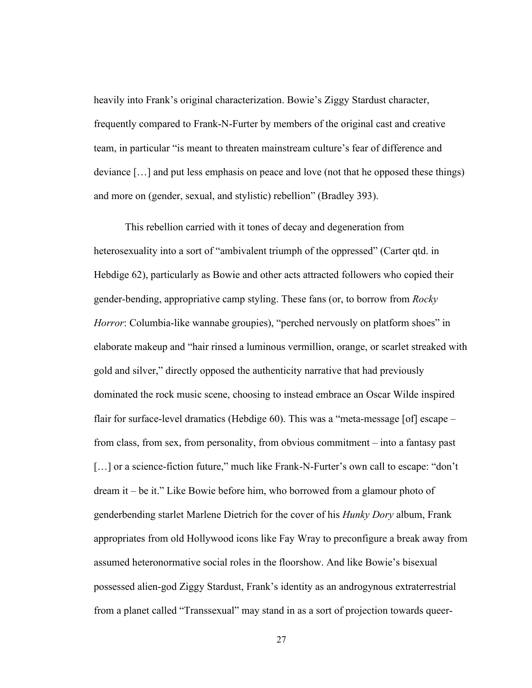heavily into Frank's original characterization. Bowie's Ziggy Stardust character, frequently compared to Frank-N-Furter by members of the original cast and creative team, in particular "is meant to threaten mainstream culture's fear of difference and deviance […] and put less emphasis on peace and love (not that he opposed these things) and more on (gender, sexual, and stylistic) rebellion" (Bradley 393).

This rebellion carried with it tones of decay and degeneration from heterosexuality into a sort of "ambivalent triumph of the oppressed" (Carter qtd. in Hebdige 62), particularly as Bowie and other acts attracted followers who copied their gender-bending, appropriative camp styling. These fans (or, to borrow from *Rocky Horror*: Columbia-like wannabe groupies), "perched nervously on platform shoes" in elaborate makeup and "hair rinsed a luminous vermillion, orange, or scarlet streaked with gold and silver," directly opposed the authenticity narrative that had previously dominated the rock music scene, choosing to instead embrace an Oscar Wilde inspired flair for surface-level dramatics (Hebdige 60). This was a "meta-message [of] escape – from class, from sex, from personality, from obvious commitment – into a fantasy past [...] or a science-fiction future," much like Frank-N-Furter's own call to escape: "don't dream it – be it." Like Bowie before him, who borrowed from a glamour photo of genderbending starlet Marlene Dietrich for the cover of his *Hunky Dory* album, Frank appropriates from old Hollywood icons like Fay Wray to preconfigure a break away from assumed heteronormative social roles in the floorshow. And like Bowie's bisexual possessed alien-god Ziggy Stardust, Frank's identity as an androgynous extraterrestrial from a planet called "Transsexual" may stand in as a sort of projection towards queer-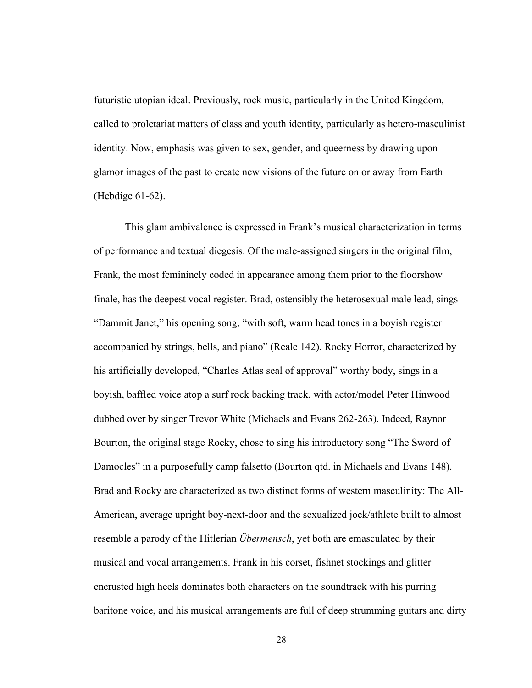futuristic utopian ideal. Previously, rock music, particularly in the United Kingdom, called to proletariat matters of class and youth identity, particularly as hetero-masculinist identity. Now, emphasis was given to sex, gender, and queerness by drawing upon glamor images of the past to create new visions of the future on or away from Earth (Hebdige 61-62).

This glam ambivalence is expressed in Frank's musical characterization in terms of performance and textual diegesis. Of the male-assigned singers in the original film, Frank, the most femininely coded in appearance among them prior to the floorshow finale, has the deepest vocal register. Brad, ostensibly the heterosexual male lead, sings "Dammit Janet," his opening song, "with soft, warm head tones in a boyish register accompanied by strings, bells, and piano" (Reale 142). Rocky Horror, characterized by his artificially developed, "Charles Atlas seal of approval" worthy body, sings in a boyish, baffled voice atop a surf rock backing track, with actor/model Peter Hinwood dubbed over by singer Trevor White (Michaels and Evans 262-263). Indeed, Raynor Bourton, the original stage Rocky, chose to sing his introductory song "The Sword of Damocles" in a purposefully camp falsetto (Bourton qtd. in Michaels and Evans 148). Brad and Rocky are characterized as two distinct forms of western masculinity: The All-American, average upright boy-next-door and the sexualized jock/athlete built to almost resemble a parody of the Hitlerian *Übermensch*, yet both are emasculated by their musical and vocal arrangements. Frank in his corset, fishnet stockings and glitter encrusted high heels dominates both characters on the soundtrack with his purring baritone voice, and his musical arrangements are full of deep strumming guitars and dirty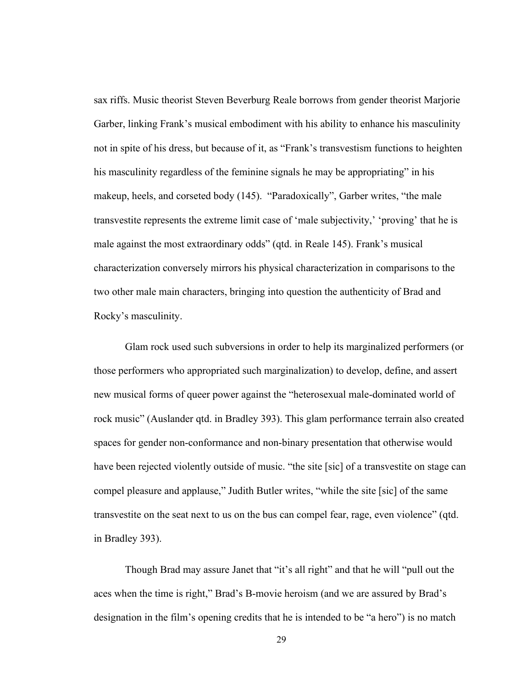sax riffs. Music theorist Steven Beverburg Reale borrows from gender theorist Marjorie Garber, linking Frank's musical embodiment with his ability to enhance his masculinity not in spite of his dress, but because of it, as "Frank's transvestism functions to heighten his masculinity regardless of the feminine signals he may be appropriating" in his makeup, heels, and corseted body (145). "Paradoxically", Garber writes, "the male transvestite represents the extreme limit case of 'male subjectivity,' 'proving' that he is male against the most extraordinary odds" (qtd. in Reale 145). Frank's musical characterization conversely mirrors his physical characterization in comparisons to the two other male main characters, bringing into question the authenticity of Brad and Rocky's masculinity.

Glam rock used such subversions in order to help its marginalized performers (or those performers who appropriated such marginalization) to develop, define, and assert new musical forms of queer power against the "heterosexual male-dominated world of rock music" (Auslander qtd. in Bradley 393). This glam performance terrain also created spaces for gender non-conformance and non-binary presentation that otherwise would have been rejected violently outside of music. "the site [sic] of a transvestite on stage can compel pleasure and applause," Judith Butler writes, "while the site [sic] of the same transvestite on the seat next to us on the bus can compel fear, rage, even violence" (qtd. in Bradley 393).

Though Brad may assure Janet that "it's all right" and that he will "pull out the aces when the time is right," Brad's B-movie heroism (and we are assured by Brad's designation in the film's opening credits that he is intended to be "a hero") is no match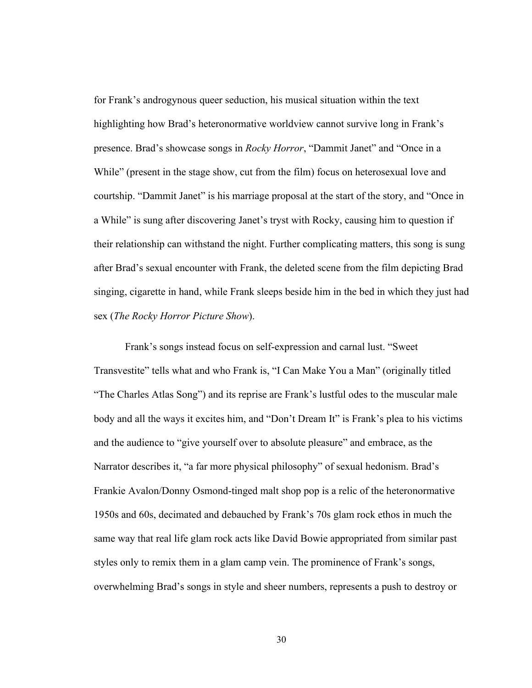for Frank's androgynous queer seduction, his musical situation within the text highlighting how Brad's heteronormative worldview cannot survive long in Frank's presence. Brad's showcase songs in *Rocky Horror*, "Dammit Janet" and "Once in a While" (present in the stage show, cut from the film) focus on heterosexual love and courtship. "Dammit Janet" is his marriage proposal at the start of the story, and "Once in a While" is sung after discovering Janet's tryst with Rocky, causing him to question if their relationship can withstand the night. Further complicating matters, this song is sung after Brad's sexual encounter with Frank, the deleted scene from the film depicting Brad singing, cigarette in hand, while Frank sleeps beside him in the bed in which they just had sex (*The Rocky Horror Picture Show*).

Frank's songs instead focus on self-expression and carnal lust. "Sweet Transvestite" tells what and who Frank is, "I Can Make You a Man" (originally titled "The Charles Atlas Song") and its reprise are Frank's lustful odes to the muscular male body and all the ways it excites him, and "Don't Dream It" is Frank's plea to his victims and the audience to "give yourself over to absolute pleasure" and embrace, as the Narrator describes it, "a far more physical philosophy" of sexual hedonism. Brad's Frankie Avalon/Donny Osmond-tinged malt shop pop is a relic of the heteronormative 1950s and 60s, decimated and debauched by Frank's 70s glam rock ethos in much the same way that real life glam rock acts like David Bowie appropriated from similar past styles only to remix them in a glam camp vein. The prominence of Frank's songs, overwhelming Brad's songs in style and sheer numbers, represents a push to destroy or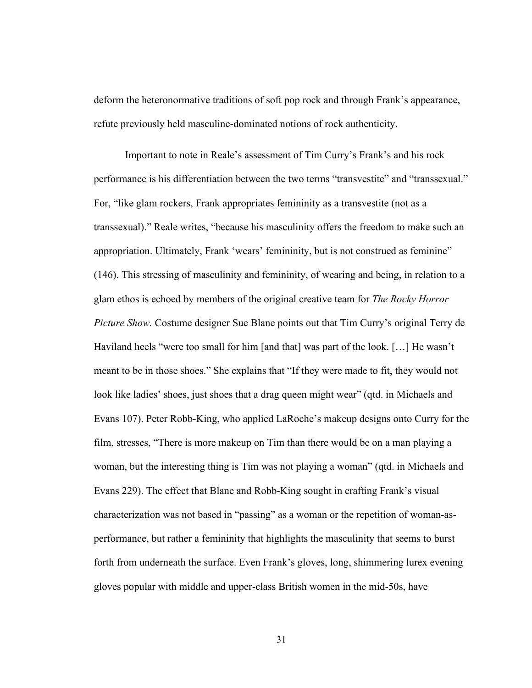deform the heteronormative traditions of soft pop rock and through Frank's appearance, refute previously held masculine-dominated notions of rock authenticity.

Important to note in Reale's assessment of Tim Curry's Frank's and his rock performance is his differentiation between the two terms "transvestite" and "transsexual." For, "like glam rockers, Frank appropriates femininity as a transvestite (not as a transsexual)." Reale writes, "because his masculinity offers the freedom to make such an appropriation. Ultimately, Frank 'wears' femininity, but is not construed as feminine" (146). This stressing of masculinity and femininity, of wearing and being, in relation to a glam ethos is echoed by members of the original creative team for *The Rocky Horror Picture Show.* Costume designer Sue Blane points out that Tim Curry's original Terry de Haviland heels "were too small for him [and that] was part of the look. […] He wasn't meant to be in those shoes." She explains that "If they were made to fit, they would not look like ladies' shoes, just shoes that a drag queen might wear" (qtd. in Michaels and Evans 107). Peter Robb-King, who applied LaRoche's makeup designs onto Curry for the film, stresses, "There is more makeup on Tim than there would be on a man playing a woman, but the interesting thing is Tim was not playing a woman" (qtd. in Michaels and Evans 229). The effect that Blane and Robb-King sought in crafting Frank's visual characterization was not based in "passing" as a woman or the repetition of woman-asperformance, but rather a femininity that highlights the masculinity that seems to burst forth from underneath the surface. Even Frank's gloves, long, shimmering lurex evening gloves popular with middle and upper-class British women in the mid-50s, have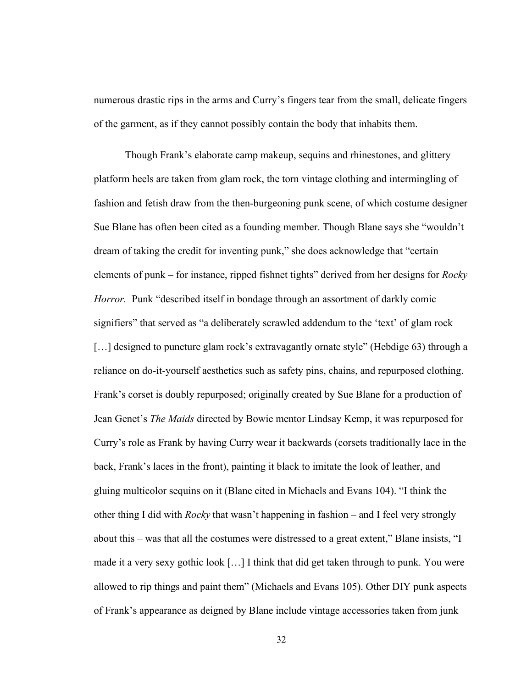numerous drastic rips in the arms and Curry's fingers tear from the small, delicate fingers of the garment, as if they cannot possibly contain the body that inhabits them.

Though Frank's elaborate camp makeup, sequins and rhinestones, and glittery platform heels are taken from glam rock, the torn vintage clothing and intermingling of fashion and fetish draw from the then-burgeoning punk scene, of which costume designer Sue Blane has often been cited as a founding member. Though Blane says she "wouldn't dream of taking the credit for inventing punk," she does acknowledge that "certain elements of punk – for instance, ripped fishnet tights" derived from her designs for *Rocky Horror.* Punk "described itself in bondage through an assortment of darkly comic signifiers" that served as "a deliberately scrawled addendum to the 'text' of glam rock [...] designed to puncture glam rock's extravagantly ornate style" (Hebdige 63) through a reliance on do-it-yourself aesthetics such as safety pins, chains, and repurposed clothing. Frank's corset is doubly repurposed; originally created by Sue Blane for a production of Jean Genet's *The Maids* directed by Bowie mentor Lindsay Kemp, it was repurposed for Curry's role as Frank by having Curry wear it backwards (corsets traditionally lace in the back, Frank's laces in the front), painting it black to imitate the look of leather, and gluing multicolor sequins on it (Blane cited in Michaels and Evans 104). "I think the other thing I did with *Rocky* that wasn't happening in fashion – and I feel very strongly about this – was that all the costumes were distressed to a great extent," Blane insists, "I made it a very sexy gothic look […] I think that did get taken through to punk. You were allowed to rip things and paint them" (Michaels and Evans 105). Other DIY punk aspects of Frank's appearance as deigned by Blane include vintage accessories taken from junk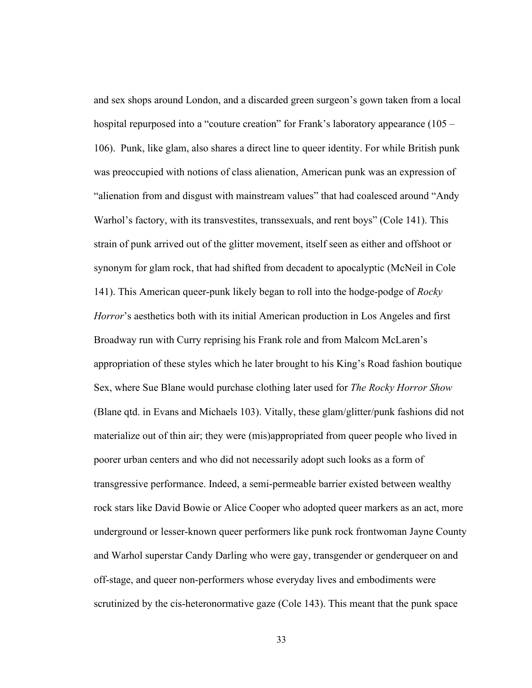and sex shops around London, and a discarded green surgeon's gown taken from a local hospital repurposed into a "couture creation" for Frank's laboratory appearance (105 – 106). Punk, like glam, also shares a direct line to queer identity. For while British punk was preoccupied with notions of class alienation, American punk was an expression of "alienation from and disgust with mainstream values" that had coalesced around "Andy Warhol's factory, with its transvestites, transsexuals, and rent boys" (Cole 141). This strain of punk arrived out of the glitter movement, itself seen as either and offshoot or synonym for glam rock, that had shifted from decadent to apocalyptic (McNeil in Cole 141). This American queer-punk likely began to roll into the hodge-podge of *Rocky Horror*'s aesthetics both with its initial American production in Los Angeles and first Broadway run with Curry reprising his Frank role and from Malcom McLaren's appropriation of these styles which he later brought to his King's Road fashion boutique Sex, where Sue Blane would purchase clothing later used for *The Rocky Horror Show*  (Blane qtd. in Evans and Michaels 103). Vitally, these glam/glitter/punk fashions did not materialize out of thin air; they were (mis)appropriated from queer people who lived in poorer urban centers and who did not necessarily adopt such looks as a form of transgressive performance. Indeed, a semi-permeable barrier existed between wealthy rock stars like David Bowie or Alice Cooper who adopted queer markers as an act, more underground or lesser-known queer performers like punk rock frontwoman Jayne County and Warhol superstar Candy Darling who were gay, transgender or genderqueer on and off-stage, and queer non-performers whose everyday lives and embodiments were scrutinized by the cis-heteronormative gaze (Cole 143). This meant that the punk space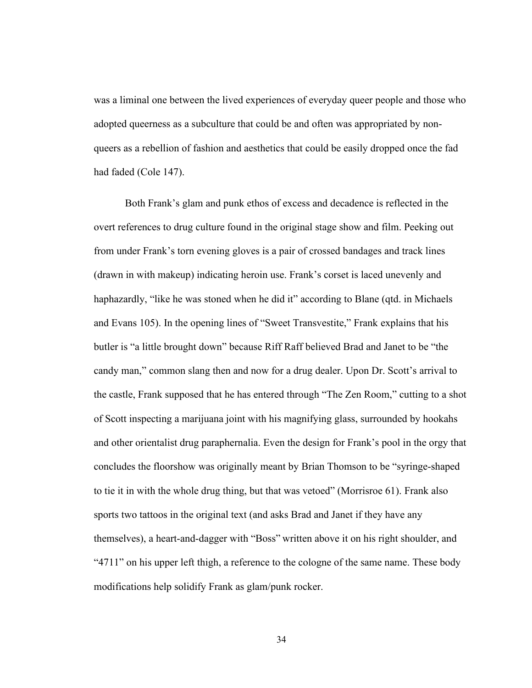was a liminal one between the lived experiences of everyday queer people and those who adopted queerness as a subculture that could be and often was appropriated by nonqueers as a rebellion of fashion and aesthetics that could be easily dropped once the fad had faded (Cole 147).

Both Frank's glam and punk ethos of excess and decadence is reflected in the overt references to drug culture found in the original stage show and film. Peeking out from under Frank's torn evening gloves is a pair of crossed bandages and track lines (drawn in with makeup) indicating heroin use. Frank's corset is laced unevenly and haphazardly, "like he was stoned when he did it" according to Blane (qtd. in Michaels and Evans 105). In the opening lines of "Sweet Transvestite," Frank explains that his butler is "a little brought down" because Riff Raff believed Brad and Janet to be "the candy man," common slang then and now for a drug dealer. Upon Dr. Scott's arrival to the castle, Frank supposed that he has entered through "The Zen Room," cutting to a shot of Scott inspecting a marijuana joint with his magnifying glass, surrounded by hookahs and other orientalist drug paraphernalia. Even the design for Frank's pool in the orgy that concludes the floorshow was originally meant by Brian Thomson to be "syringe-shaped to tie it in with the whole drug thing, but that was vetoed" (Morrisroe 61). Frank also sports two tattoos in the original text (and asks Brad and Janet if they have any themselves), a heart-and-dagger with "Boss" written above it on his right shoulder, and "4711" on his upper left thigh, a reference to the cologne of the same name. These body modifications help solidify Frank as glam/punk rocker.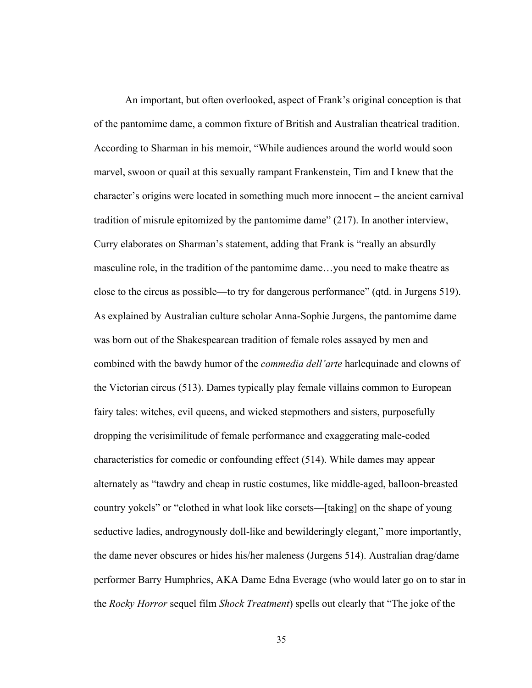An important, but often overlooked, aspect of Frank's original conception is that of the pantomime dame, a common fixture of British and Australian theatrical tradition. According to Sharman in his memoir, "While audiences around the world would soon marvel, swoon or quail at this sexually rampant Frankenstein, Tim and I knew that the character's origins were located in something much more innocent – the ancient carnival tradition of misrule epitomized by the pantomime dame" (217). In another interview, Curry elaborates on Sharman's statement, adding that Frank is "really an absurdly masculine role, in the tradition of the pantomime dame…you need to make theatre as close to the circus as possible—to try for dangerous performance" (qtd. in Jurgens 519). As explained by Australian culture scholar Anna-Sophie Jurgens, the pantomime dame was born out of the Shakespearean tradition of female roles assayed by men and combined with the bawdy humor of the *commedia dell'arte* harlequinade and clowns of the Victorian circus (513). Dames typically play female villains common to European fairy tales: witches, evil queens, and wicked stepmothers and sisters, purposefully dropping the verisimilitude of female performance and exaggerating male-coded characteristics for comedic or confounding effect (514). While dames may appear alternately as "tawdry and cheap in rustic costumes, like middle-aged, balloon-breasted country yokels" or "clothed in what look like corsets—[taking] on the shape of young seductive ladies, androgynously doll-like and bewilderingly elegant," more importantly, the dame never obscures or hides his/her maleness (Jurgens 514). Australian drag/dame performer Barry Humphries, AKA Dame Edna Everage (who would later go on to star in the *Rocky Horror* sequel film *Shock Treatment*) spells out clearly that "The joke of the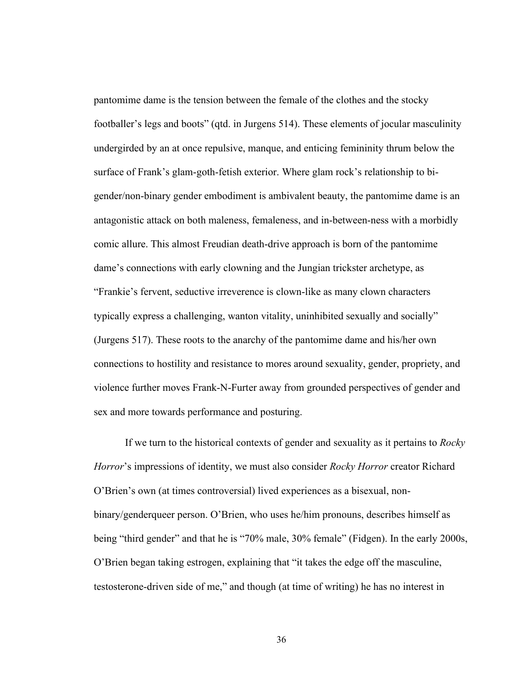pantomime dame is the tension between the female of the clothes and the stocky footballer's legs and boots" (qtd. in Jurgens 514). These elements of jocular masculinity undergirded by an at once repulsive, manque, and enticing femininity thrum below the surface of Frank's glam-goth-fetish exterior. Where glam rock's relationship to bigender/non-binary gender embodiment is ambivalent beauty, the pantomime dame is an antagonistic attack on both maleness, femaleness, and in-between-ness with a morbidly comic allure. This almost Freudian death-drive approach is born of the pantomime dame's connections with early clowning and the Jungian trickster archetype, as "Frankie's fervent, seductive irreverence is clown-like as many clown characters typically express a challenging, wanton vitality, uninhibited sexually and socially" (Jurgens 517). These roots to the anarchy of the pantomime dame and his/her own connections to hostility and resistance to mores around sexuality, gender, propriety, and violence further moves Frank-N-Furter away from grounded perspectives of gender and sex and more towards performance and posturing.

If we turn to the historical contexts of gender and sexuality as it pertains to *Rocky Horror*'s impressions of identity, we must also consider *Rocky Horror* creator Richard O'Brien's own (at times controversial) lived experiences as a bisexual, nonbinary/genderqueer person. O'Brien, who uses he/him pronouns, describes himself as being "third gender" and that he is "70% male, 30% female" (Fidgen). In the early 2000s, O'Brien began taking estrogen, explaining that "it takes the edge off the masculine, testosterone-driven side of me," and though (at time of writing) he has no interest in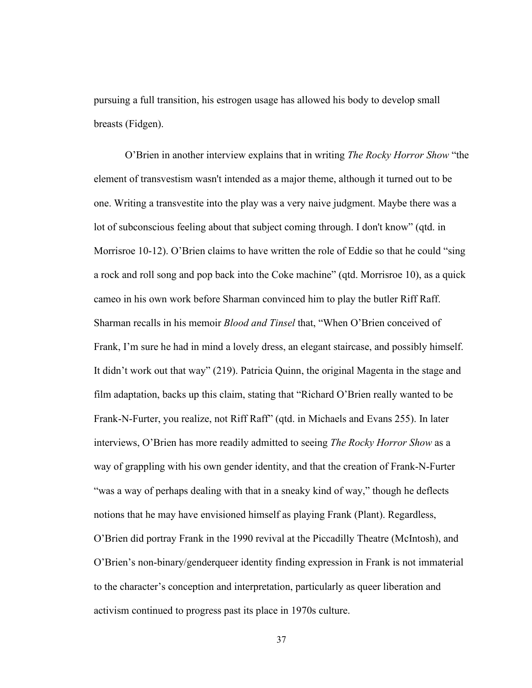pursuing a full transition, his estrogen usage has allowed his body to develop small breasts (Fidgen).

O'Brien in another interview explains that in writing *The Rocky Horror Show* "the element of transvestism wasn't intended as a major theme, although it turned out to be one. Writing a transvestite into the play was a very naive judgment. Maybe there was a lot of subconscious feeling about that subject coming through. I don't know" (qtd. in Morrisroe 10-12). O'Brien claims to have written the role of Eddie so that he could "sing a rock and roll song and pop back into the Coke machine" (qtd. Morrisroe 10), as a quick cameo in his own work before Sharman convinced him to play the butler Riff Raff. Sharman recalls in his memoir *Blood and Tinsel* that, "When O'Brien conceived of Frank, I'm sure he had in mind a lovely dress, an elegant staircase, and possibly himself. It didn't work out that way" (219). Patricia Quinn, the original Magenta in the stage and film adaptation, backs up this claim, stating that "Richard O'Brien really wanted to be Frank-N-Furter, you realize, not Riff Raff" (qtd. in Michaels and Evans 255). In later interviews, O'Brien has more readily admitted to seeing *The Rocky Horror Show* as a way of grappling with his own gender identity, and that the creation of Frank-N-Furter "was a way of perhaps dealing with that in a sneaky kind of way," though he deflects notions that he may have envisioned himself as playing Frank (Plant). Regardless, O'Brien did portray Frank in the 1990 revival at the Piccadilly Theatre (McIntosh), and O'Brien's non-binary/genderqueer identity finding expression in Frank is not immaterial to the character's conception and interpretation, particularly as queer liberation and activism continued to progress past its place in 1970s culture.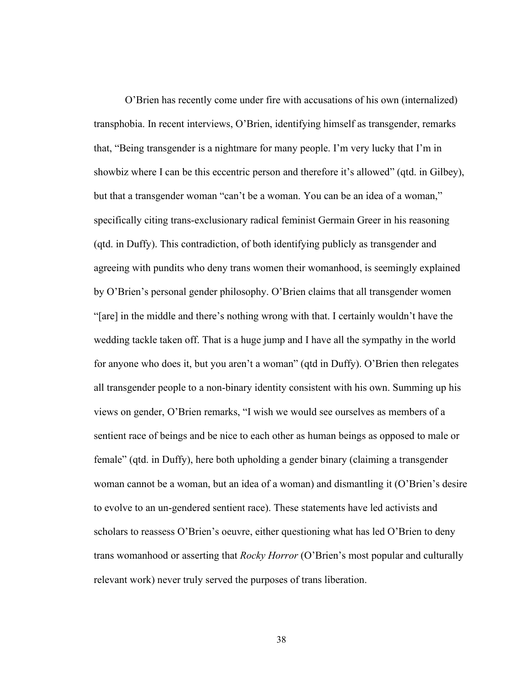O'Brien has recently come under fire with accusations of his own (internalized) transphobia. In recent interviews, O'Brien, identifying himself as transgender, remarks that, "Being transgender is a nightmare for many people. I'm very lucky that I'm in showbiz where I can be this eccentric person and therefore it's allowed" (qtd. in Gilbey), but that a transgender woman "can't be a woman. You can be an idea of a woman," specifically citing trans-exclusionary radical feminist Germain Greer in his reasoning (qtd. in Duffy). This contradiction, of both identifying publicly as transgender and agreeing with pundits who deny trans women their womanhood, is seemingly explained by O'Brien's personal gender philosophy. O'Brien claims that all transgender women "[are] in the middle and there's nothing wrong with that. I certainly wouldn't have the wedding tackle taken off. That is a huge jump and I have all the sympathy in the world for anyone who does it, but you aren't a woman" (qtd in Duffy). O'Brien then relegates all transgender people to a non-binary identity consistent with his own. Summing up his views on gender, O'Brien remarks, "I wish we would see ourselves as members of a sentient race of beings and be nice to each other as human beings as opposed to male or female" (qtd. in Duffy), here both upholding a gender binary (claiming a transgender woman cannot be a woman, but an idea of a woman) and dismantling it (O'Brien's desire to evolve to an un-gendered sentient race). These statements have led activists and scholars to reassess O'Brien's oeuvre, either questioning what has led O'Brien to deny trans womanhood or asserting that *Rocky Horror* (O'Brien's most popular and culturally relevant work) never truly served the purposes of trans liberation.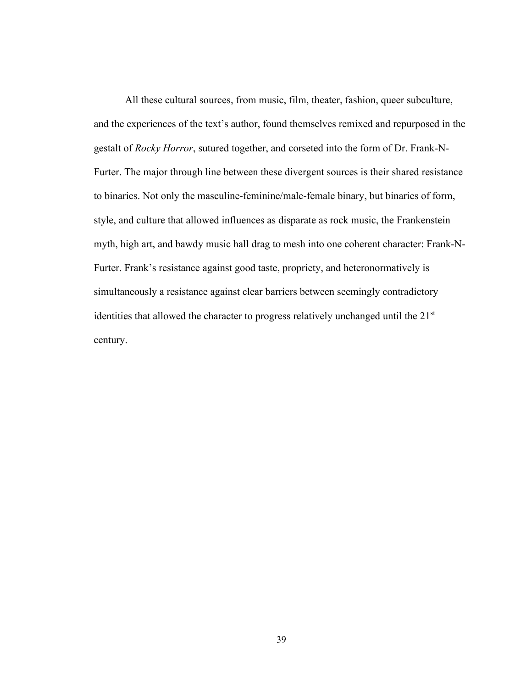All these cultural sources, from music, film, theater, fashion, queer subculture, and the experiences of the text's author, found themselves remixed and repurposed in the gestalt of *Rocky Horror*, sutured together, and corseted into the form of Dr. Frank-N-Furter. The major through line between these divergent sources is their shared resistance to binaries. Not only the masculine-feminine/male-female binary, but binaries of form, style, and culture that allowed influences as disparate as rock music, the Frankenstein myth, high art, and bawdy music hall drag to mesh into one coherent character: Frank-N-Furter. Frank's resistance against good taste, propriety, and heteronormatively is simultaneously a resistance against clear barriers between seemingly contradictory identities that allowed the character to progress relatively unchanged until the 21<sup>st</sup> century.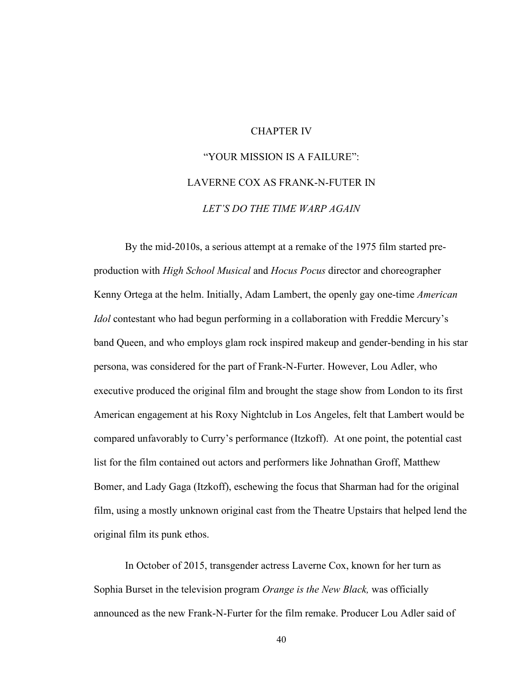### CHAPTER IV

# "YOUR MISSION IS A FAILURE": LAVERNE COX AS FRANK-N-FUTER IN *LET'S DO THE TIME WARP AGAIN*

By the mid-2010s, a serious attempt at a remake of the 1975 film started preproduction with *High School Musical* and *Hocus Pocus* director and choreographer Kenny Ortega at the helm. Initially, Adam Lambert, the openly gay one-time *American Idol* contestant who had begun performing in a collaboration with Freddie Mercury's band Queen, and who employs glam rock inspired makeup and gender-bending in his star persona, was considered for the part of Frank-N-Furter. However, Lou Adler, who executive produced the original film and brought the stage show from London to its first American engagement at his Roxy Nightclub in Los Angeles, felt that Lambert would be compared unfavorably to Curry's performance (Itzkoff). At one point, the potential cast list for the film contained out actors and performers like Johnathan Groff, Matthew Bomer, and Lady Gaga (Itzkoff), eschewing the focus that Sharman had for the original film, using a mostly unknown original cast from the Theatre Upstairs that helped lend the original film its punk ethos.

In October of 2015, transgender actress Laverne Cox, known for her turn as Sophia Burset in the television program *Orange is the New Black,* was officially announced as the new Frank-N-Furter for the film remake. Producer Lou Adler said of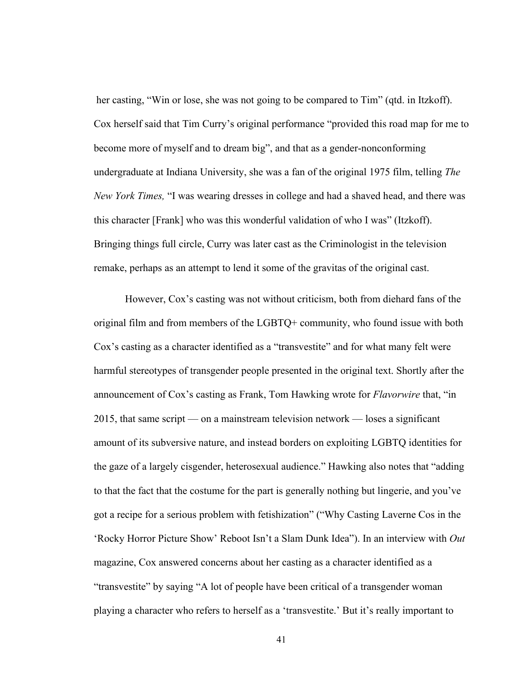her casting, "Win or lose, she was not going to be compared to Tim" (qtd. in Itzkoff). Cox herself said that Tim Curry's original performance "provided this road map for me to become more of myself and to dream big", and that as a gender-nonconforming undergraduate at Indiana University, she was a fan of the original 1975 film, telling *The New York Times,* "I was wearing dresses in college and had a shaved head, and there was this character [Frank] who was this wonderful validation of who I was" (Itzkoff). Bringing things full circle, Curry was later cast as the Criminologist in the television remake, perhaps as an attempt to lend it some of the gravitas of the original cast.

However, Cox's casting was not without criticism, both from diehard fans of the original film and from members of the LGBTQ+ community, who found issue with both Cox's casting as a character identified as a "transvestite" and for what many felt were harmful stereotypes of transgender people presented in the original text. Shortly after the announcement of Cox's casting as Frank, Tom Hawking wrote for *Flavorwire* that, "in 2015, that same script — on a mainstream television network — loses a significant amount of its subversive nature, and instead borders on exploiting LGBTQ identities for the gaze of a largely cisgender, heterosexual audience." Hawking also notes that "adding to that the fact that the costume for the part is generally nothing but lingerie, and you've got a recipe for a serious problem with fetishization" ("Why Casting Laverne Cos in the 'Rocky Horror Picture Show' Reboot Isn't a Slam Dunk Idea"). In an interview with *Out*  magazine, Cox answered concerns about her casting as a character identified as a "transvestite" by saying "A lot of people have been critical of a transgender woman playing a character who refers to herself as a 'transvestite.' But it's really important to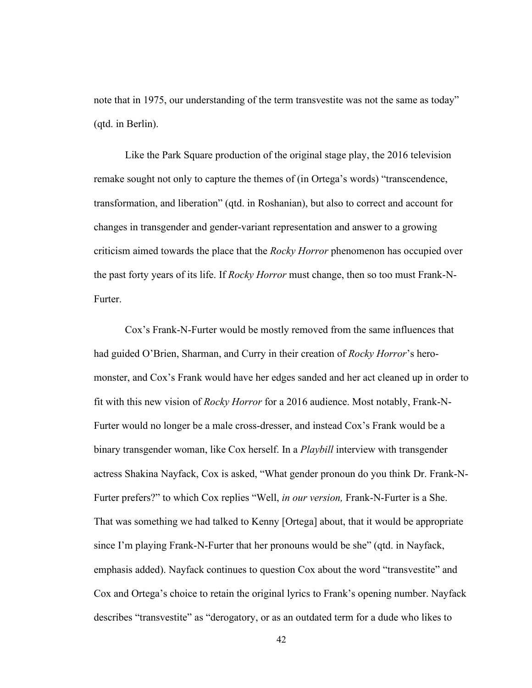note that in 1975, our understanding of the term transvestite was not the same as today" (qtd. in Berlin).

Like the Park Square production of the original stage play, the 2016 television remake sought not only to capture the themes of (in Ortega's words) "transcendence, transformation, and liberation" (qtd. in Roshanian), but also to correct and account for changes in transgender and gender-variant representation and answer to a growing criticism aimed towards the place that the *Rocky Horror* phenomenon has occupied over the past forty years of its life. If *Rocky Horror* must change, then so too must Frank-N-Furter.

Cox's Frank-N-Furter would be mostly removed from the same influences that had guided O'Brien, Sharman, and Curry in their creation of *Rocky Horror*'s heromonster, and Cox's Frank would have her edges sanded and her act cleaned up in order to fit with this new vision of *Rocky Horror* for a 2016 audience. Most notably, Frank-N-Furter would no longer be a male cross-dresser, and instead Cox's Frank would be a binary transgender woman, like Cox herself. In a *Playbill* interview with transgender actress Shakina Nayfack, Cox is asked, "What gender pronoun do you think Dr. Frank-N-Furter prefers?" to which Cox replies "Well, *in our version,* Frank-N-Furter is a She. That was something we had talked to Kenny [Ortega] about, that it would be appropriate since I'm playing Frank-N-Furter that her pronouns would be she" (qtd. in Nayfack, emphasis added). Nayfack continues to question Cox about the word "transvestite" and Cox and Ortega's choice to retain the original lyrics to Frank's opening number. Nayfack describes "transvestite" as "derogatory, or as an outdated term for a dude who likes to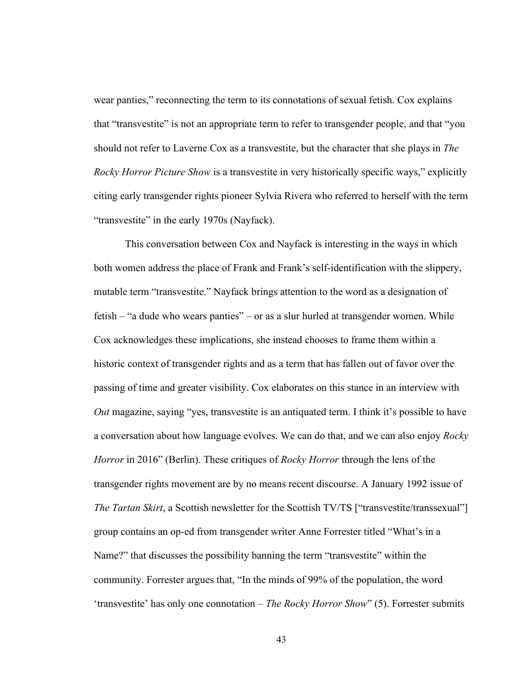wear panties," reconnecting the term to its connotations of sexual fetish. Cox explains that "transvestite" is not an appropriate term to refer to transgender people, and that "you should not refer to Laverne Cox as a transvestite, but the character that she plays in *The Rocky Horror Picture Show* is a transvestite in very historically specific ways," explicitly citing early transgender rights pioneer Sylvia Rivera who referred to herself with the term "transvestite" in the early 1970s (Nayfack).

This conversation between Cox and Nayfack is interesting in the ways in which both women address the place of Frank and Frank's self-identification with the slippery, mutable term "transvestite." Nayfack brings attention to the word as a designation of fetish – "a dude who wears panties" – or as a slur hurled at transgender women. While Cox acknowledges these implications, she instead chooses to frame them within a historic context of transgender rights and as a term that has fallen out of favor over the passing of time and greater visibility. Cox elaborates on this stance in an interview with *Out* magazine, saying "yes, transvestite is an antiquated term. I think it's possible to have a conversation about how language evolves. We can do that, and we can also enjoy *Rocky Horror* in 2016" (Berlin). These critiques of *Rocky Horror* through the lens of the transgender rights movement are by no means recent discourse. A January 1992 issue of *The Tartan Skirt*, a Scottish newsletter for the Scottish TV/TS ["transvestite/transsexual"] group contains an op-ed from transgender writer Anne Forrester titled "What's in a Name?" that discusses the possibility banning the term "transvestite" within the community. Forrester argues that, "In the minds of 99% of the population, the word 'transvestite' has only one connotation – *The Rocky Horror Show*" (5). Forrester submits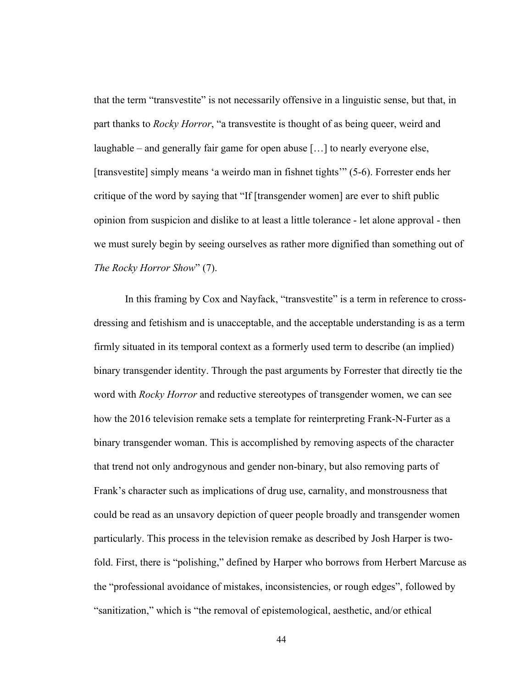that the term "transvestite" is not necessarily offensive in a linguistic sense, but that, in part thanks to *Rocky Horror*, "a transvestite is thought of as being queer, weird and laughable – and generally fair game for open abuse […] to nearly everyone else, [transvestite] simply means 'a weirdo man in fishnet tights'" (5-6). Forrester ends her critique of the word by saying that "If [transgender women] are ever to shift public opinion from suspicion and dislike to at least a little tolerance - let alone approval - then we must surely begin by seeing ourselves as rather more dignified than something out of *The Rocky Horror Show*" (7).

In this framing by Cox and Nayfack, "transvestite" is a term in reference to crossdressing and fetishism and is unacceptable, and the acceptable understanding is as a term firmly situated in its temporal context as a formerly used term to describe (an implied) binary transgender identity. Through the past arguments by Forrester that directly tie the word with *Rocky Horror* and reductive stereotypes of transgender women, we can see how the 2016 television remake sets a template for reinterpreting Frank-N-Furter as a binary transgender woman. This is accomplished by removing aspects of the character that trend not only androgynous and gender non-binary, but also removing parts of Frank's character such as implications of drug use, carnality, and monstrousness that could be read as an unsavory depiction of queer people broadly and transgender women particularly. This process in the television remake as described by Josh Harper is twofold. First, there is "polishing," defined by Harper who borrows from Herbert Marcuse as the "professional avoidance of mistakes, inconsistencies, or rough edges", followed by "sanitization," which is "the removal of epistemological, aesthetic, and/or ethical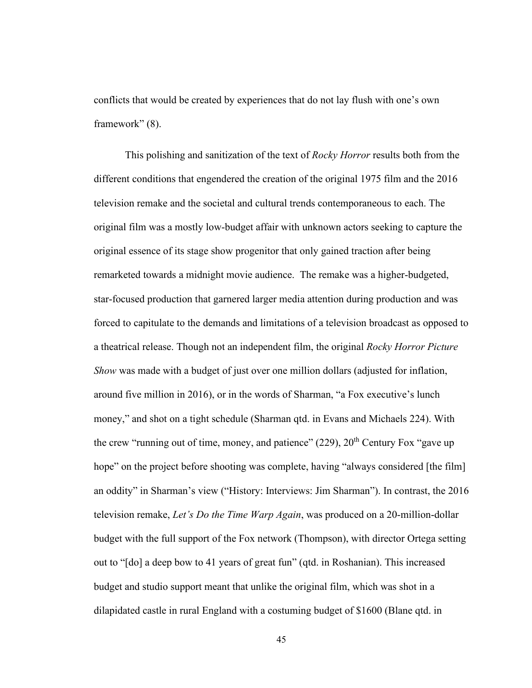conflicts that would be created by experiences that do not lay flush with one's own framework" (8).

This polishing and sanitization of the text of *Rocky Horror* results both from the different conditions that engendered the creation of the original 1975 film and the 2016 television remake and the societal and cultural trends contemporaneous to each. The original film was a mostly low-budget affair with unknown actors seeking to capture the original essence of its stage show progenitor that only gained traction after being remarketed towards a midnight movie audience. The remake was a higher-budgeted, star-focused production that garnered larger media attention during production and was forced to capitulate to the demands and limitations of a television broadcast as opposed to a theatrical release. Though not an independent film, the original *Rocky Horror Picture Show* was made with a budget of just over one million dollars (adjusted for inflation, around five million in 2016), or in the words of Sharman, "a Fox executive's lunch money," and shot on a tight schedule (Sharman qtd. in Evans and Michaels 224). With the crew "running out of time, money, and patience"  $(229)$ ,  $20<sup>th</sup>$  Century Fox "gave up hope" on the project before shooting was complete, having "always considered [the film] an oddity" in Sharman's view ("History: Interviews: Jim Sharman"). In contrast, the 2016 television remake, *Let's Do the Time Warp Again*, was produced on a 20-million-dollar budget with the full support of the Fox network (Thompson), with director Ortega setting out to "[do] a deep bow to 41 years of great fun" (qtd. in Roshanian). This increased budget and studio support meant that unlike the original film, which was shot in a dilapidated castle in rural England with a costuming budget of \$1600 (Blane qtd. in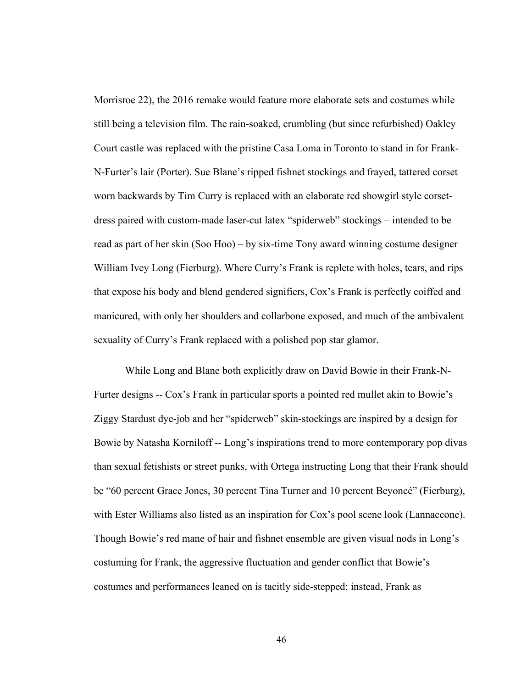Morrisroe 22), the 2016 remake would feature more elaborate sets and costumes while still being a television film. The rain-soaked, crumbling (but since refurbished) Oakley Court castle was replaced with the pristine Casa Loma in Toronto to stand in for Frank-N-Furter's lair (Porter). Sue Blane's ripped fishnet stockings and frayed, tattered corset worn backwards by Tim Curry is replaced with an elaborate red showgirl style corsetdress paired with custom-made laser-cut latex "spiderweb" stockings – intended to be read as part of her skin (Soo Hoo) – by six-time Tony award winning costume designer William Ivey Long (Fierburg). Where Curry's Frank is replete with holes, tears, and rips that expose his body and blend gendered signifiers, Cox's Frank is perfectly coiffed and manicured, with only her shoulders and collarbone exposed, and much of the ambivalent sexuality of Curry's Frank replaced with a polished pop star glamor.

While Long and Blane both explicitly draw on David Bowie in their Frank-N-Furter designs -- Cox's Frank in particular sports a pointed red mullet akin to Bowie's Ziggy Stardust dye-job and her "spiderweb" skin-stockings are inspired by a design for Bowie by Natasha Korniloff -- Long's inspirations trend to more contemporary pop divas than sexual fetishists or street punks, with Ortega instructing Long that their Frank should be "60 percent Grace Jones, 30 percent Tina Turner and 10 percent Beyoncé" (Fierburg), with Ester Williams also listed as an inspiration for Cox's pool scene look (Lannaccone). Though Bowie's red mane of hair and fishnet ensemble are given visual nods in Long's costuming for Frank, the aggressive fluctuation and gender conflict that Bowie's costumes and performances leaned on is tacitly side-stepped; instead, Frank as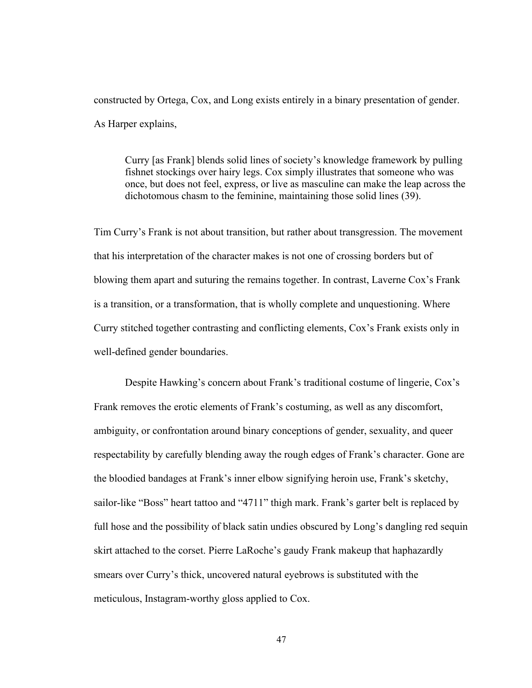constructed by Ortega, Cox, and Long exists entirely in a binary presentation of gender. As Harper explains,

Curry [as Frank] blends solid lines of society's knowledge framework by pulling fishnet stockings over hairy legs. Cox simply illustrates that someone who was once, but does not feel, express, or live as masculine can make the leap across the dichotomous chasm to the feminine, maintaining those solid lines (39).

Tim Curry's Frank is not about transition, but rather about transgression. The movement that his interpretation of the character makes is not one of crossing borders but of blowing them apart and suturing the remains together. In contrast, Laverne Cox's Frank is a transition, or a transformation, that is wholly complete and unquestioning. Where Curry stitched together contrasting and conflicting elements, Cox's Frank exists only in well-defined gender boundaries.

Despite Hawking's concern about Frank's traditional costume of lingerie, Cox's Frank removes the erotic elements of Frank's costuming, as well as any discomfort, ambiguity, or confrontation around binary conceptions of gender, sexuality, and queer respectability by carefully blending away the rough edges of Frank's character. Gone are the bloodied bandages at Frank's inner elbow signifying heroin use, Frank's sketchy, sailor-like "Boss" heart tattoo and "4711" thigh mark. Frank's garter belt is replaced by full hose and the possibility of black satin undies obscured by Long's dangling red sequin skirt attached to the corset. Pierre LaRoche's gaudy Frank makeup that haphazardly smears over Curry's thick, uncovered natural eyebrows is substituted with the meticulous, Instagram-worthy gloss applied to Cox.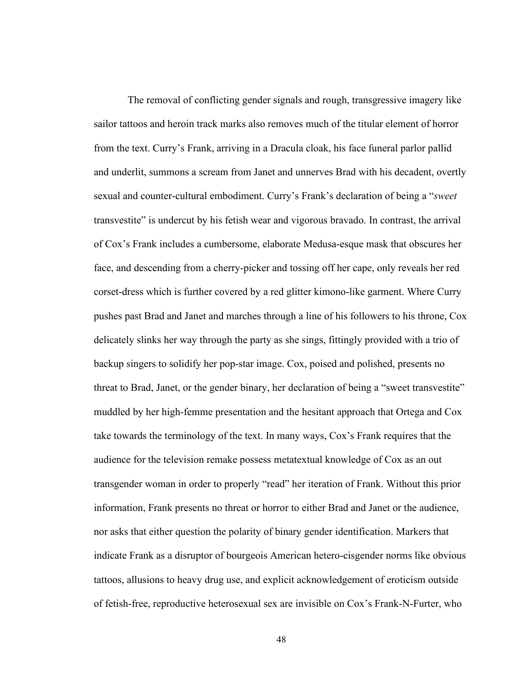The removal of conflicting gender signals and rough, transgressive imagery like sailor tattoos and heroin track marks also removes much of the titular element of horror from the text. Curry's Frank, arriving in a Dracula cloak, his face funeral parlor pallid and underlit, summons a scream from Janet and unnerves Brad with his decadent, overtly sexual and counter-cultural embodiment. Curry's Frank's declaration of being a "*sweet*  transvestite" is undercut by his fetish wear and vigorous bravado. In contrast, the arrival of Cox's Frank includes a cumbersome, elaborate Medusa-esque mask that obscures her face, and descending from a cherry-picker and tossing off her cape, only reveals her red corset-dress which is further covered by a red glitter kimono-like garment. Where Curry pushes past Brad and Janet and marches through a line of his followers to his throne, Cox delicately slinks her way through the party as she sings, fittingly provided with a trio of backup singers to solidify her pop-star image. Cox, poised and polished, presents no threat to Brad, Janet, or the gender binary, her declaration of being a "sweet transvestite" muddled by her high-femme presentation and the hesitant approach that Ortega and Cox take towards the terminology of the text. In many ways, Cox's Frank requires that the audience for the television remake possess metatextual knowledge of Cox as an out transgender woman in order to properly "read" her iteration of Frank. Without this prior information, Frank presents no threat or horror to either Brad and Janet or the audience, nor asks that either question the polarity of binary gender identification. Markers that indicate Frank as a disruptor of bourgeois American hetero-cisgender norms like obvious tattoos, allusions to heavy drug use, and explicit acknowledgement of eroticism outside of fetish-free, reproductive heterosexual sex are invisible on Cox's Frank-N-Furter, who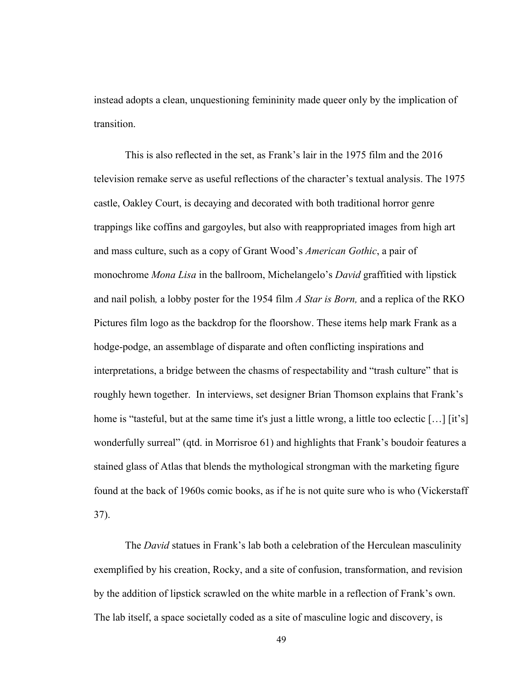instead adopts a clean, unquestioning femininity made queer only by the implication of transition.

This is also reflected in the set, as Frank's lair in the 1975 film and the 2016 television remake serve as useful reflections of the character's textual analysis. The 1975 castle, Oakley Court, is decaying and decorated with both traditional horror genre trappings like coffins and gargoyles, but also with reappropriated images from high art and mass culture, such as a copy of Grant Wood's *American Gothic*, a pair of monochrome *Mona Lisa* in the ballroom, Michelangelo's *David* graffitied with lipstick and nail polish*,* a lobby poster for the 1954 film *A Star is Born,* and a replica of the RKO Pictures film logo as the backdrop for the floorshow. These items help mark Frank as a hodge-podge, an assemblage of disparate and often conflicting inspirations and interpretations, a bridge between the chasms of respectability and "trash culture" that is roughly hewn together. In interviews, set designer Brian Thomson explains that Frank's home is "tasteful, but at the same time it's just a little wrong, a little too eclectic [...] [it's] wonderfully surreal" (qtd. in Morrisroe 61) and highlights that Frank's boudoir features a stained glass of Atlas that blends the mythological strongman with the marketing figure found at the back of 1960s comic books, as if he is not quite sure who is who (Vickerstaff 37).

The *David* statues in Frank's lab both a celebration of the Herculean masculinity exemplified by his creation, Rocky, and a site of confusion, transformation, and revision by the addition of lipstick scrawled on the white marble in a reflection of Frank's own. The lab itself, a space societally coded as a site of masculine logic and discovery, is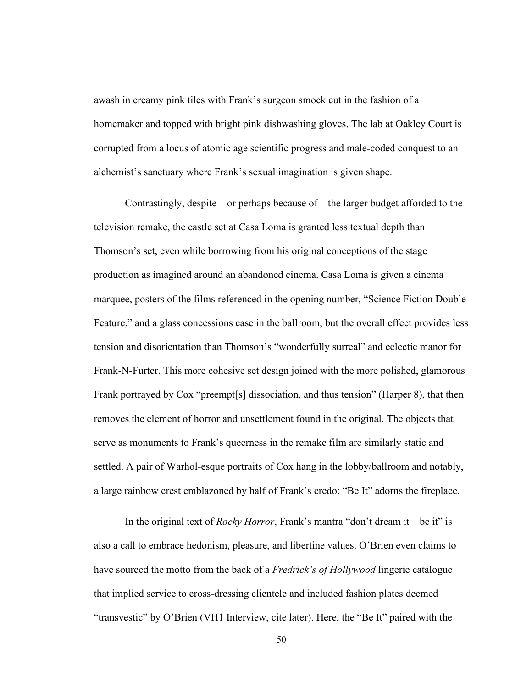awash in creamy pink tiles with Frank's surgeon smock cut in the fashion of a homemaker and topped with bright pink dishwashing gloves. The lab at Oakley Court is corrupted from a locus of atomic age scientific progress and male-coded conquest to an alchemist's sanctuary where Frank's sexual imagination is given shape.

Contrastingly, despite – or perhaps because of – the larger budget afforded to the television remake, the castle set at Casa Loma is granted less textual depth than Thomson's set, even while borrowing from his original conceptions of the stage production as imagined around an abandoned cinema. Casa Loma is given a cinema marquee, posters of the films referenced in the opening number, "Science Fiction Double Feature," and a glass concessions case in the ballroom, but the overall effect provides less tension and disorientation than Thomson's "wonderfully surreal" and eclectic manor for Frank-N-Furter. This more cohesive set design joined with the more polished, glamorous Frank portrayed by Cox "preempt[s] dissociation, and thus tension" (Harper 8), that then removes the element of horror and unsettlement found in the original. The objects that serve as monuments to Frank's queerness in the remake film are similarly static and settled. A pair of Warhol-esque portraits of Cox hang in the lobby/ballroom and notably, a large rainbow crest emblazoned by half of Frank's credo: "Be It" adorns the fireplace.

In the original text of *Rocky Horror*, Frank's mantra "don't dream it – be it" is also a call to embrace hedonism, pleasure, and libertine values. O'Brien even claims to have sourced the motto from the back of a *Fredrick's of Hollywood* lingerie catalogue that implied service to cross-dressing clientele and included fashion plates deemed "transvestic" by O'Brien (VH1 Interview, cite later). Here, the "Be It" paired with the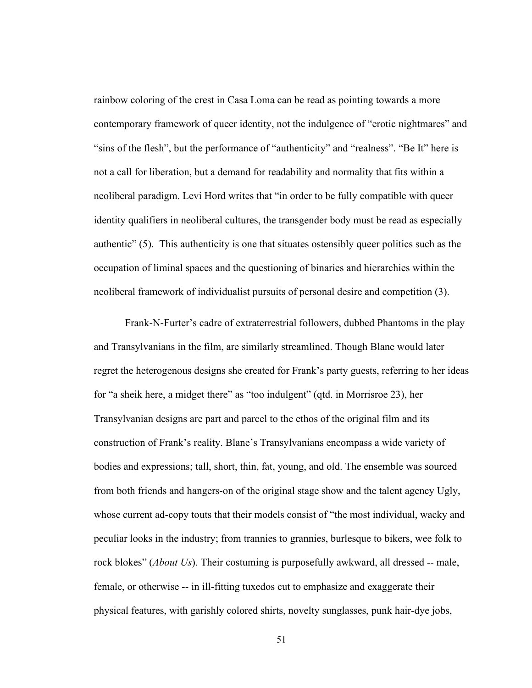rainbow coloring of the crest in Casa Loma can be read as pointing towards a more contemporary framework of queer identity, not the indulgence of "erotic nightmares" and "sins of the flesh", but the performance of "authenticity" and "realness". "Be It" here is not a call for liberation, but a demand for readability and normality that fits within a neoliberal paradigm. Levi Hord writes that "in order to be fully compatible with queer identity qualifiers in neoliberal cultures, the transgender body must be read as especially authentic" (5). This authenticity is one that situates ostensibly queer politics such as the occupation of liminal spaces and the questioning of binaries and hierarchies within the neoliberal framework of individualist pursuits of personal desire and competition (3).

Frank-N-Furter's cadre of extraterrestrial followers, dubbed Phantoms in the play and Transylvanians in the film, are similarly streamlined. Though Blane would later regret the heterogenous designs she created for Frank's party guests, referring to her ideas for "a sheik here, a midget there" as "too indulgent" (qtd. in Morrisroe 23), her Transylvanian designs are part and parcel to the ethos of the original film and its construction of Frank's reality. Blane's Transylvanians encompass a wide variety of bodies and expressions; tall, short, thin, fat, young, and old. The ensemble was sourced from both friends and hangers-on of the original stage show and the talent agency Ugly, whose current ad-copy touts that their models consist of "the most individual, wacky and peculiar looks in the industry; from trannies to grannies, burlesque to bikers, wee folk to rock blokes" (*About Us*). Their costuming is purposefully awkward, all dressed -- male, female, or otherwise -- in ill-fitting tuxedos cut to emphasize and exaggerate their physical features, with garishly colored shirts, novelty sunglasses, punk hair-dye jobs,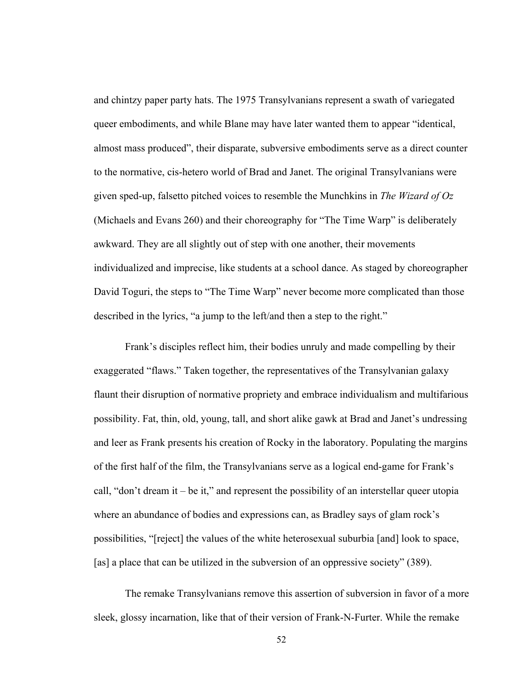and chintzy paper party hats. The 1975 Transylvanians represent a swath of variegated queer embodiments, and while Blane may have later wanted them to appear "identical, almost mass produced", their disparate, subversive embodiments serve as a direct counter to the normative, cis-hetero world of Brad and Janet. The original Transylvanians were given sped-up, falsetto pitched voices to resemble the Munchkins in *The Wizard of Oz* (Michaels and Evans 260) and their choreography for "The Time Warp" is deliberately awkward. They are all slightly out of step with one another, their movements individualized and imprecise, like students at a school dance. As staged by choreographer David Toguri, the steps to "The Time Warp" never become more complicated than those described in the lyrics, "a jump to the left/and then a step to the right."

Frank's disciples reflect him, their bodies unruly and made compelling by their exaggerated "flaws." Taken together, the representatives of the Transylvanian galaxy flaunt their disruption of normative propriety and embrace individualism and multifarious possibility. Fat, thin, old, young, tall, and short alike gawk at Brad and Janet's undressing and leer as Frank presents his creation of Rocky in the laboratory. Populating the margins of the first half of the film, the Transylvanians serve as a logical end-game for Frank's call, "don't dream it – be it," and represent the possibility of an interstellar queer utopia where an abundance of bodies and expressions can, as Bradley says of glam rock's possibilities, "[reject] the values of the white heterosexual suburbia [and] look to space, [as] a place that can be utilized in the subversion of an oppressive society" (389).

The remake Transylvanians remove this assertion of subversion in favor of a more sleek, glossy incarnation, like that of their version of Frank-N-Furter. While the remake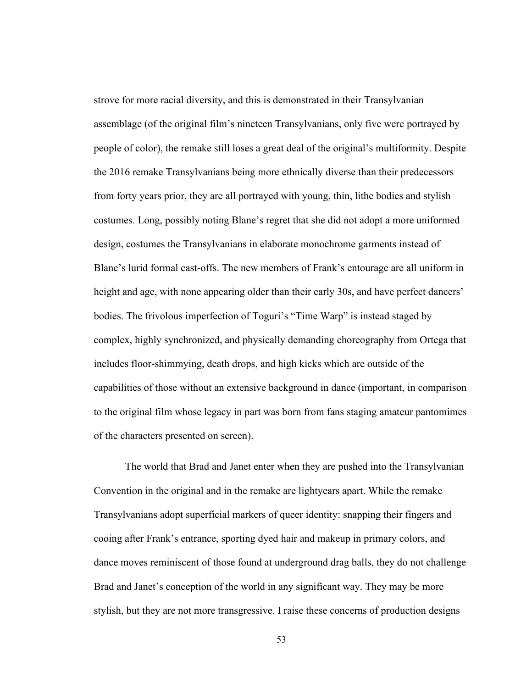strove for more racial diversity, and this is demonstrated in their Transylvanian assemblage (of the original film's nineteen Transylvanians, only five were portrayed by people of color), the remake still loses a great deal of the original's multiformity. Despite the 2016 remake Transylvanians being more ethnically diverse than their predecessors from forty years prior, they are all portrayed with young, thin, lithe bodies and stylish costumes. Long, possibly noting Blane's regret that she did not adopt a more uniformed design, costumes the Transylvanians in elaborate monochrome garments instead of Blane's lurid formal cast-offs. The new members of Frank's entourage are all uniform in height and age, with none appearing older than their early 30s, and have perfect dancers' bodies. The frivolous imperfection of Toguri's "Time Warp" is instead staged by complex, highly synchronized, and physically demanding choreography from Ortega that includes floor-shimmying, death drops, and high kicks which are outside of the capabilities of those without an extensive background in dance (important, in comparison to the original film whose legacy in part was born from fans staging amateur pantomimes of the characters presented on screen).

The world that Brad and Janet enter when they are pushed into the Transylvanian Convention in the original and in the remake are lightyears apart. While the remake Transylvanians adopt superficial markers of queer identity: snapping their fingers and cooing after Frank's entrance, sporting dyed hair and makeup in primary colors, and dance moves reminiscent of those found at underground drag balls, they do not challenge Brad and Janet's conception of the world in any significant way. They may be more stylish, but they are not more transgressive. I raise these concerns of production designs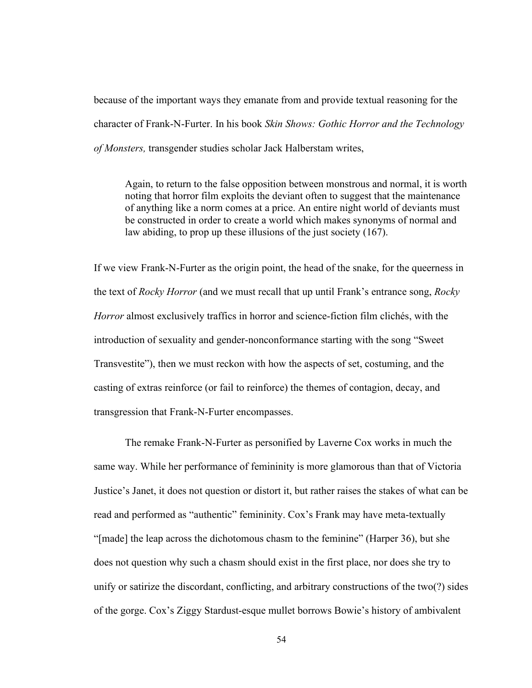because of the important ways they emanate from and provide textual reasoning for the character of Frank-N-Furter. In his book *Skin Shows: Gothic Horror and the Technology of Monsters,* transgender studies scholar Jack Halberstam writes,

Again, to return to the false opposition between monstrous and normal, it is worth noting that horror film exploits the deviant often to suggest that the maintenance of anything like a norm comes at a price. An entire night world of deviants must be constructed in order to create a world which makes synonyms of normal and law abiding, to prop up these illusions of the just society (167).

If we view Frank-N-Furter as the origin point, the head of the snake, for the queerness in the text of *Rocky Horror* (and we must recall that up until Frank's entrance song, *Rocky Horror* almost exclusively traffics in horror and science-fiction film clichés, with the introduction of sexuality and gender-nonconformance starting with the song "Sweet Transvestite"), then we must reckon with how the aspects of set, costuming, and the casting of extras reinforce (or fail to reinforce) the themes of contagion, decay, and transgression that Frank-N-Furter encompasses.

The remake Frank-N-Furter as personified by Laverne Cox works in much the same way. While her performance of femininity is more glamorous than that of Victoria Justice's Janet, it does not question or distort it, but rather raises the stakes of what can be read and performed as "authentic" femininity. Cox's Frank may have meta-textually "[made] the leap across the dichotomous chasm to the feminine" (Harper 36), but she does not question why such a chasm should exist in the first place, nor does she try to unify or satirize the discordant, conflicting, and arbitrary constructions of the two(?) sides of the gorge. Cox's Ziggy Stardust-esque mullet borrows Bowie's history of ambivalent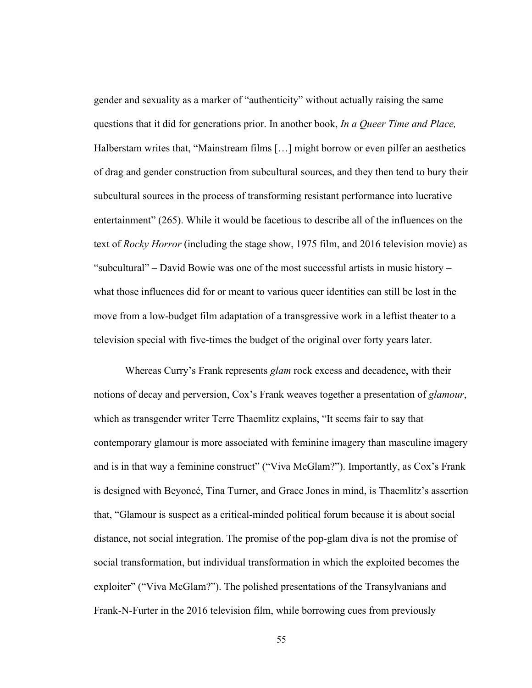gender and sexuality as a marker of "authenticity" without actually raising the same questions that it did for generations prior. In another book, *In a Queer Time and Place,*  Halberstam writes that, "Mainstream films […] might borrow or even pilfer an aesthetics of drag and gender construction from subcultural sources, and they then tend to bury their subcultural sources in the process of transforming resistant performance into lucrative entertainment" (265). While it would be facetious to describe all of the influences on the text of *Rocky Horror* (including the stage show, 1975 film, and 2016 television movie) as "subcultural" – David Bowie was one of the most successful artists in music history – what those influences did for or meant to various queer identities can still be lost in the move from a low-budget film adaptation of a transgressive work in a leftist theater to a television special with five-times the budget of the original over forty years later.

Whereas Curry's Frank represents *glam* rock excess and decadence, with their notions of decay and perversion, Cox's Frank weaves together a presentation of *glamour*, which as transgender writer Terre Thaemlitz explains, "It seems fair to say that contemporary glamour is more associated with feminine imagery than masculine imagery and is in that way a feminine construct" ("Viva McGlam?"). Importantly, as Cox's Frank is designed with Beyoncé, Tina Turner, and Grace Jones in mind, is Thaemlitz's assertion that, "Glamour is suspect as a critical-minded political forum because it is about social distance, not social integration. The promise of the pop-glam diva is not the promise of social transformation, but individual transformation in which the exploited becomes the exploiter" ("Viva McGlam?"). The polished presentations of the Transylvanians and Frank-N-Furter in the 2016 television film, while borrowing cues from previously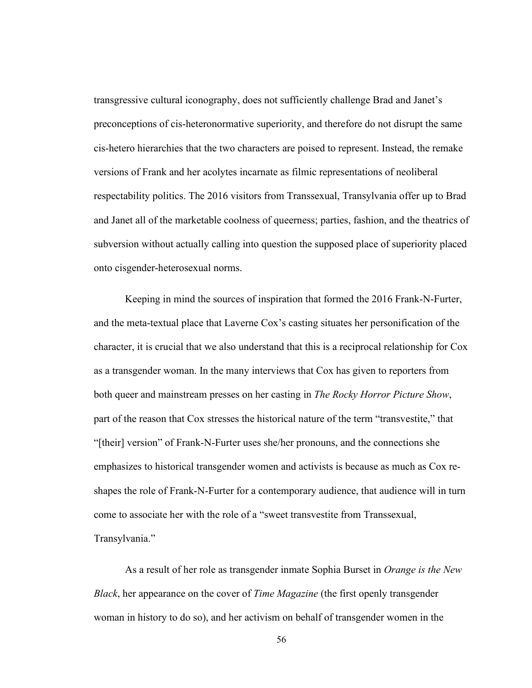transgressive cultural iconography, does not sufficiently challenge Brad and Janet's preconceptions of cis-heteronormative superiority, and therefore do not disrupt the same cis-hetero hierarchies that the two characters are poised to represent. Instead, the remake versions of Frank and her acolytes incarnate as filmic representations of neoliberal respectability politics. The 2016 visitors from Transsexual, Transylvania offer up to Brad and Janet all of the marketable coolness of queerness; parties, fashion, and the theatrics of subversion without actually calling into question the supposed place of superiority placed onto cisgender-heterosexual norms.

Keeping in mind the sources of inspiration that formed the 2016 Frank-N-Furter, and the meta-textual place that Laverne Cox's casting situates her personification of the character, it is crucial that we also understand that this is a reciprocal relationship for Cox as a transgender woman. In the many interviews that Cox has given to reporters from both queer and mainstream presses on her casting in *The Rocky Horror Picture Show*, part of the reason that Cox stresses the historical nature of the term "transvestite," that "[their] version" of Frank-N-Furter uses she/her pronouns, and the connections she emphasizes to historical transgender women and activists is because as much as Cox reshapes the role of Frank-N-Furter for a contemporary audience, that audience will in turn come to associate her with the role of a "sweet transvestite from Transsexual, Transylvania."

As a result of her role as transgender inmate Sophia Burset in *Orange is the New Black*, her appearance on the cover of *Time Magazine* (the first openly transgender woman in history to do so), and her activism on behalf of transgender women in the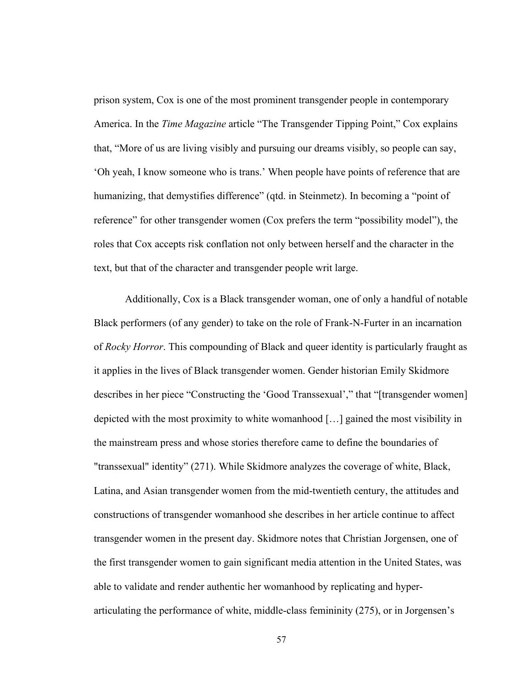prison system, Cox is one of the most prominent transgender people in contemporary America. In the *Time Magazine* article "The Transgender Tipping Point," Cox explains that, "More of us are living visibly and pursuing our dreams visibly, so people can say, 'Oh yeah, I know someone who is trans.' When people have points of reference that are humanizing, that demystifies difference" (qtd. in Steinmetz). In becoming a "point of reference" for other transgender women (Cox prefers the term "possibility model"), the roles that Cox accepts risk conflation not only between herself and the character in the text, but that of the character and transgender people writ large.

Additionally, Cox is a Black transgender woman, one of only a handful of notable Black performers (of any gender) to take on the role of Frank-N-Furter in an incarnation of *Rocky Horror*. This compounding of Black and queer identity is particularly fraught as it applies in the lives of Black transgender women. Gender historian Emily Skidmore describes in her piece "Constructing the 'Good Transsexual'," that "[transgender women] depicted with the most proximity to white womanhood […] gained the most visibility in the mainstream press and whose stories therefore came to define the boundaries of "transsexual" identity" (271). While Skidmore analyzes the coverage of white, Black, Latina, and Asian transgender women from the mid-twentieth century, the attitudes and constructions of transgender womanhood she describes in her article continue to affect transgender women in the present day. Skidmore notes that Christian Jorgensen, one of the first transgender women to gain significant media attention in the United States, was able to validate and render authentic her womanhood by replicating and hyperarticulating the performance of white, middle-class femininity (275), or in Jorgensen's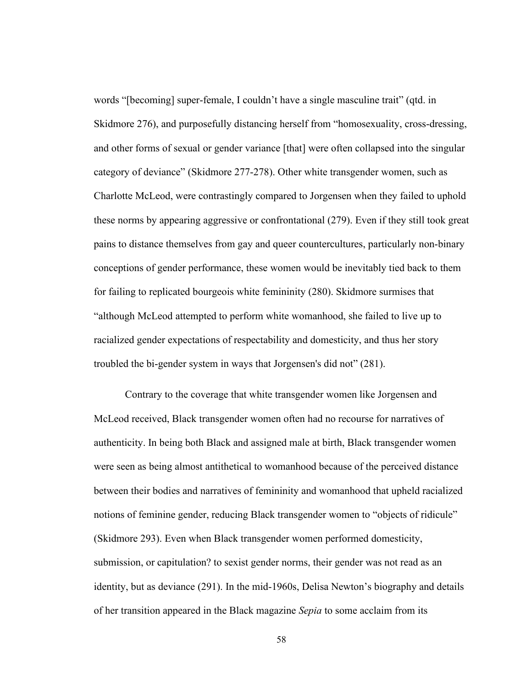words "[becoming] super-female, I couldn't have a single masculine trait" (qtd. in Skidmore 276), and purposefully distancing herself from "homosexuality, cross-dressing, and other forms of sexual or gender variance [that] were often collapsed into the singular category of deviance" (Skidmore 277-278). Other white transgender women, such as Charlotte McLeod, were contrastingly compared to Jorgensen when they failed to uphold these norms by appearing aggressive or confrontational (279). Even if they still took great pains to distance themselves from gay and queer countercultures, particularly non-binary conceptions of gender performance, these women would be inevitably tied back to them for failing to replicated bourgeois white femininity (280). Skidmore surmises that "although McLeod attempted to perform white womanhood, she failed to live up to racialized gender expectations of respectability and domesticity, and thus her story troubled the bi-gender system in ways that Jorgensen's did not" (281).

Contrary to the coverage that white transgender women like Jorgensen and McLeod received, Black transgender women often had no recourse for narratives of authenticity. In being both Black and assigned male at birth, Black transgender women were seen as being almost antithetical to womanhood because of the perceived distance between their bodies and narratives of femininity and womanhood that upheld racialized notions of feminine gender, reducing Black transgender women to "objects of ridicule" (Skidmore 293). Even when Black transgender women performed domesticity, submission, or capitulation? to sexist gender norms, their gender was not read as an identity, but as deviance (291). In the mid-1960s, Delisa Newton's biography and details of her transition appeared in the Black magazine *Sepia* to some acclaim from its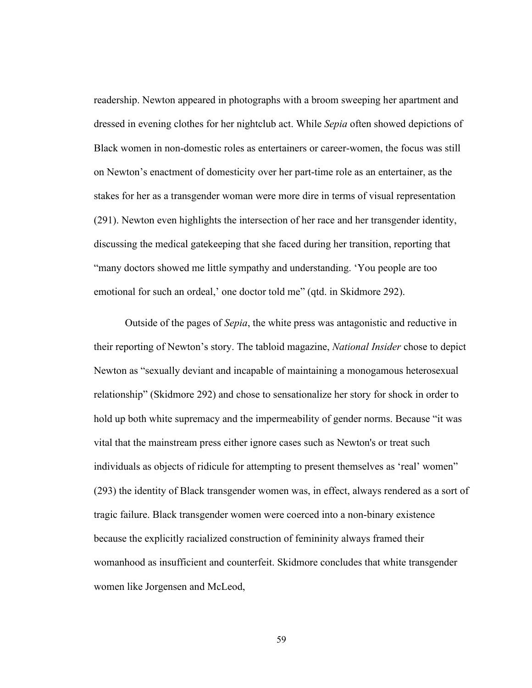readership. Newton appeared in photographs with a broom sweeping her apartment and dressed in evening clothes for her nightclub act. While *Sepia* often showed depictions of Black women in non-domestic roles as entertainers or career-women, the focus was still on Newton's enactment of domesticity over her part-time role as an entertainer, as the stakes for her as a transgender woman were more dire in terms of visual representation (291). Newton even highlights the intersection of her race and her transgender identity, discussing the medical gatekeeping that she faced during her transition, reporting that "many doctors showed me little sympathy and understanding. 'You people are too emotional for such an ordeal,' one doctor told me" (qtd. in Skidmore 292).

Outside of the pages of *Sepia*, the white press was antagonistic and reductive in their reporting of Newton's story. The tabloid magazine, *National Insider* chose to depict Newton as "sexually deviant and incapable of maintaining a monogamous heterosexual relationship" (Skidmore 292) and chose to sensationalize her story for shock in order to hold up both white supremacy and the impermeability of gender norms. Because "it was vital that the mainstream press either ignore cases such as Newton's or treat such individuals as objects of ridicule for attempting to present themselves as 'real' women" (293) the identity of Black transgender women was, in effect, always rendered as a sort of tragic failure. Black transgender women were coerced into a non-binary existence because the explicitly racialized construction of femininity always framed their womanhood as insufficient and counterfeit. Skidmore concludes that white transgender women like Jorgensen and McLeod,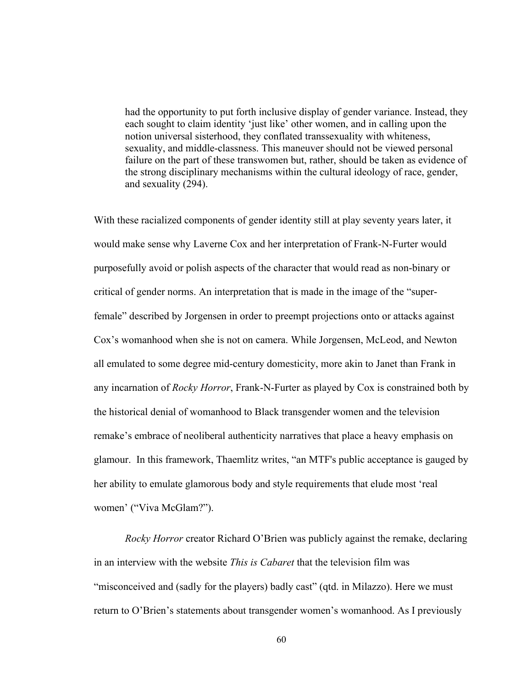had the opportunity to put forth inclusive display of gender variance. Instead, they each sought to claim identity 'just like' other women, and in calling upon the notion universal sisterhood, they conflated transsexuality with whiteness, sexuality, and middle-classness. This maneuver should not be viewed personal failure on the part of these transwomen but, rather, should be taken as evidence of the strong disciplinary mechanisms within the cultural ideology of race, gender, and sexuality (294).

With these racialized components of gender identity still at play seventy years later, it would make sense why Laverne Cox and her interpretation of Frank-N-Furter would purposefully avoid or polish aspects of the character that would read as non-binary or critical of gender norms. An interpretation that is made in the image of the "superfemale" described by Jorgensen in order to preempt projections onto or attacks against Cox's womanhood when she is not on camera. While Jorgensen, McLeod, and Newton all emulated to some degree mid-century domesticity, more akin to Janet than Frank in any incarnation of *Rocky Horror*, Frank-N-Furter as played by Cox is constrained both by the historical denial of womanhood to Black transgender women and the television remake's embrace of neoliberal authenticity narratives that place a heavy emphasis on glamour. In this framework, Thaemlitz writes, "an MTF's public acceptance is gauged by her ability to emulate glamorous body and style requirements that elude most 'real women' ("Viva McGlam?").

*Rocky Horror* creator Richard O'Brien was publicly against the remake, declaring in an interview with the website *This is Cabaret* that the television film was "misconceived and (sadly for the players) badly cast" (qtd. in Milazzo). Here we must return to O'Brien's statements about transgender women's womanhood. As I previously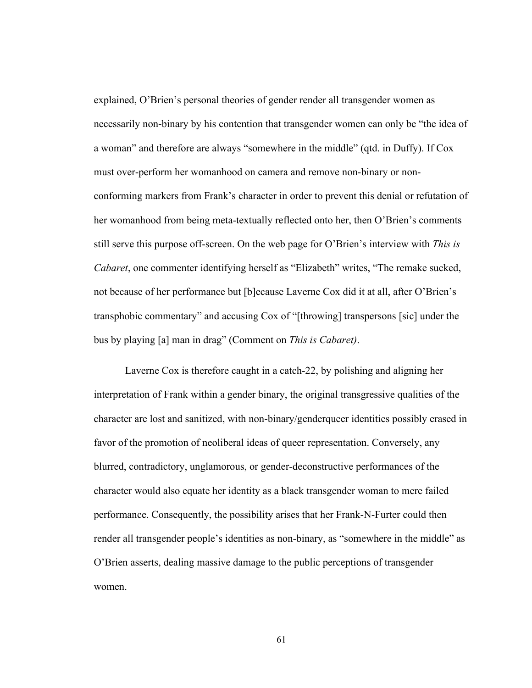explained, O'Brien's personal theories of gender render all transgender women as necessarily non-binary by his contention that transgender women can only be "the idea of a woman" and therefore are always "somewhere in the middle" (qtd. in Duffy). If Cox must over-perform her womanhood on camera and remove non-binary or nonconforming markers from Frank's character in order to prevent this denial or refutation of her womanhood from being meta-textually reflected onto her, then O'Brien's comments still serve this purpose off-screen. On the web page for O'Brien's interview with *This is Cabaret*, one commenter identifying herself as "Elizabeth" writes, "The remake sucked, not because of her performance but [b]ecause Laverne Cox did it at all, after O'Brien's transphobic commentary" and accusing Cox of "[throwing] transpersons [sic] under the bus by playing [a] man in drag" (Comment on *This is Cabaret)*.

Laverne Cox is therefore caught in a catch-22, by polishing and aligning her interpretation of Frank within a gender binary, the original transgressive qualities of the character are lost and sanitized, with non-binary/genderqueer identities possibly erased in favor of the promotion of neoliberal ideas of queer representation. Conversely, any blurred, contradictory, unglamorous, or gender-deconstructive performances of the character would also equate her identity as a black transgender woman to mere failed performance. Consequently, the possibility arises that her Frank-N-Furter could then render all transgender people's identities as non-binary, as "somewhere in the middle" as O'Brien asserts, dealing massive damage to the public perceptions of transgender women.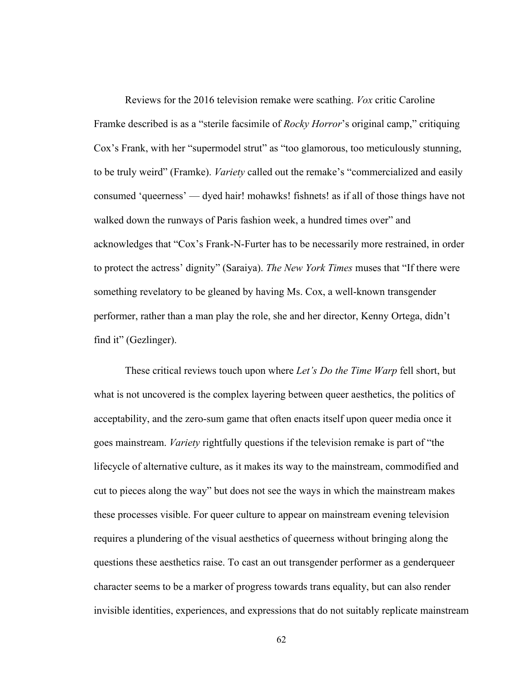Reviews for the 2016 television remake were scathing. *Vox* critic Caroline Framke described is as a "sterile facsimile of *Rocky Horror*'s original camp," critiquing Cox's Frank, with her "supermodel strut" as "too glamorous, too meticulously stunning, to be truly weird" (Framke). *Variety* called out the remake's "commercialized and easily consumed 'queerness' — dyed hair! mohawks! fishnets! as if all of those things have not walked down the runways of Paris fashion week, a hundred times over" and acknowledges that "Cox's Frank-N-Furter has to be necessarily more restrained, in order to protect the actress' dignity" (Saraiya). *The New York Times* muses that "If there were something revelatory to be gleaned by having Ms. Cox, a well-known transgender performer, rather than a man play the role, she and her director, Kenny Ortega, didn't find it" (Gezlinger).

These critical reviews touch upon where *Let's Do the Time Warp* fell short, but what is not uncovered is the complex layering between queer aesthetics, the politics of acceptability, and the zero-sum game that often enacts itself upon queer media once it goes mainstream. *Variety* rightfully questions if the television remake is part of "the lifecycle of alternative culture, as it makes its way to the mainstream, commodified and cut to pieces along the way" but does not see the ways in which the mainstream makes these processes visible. For queer culture to appear on mainstream evening television requires a plundering of the visual aesthetics of queerness without bringing along the questions these aesthetics raise. To cast an out transgender performer as a genderqueer character seems to be a marker of progress towards trans equality, but can also render invisible identities, experiences, and expressions that do not suitably replicate mainstream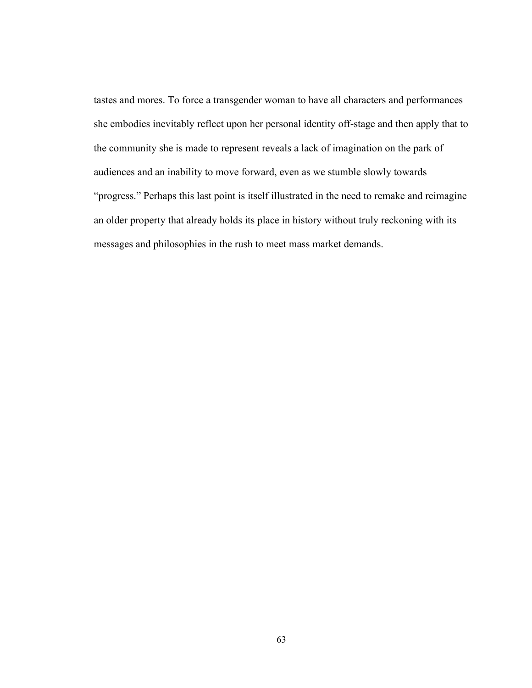tastes and mores. To force a transgender woman to have all characters and performances she embodies inevitably reflect upon her personal identity off-stage and then apply that to the community she is made to represent reveals a lack of imagination on the park of audiences and an inability to move forward, even as we stumble slowly towards "progress." Perhaps this last point is itself illustrated in the need to remake and reimagine an older property that already holds its place in history without truly reckoning with its messages and philosophies in the rush to meet mass market demands.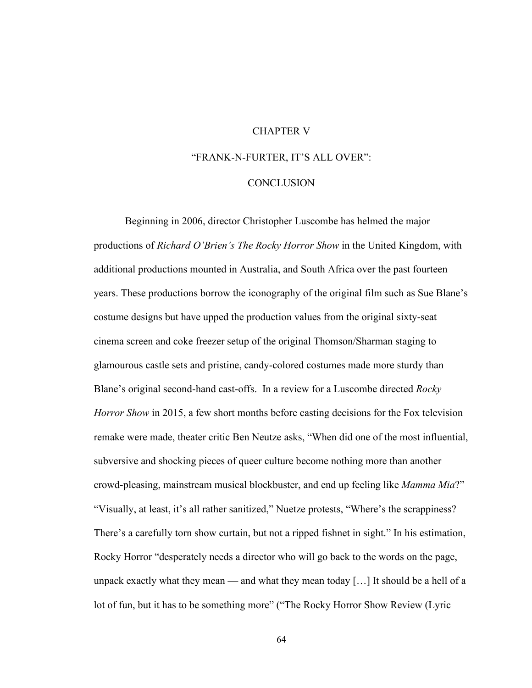## CHAPTER V

## "FRANK-N-FURTER, IT'S ALL OVER":

#### **CONCLUSION**

Beginning in 2006, director Christopher Luscombe has helmed the major productions of *Richard O'Brien's The Rocky Horror Show* in the United Kingdom, with additional productions mounted in Australia, and South Africa over the past fourteen years. These productions borrow the iconography of the original film such as Sue Blane's costume designs but have upped the production values from the original sixty-seat cinema screen and coke freezer setup of the original Thomson/Sharman staging to glamourous castle sets and pristine, candy-colored costumes made more sturdy than Blane's original second-hand cast-offs. In a review for a Luscombe directed *Rocky Horror Show* in 2015, a few short months before casting decisions for the Fox television remake were made, theater critic Ben Neutze asks, "When did one of the most influential, subversive and shocking pieces of queer culture become nothing more than another crowd-pleasing, mainstream musical blockbuster, and end up feeling like *Mamma Mia*?" "Visually, at least, it's all rather sanitized," Nuetze protests, "Where's the scrappiness? There's a carefully torn show curtain, but not a ripped fishnet in sight." In his estimation, Rocky Horror "desperately needs a director who will go back to the words on the page, unpack exactly what they mean — and what they mean today […] It should be a hell of a lot of fun, but it has to be something more" ("The Rocky Horror Show Review (Lyric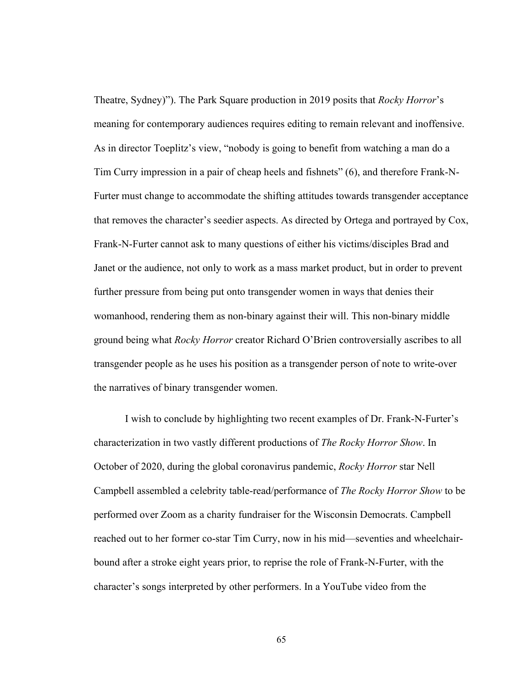Theatre, Sydney)"). The Park Square production in 2019 posits that *Rocky Horror*'s meaning for contemporary audiences requires editing to remain relevant and inoffensive. As in director Toeplitz's view, "nobody is going to benefit from watching a man do a Tim Curry impression in a pair of cheap heels and fishnets" (6), and therefore Frank-N-Furter must change to accommodate the shifting attitudes towards transgender acceptance that removes the character's seedier aspects. As directed by Ortega and portrayed by Cox, Frank-N-Furter cannot ask to many questions of either his victims/disciples Brad and Janet or the audience, not only to work as a mass market product, but in order to prevent further pressure from being put onto transgender women in ways that denies their womanhood, rendering them as non-binary against their will. This non-binary middle ground being what *Rocky Horror* creator Richard O'Brien controversially ascribes to all transgender people as he uses his position as a transgender person of note to write-over the narratives of binary transgender women.

I wish to conclude by highlighting two recent examples of Dr. Frank-N-Furter's characterization in two vastly different productions of *The Rocky Horror Show*. In October of 2020, during the global coronavirus pandemic, *Rocky Horror* star Nell Campbell assembled a celebrity table-read/performance of *The Rocky Horror Show* to be performed over Zoom as a charity fundraiser for the Wisconsin Democrats. Campbell reached out to her former co-star Tim Curry, now in his mid—seventies and wheelchairbound after a stroke eight years prior, to reprise the role of Frank-N-Furter, with the character's songs interpreted by other performers. In a YouTube video from the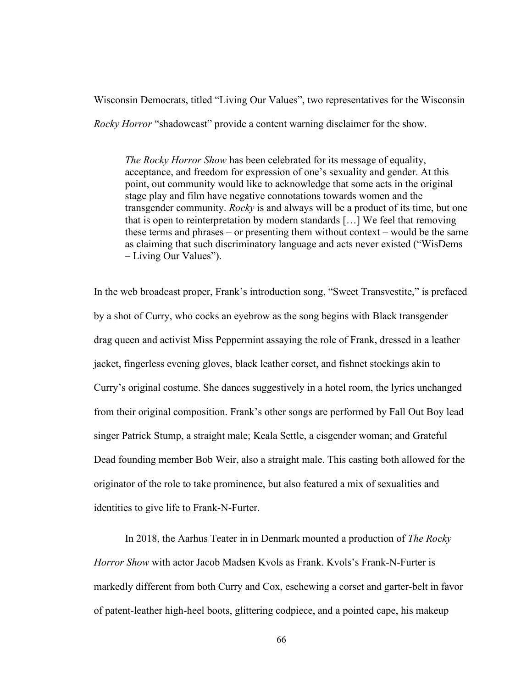Wisconsin Democrats, titled "Living Our Values", two representatives for the Wisconsin *Rocky Horror* "shadowcast" provide a content warning disclaimer for the show.

*The Rocky Horror Show* has been celebrated for its message of equality, acceptance, and freedom for expression of one's sexuality and gender. At this point, out community would like to acknowledge that some acts in the original stage play and film have negative connotations towards women and the transgender community. *Rocky* is and always will be a product of its time, but one that is open to reinterpretation by modern standards […] We feel that removing these terms and phrases – or presenting them without context – would be the same as claiming that such discriminatory language and acts never existed ("WisDems – Living Our Values").

In the web broadcast proper, Frank's introduction song, "Sweet Transvestite," is prefaced by a shot of Curry, who cocks an eyebrow as the song begins with Black transgender drag queen and activist Miss Peppermint assaying the role of Frank, dressed in a leather jacket, fingerless evening gloves, black leather corset, and fishnet stockings akin to Curry's original costume. She dances suggestively in a hotel room, the lyrics unchanged from their original composition. Frank's other songs are performed by Fall Out Boy lead singer Patrick Stump, a straight male; Keala Settle, a cisgender woman; and Grateful Dead founding member Bob Weir, also a straight male. This casting both allowed for the originator of the role to take prominence, but also featured a mix of sexualities and identities to give life to Frank-N-Furter.

In 2018, the Aarhus Teater in in Denmark mounted a production of *The Rocky Horror Show with actor Jacob Madsen Kvols as Frank. Kvols's Frank-N-Furter is* markedly different from both Curry and Cox, eschewing a corset and garter-belt in favor of patent-leather high-heel boots, glittering codpiece, and a pointed cape, his makeup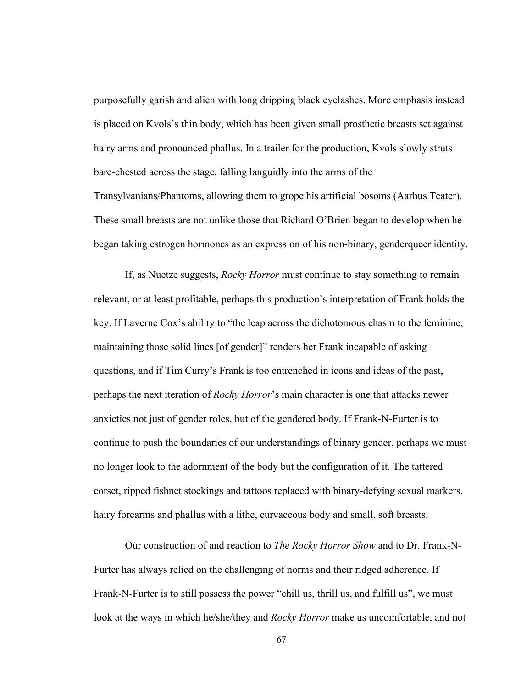purposefully garish and alien with long dripping black eyelashes. More emphasis instead is placed on Kvols's thin body, which has been given small prosthetic breasts set against hairy arms and pronounced phallus. In a trailer for the production, Kvols slowly struts bare-chested across the stage, falling languidly into the arms of the Transylvanians/Phantoms, allowing them to grope his artificial bosoms (Aarhus Teater). These small breasts are not unlike those that Richard O'Brien began to develop when he began taking estrogen hormones as an expression of his non-binary, genderqueer identity.

If, as Nuetze suggests, *Rocky Horror* must continue to stay something to remain relevant, or at least profitable, perhaps this production's interpretation of Frank holds the key. If Laverne Cox's ability to "the leap across the dichotomous chasm to the feminine, maintaining those solid lines [of gender]" renders her Frank incapable of asking questions, and if Tim Curry's Frank is too entrenched in icons and ideas of the past, perhaps the next iteration of *Rocky Horror*'s main character is one that attacks newer anxieties not just of gender roles, but of the gendered body. If Frank-N-Furter is to continue to push the boundaries of our understandings of binary gender, perhaps we must no longer look to the adornment of the body but the configuration of it. The tattered corset, ripped fishnet stockings and tattoos replaced with binary-defying sexual markers, hairy forearms and phallus with a lithe, curvaceous body and small, soft breasts.

Our construction of and reaction to *The Rocky Horror Show* and to Dr. Frank-N-Furter has always relied on the challenging of norms and their ridged adherence. If Frank-N-Furter is to still possess the power "chill us, thrill us, and fulfill us", we must look at the ways in which he/she/they and *Rocky Horror* make us uncomfortable, and not

67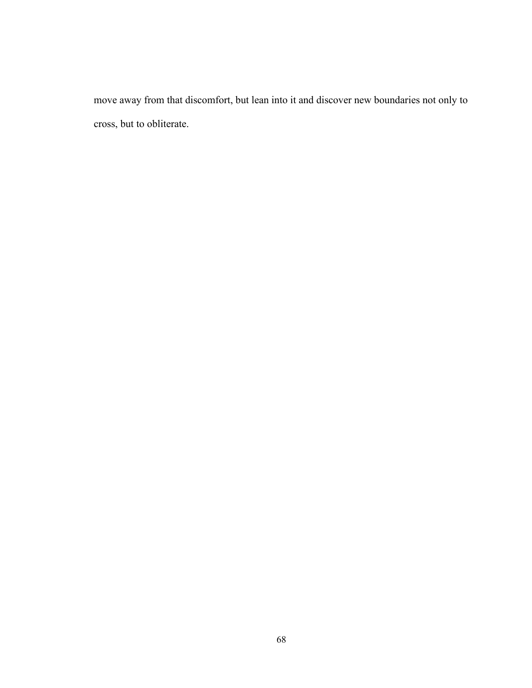move away from that discomfort, but lean into it and discover new boundaries not only to cross, but to obliterate.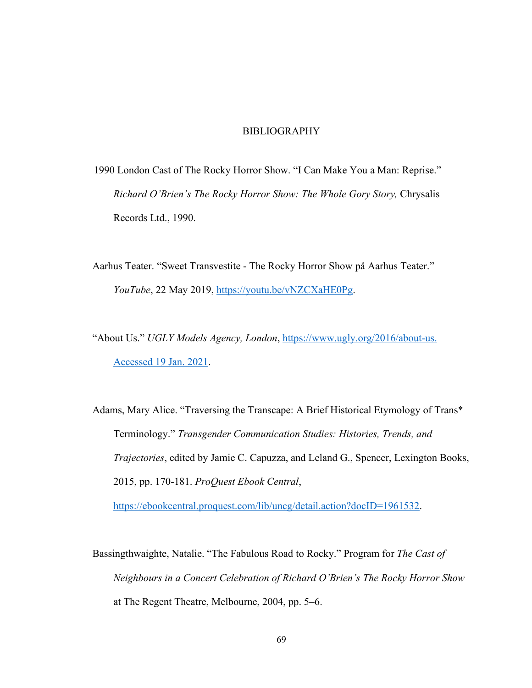## BIBLIOGRAPHY

1990 London Cast of The Rocky Horror Show. "I Can Make You a Man: Reprise." *Richard O'Brien's The Rocky Horror Show: The Whole Gory Story,* Chrysalis Records Ltd., 1990.

Aarhus Teater. "Sweet Transvestite - The Rocky Horror Show på Aarhus Teater." *YouTube*, 22 May 2019, [https://youtu.be/vNZCXaHE0Pg.](https://youtu.be/vNZCXaHE0Pg)

"About Us." *UGLY Models Agency, London*, [https://www.ugly.org/2016/about-us.](https://www.ugly.org/2016/about-us.%20Accessed%2019%20Jan.%202021)  [Accessed 19 Jan. 2021.](https://www.ugly.org/2016/about-us.%20Accessed%2019%20Jan.%202021)

Adams, Mary Alice. "Traversing the Transcape: A Brief Historical Etymology of Trans\* Terminology." *Transgender Communication Studies: Histories, Trends, and Trajectories*, edited by Jamie C. Capuzza, and Leland G., Spencer, Lexington Books, 2015, pp. 170-181. *ProQuest Ebook Central*,

[https://ebookcentral.proquest.com/lib/uncg/detail.action?docID=1961532.](https://ebookcentral.proquest.com/lib/uncg/detail.action?docID=1961532)

Bassingthwaighte, Natalie. "The Fabulous Road to Rocky." Program for *The Cast of Neighbours in a Concert Celebration of Richard O'Brien's The Rocky Horror Show* at The Regent Theatre, Melbourne, 2004, pp. 5–6.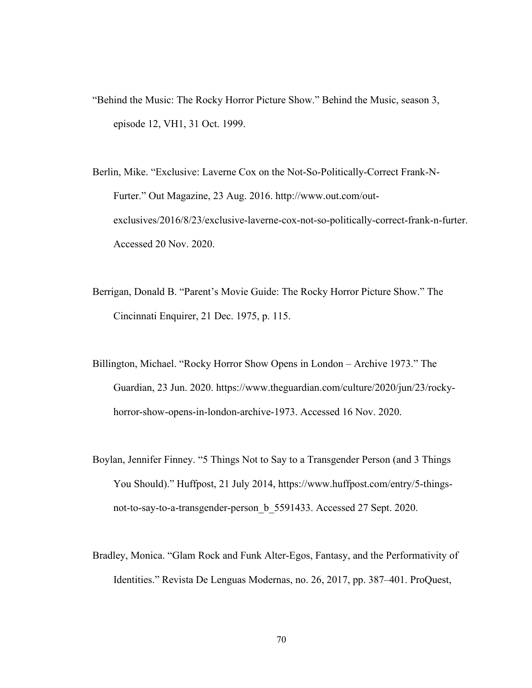- "Behind the Music: The Rocky Horror Picture Show." Behind the Music, season 3, episode 12, VH1, 31 Oct. 1999.
- Berlin, Mike. "Exclusive: Laverne Cox on the Not-So-Politically-Correct Frank-N-Furter." Out Magazine, 23 Aug. 2016. http://www.out.com/outexclusives/2016/8/23/exclusive-laverne-cox-not-so-politically-correct-frank-n-furter. Accessed 20 Nov. 2020.
- Berrigan, Donald B. "Parent's Movie Guide: The Rocky Horror Picture Show." The Cincinnati Enquirer, 21 Dec. 1975, p. 115.
- Billington, Michael. "Rocky Horror Show Opens in London Archive 1973." The Guardian, 23 Jun. 2020. https://www.theguardian.com/culture/2020/jun/23/rockyhorror-show-opens-in-london-archive-1973. Accessed 16 Nov. 2020.
- Boylan, Jennifer Finney. "5 Things Not to Say to a Transgender Person (and 3 Things You Should)." Huffpost, 21 July 2014, https://www.huffpost.com/entry/5-thingsnot-to-say-to-a-transgender-person\_b\_5591433. Accessed 27 Sept. 2020.
- Bradley, Monica. "Glam Rock and Funk Alter-Egos, Fantasy, and the Performativity of Identities." Revista De Lenguas Modernas, no. 26, 2017, pp. 387–401. ProQuest,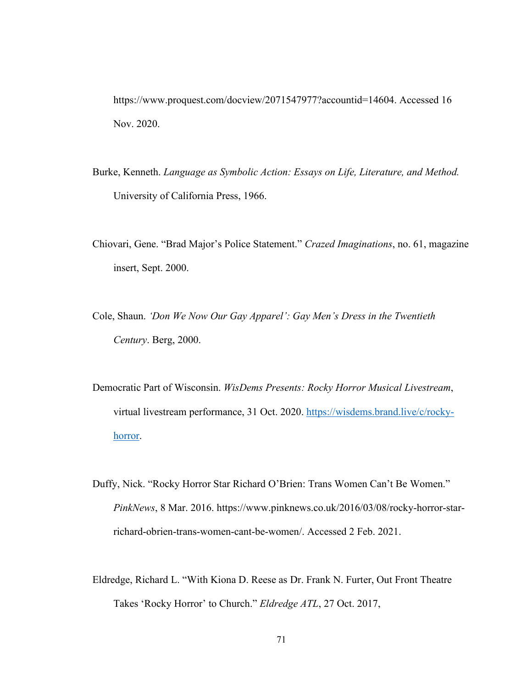https://www.proquest.com/docview/2071547977?accountid=14604. Accessed 16 Nov. 2020.

- Burke, Kenneth. *Language as Symbolic Action: Essays on Life, Literature, and Method.*  University of California Press, 1966.
- Chiovari, Gene. "Brad Major's Police Statement." *Crazed Imaginations*, no. 61, magazine insert, Sept. 2000.
- Cole, Shaun. *'Don We Now Our Gay Apparel': Gay Men's Dress in the Twentieth Century*. Berg, 2000.
- Democratic Part of Wisconsin. *WisDems Presents: Rocky Horror Musical Livestream*, virtual livestream performance, 31 Oct. 2020. [https://wisdems.brand.live/c/rocky](https://wisdems.brand.live/c/rocky-horror)[horror.](https://wisdems.brand.live/c/rocky-horror)
- Duffy, Nick. "Rocky Horror Star Richard O'Brien: Trans Women Can't Be Women." *PinkNews*, 8 Mar. 2016. https://www.pinknews.co.uk/2016/03/08/rocky-horror-starrichard-obrien-trans-women-cant-be-women/. Accessed 2 Feb. 2021.
- Eldredge, Richard L. "With Kiona D. Reese as Dr. Frank N. Furter, Out Front Theatre Takes 'Rocky Horror' to Church." *Eldredge ATL*, 27 Oct. 2017,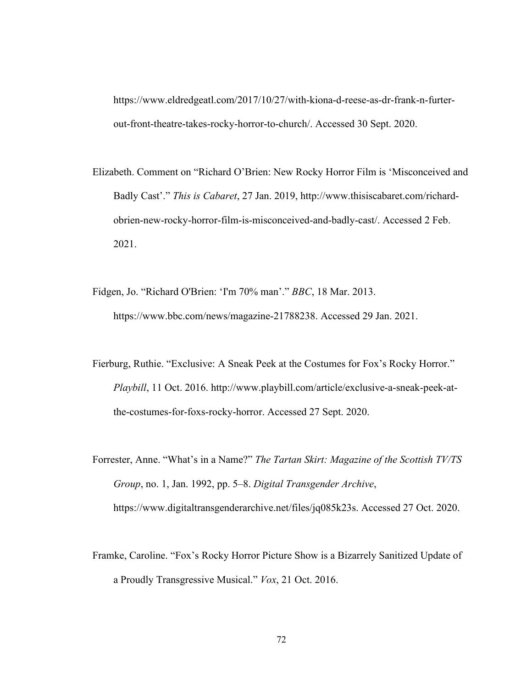https://www.eldredgeatl.com/2017/10/27/with-kiona-d-reese-as-dr-frank-n-furterout-front-theatre-takes-rocky-horror-to-church/. Accessed 30 Sept. 2020.

- Elizabeth. Comment on "Richard O'Brien: New Rocky Horror Film is 'Misconceived and Badly Cast'." *This is Cabaret*, 27 Jan. 2019, http://www.thisiscabaret.com/richardobrien-new-rocky-horror-film-is-misconceived-and-badly-cast/. Accessed 2 Feb. 2021.
- Fidgen, Jo. "Richard O'Brien: 'I'm 70% man'." *BBC*, 18 Mar. 2013. https://www.bbc.com/news/magazine-21788238. Accessed 29 Jan. 2021.
- Fierburg, Ruthie. "Exclusive: A Sneak Peek at the Costumes for Fox's Rocky Horror." *Playbill*, 11 Oct. 2016. http://www.playbill.com/article/exclusive-a-sneak-peek-atthe-costumes-for-foxs-rocky-horror. Accessed 27 Sept. 2020.
- Forrester, Anne. "What's in a Name?" *The Tartan Skirt: Magazine of the Scottish TV/TS Group*, no. 1, Jan. 1992, pp. 5–8. *Digital Transgender Archive*, https://www.digitaltransgenderarchive.net/files/jq085k23s. Accessed 27 Oct. 2020.
- Framke, Caroline. "Fox's Rocky Horror Picture Show is a Bizarrely Sanitized Update of a Proudly Transgressive Musical." *Vox*, 21 Oct. 2016.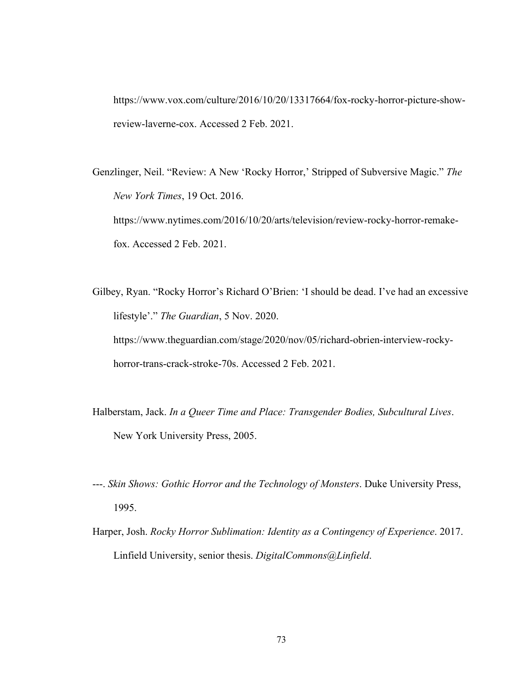https://www.vox.com/culture/2016/10/20/13317664/fox-rocky-horror-picture-showreview-laverne-cox. Accessed 2 Feb. 2021.

Genzlinger, Neil. "Review: A New 'Rocky Horror,' Stripped of Subversive Magic." *The New York Times*, 19 Oct. 2016. https://www.nytimes.com/2016/10/20/arts/television/review-rocky-horror-remakefox. Accessed 2 Feb. 2021.

Gilbey, Ryan. "Rocky Horror's Richard O'Brien: 'I should be dead. I've had an excessive lifestyle'." *The Guardian*, 5 Nov. 2020. https://www.theguardian.com/stage/2020/nov/05/richard-obrien-interview-rockyhorror-trans-crack-stroke-70s. Accessed 2 Feb. 2021.

- Halberstam, Jack. *In a Queer Time and Place: Transgender Bodies, Subcultural Lives*. New York University Press, 2005.
- ---. *Skin Shows: Gothic Horror and the Technology of Monsters*. Duke University Press, 1995.
- Harper, Josh. *Rocky Horror Sublimation: Identity as a Contingency of Experience*. 2017. Linfield University, senior thesis. *DigitalCommons@Linfield*.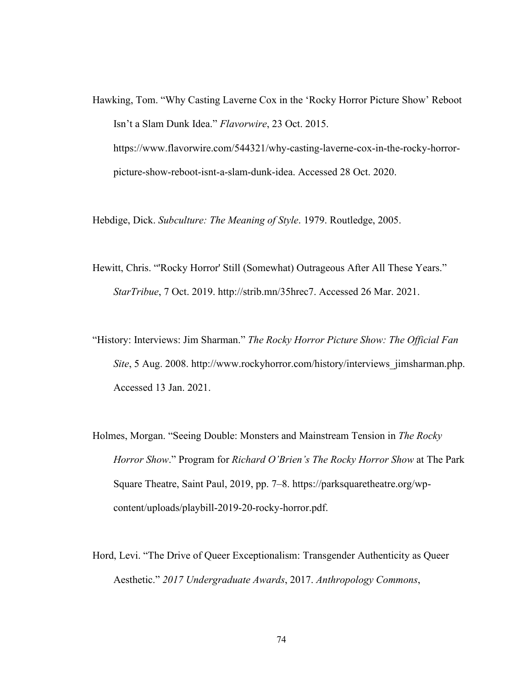Hawking, Tom. "Why Casting Laverne Cox in the 'Rocky Horror Picture Show' Reboot Isn't a Slam Dunk Idea." *Flavorwire*, 23 Oct. 2015. https://www.flavorwire.com/544321/why-casting-laverne-cox-in-the-rocky-horrorpicture-show-reboot-isnt-a-slam-dunk-idea. Accessed 28 Oct. 2020.

Hebdige, Dick. *Subculture: The Meaning of Style*. 1979. Routledge, 2005.

- Hewitt, Chris. "'Rocky Horror' Still (Somewhat) Outrageous After All These Years." *StarTribue*, 7 Oct. 2019. http://strib.mn/35hrec7. Accessed 26 Mar. 2021.
- "History: Interviews: Jim Sharman." *The Rocky Horror Picture Show: The Official Fan Site*, 5 Aug. 2008. http://www.rockyhorror.com/history/interviews\_jimsharman.php. Accessed 13 Jan. 2021.
- Holmes, Morgan. "Seeing Double: Monsters and Mainstream Tension in *The Rocky Horror Show*." Program for *Richard O'Brien's The Rocky Horror Show* at The Park Square Theatre, Saint Paul, 2019, pp. 7–8. https://parksquaretheatre.org/wpcontent/uploads/playbill-2019-20-rocky-horror.pdf.
- Hord, Levi. "The Drive of Queer Exceptionalism: Transgender Authenticity as Queer Aesthetic." *2017 Undergraduate Awards*, 2017. *Anthropology Commons*,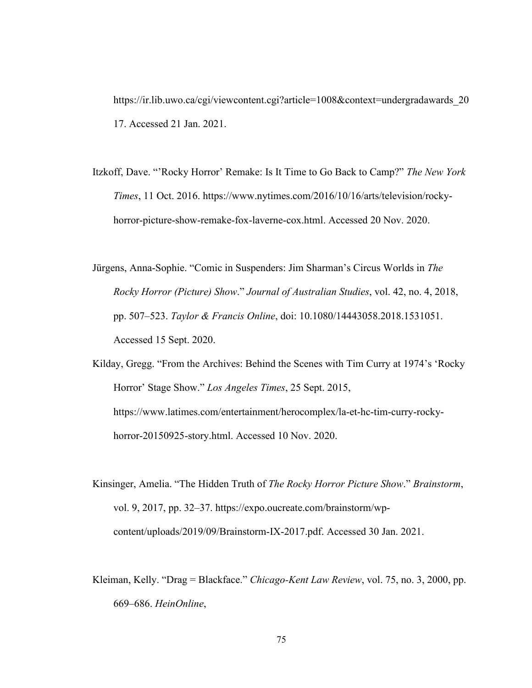https://ir.lib.uwo.ca/cgi/viewcontent.cgi?article=1008&context=undergradawards 20 17. Accessed 21 Jan. 2021.

- Itzkoff, Dave. "'Rocky Horror' Remake: Is It Time to Go Back to Camp?" *The New York Times*, 11 Oct. 2016. https://www.nytimes.com/2016/10/16/arts/television/rockyhorror-picture-show-remake-fox-laverne-cox.html. Accessed 20 Nov. 2020.
- Jürgens, Anna-Sophie. "Comic in Suspenders: Jim Sharman's Circus Worlds in *The Rocky Horror (Picture) Show*." *Journal of Australian Studies*, vol. 42, no. 4, 2018, pp. 507–523. *Taylor & Francis Online*, doi: 10.1080/14443058.2018.1531051. Accessed 15 Sept. 2020.

Kilday, Gregg. "From the Archives: Behind the Scenes with Tim Curry at 1974's 'Rocky Horror' Stage Show." *Los Angeles Times*, 25 Sept. 2015, https://www.latimes.com/entertainment/herocomplex/la-et-hc-tim-curry-rockyhorror-20150925-story.html. Accessed 10 Nov. 2020.

- Kinsinger, Amelia. "The Hidden Truth of *The Rocky Horror Picture Show*." *Brainstorm*, vol. 9, 2017, pp. 32–37. https://expo.oucreate.com/brainstorm/wpcontent/uploads/2019/09/Brainstorm-IX-2017.pdf. Accessed 30 Jan. 2021.
- Kleiman, Kelly. "Drag = Blackface." *Chicago-Kent Law Review*, vol. 75, no. 3, 2000, pp. 669–686. *HeinOnline*,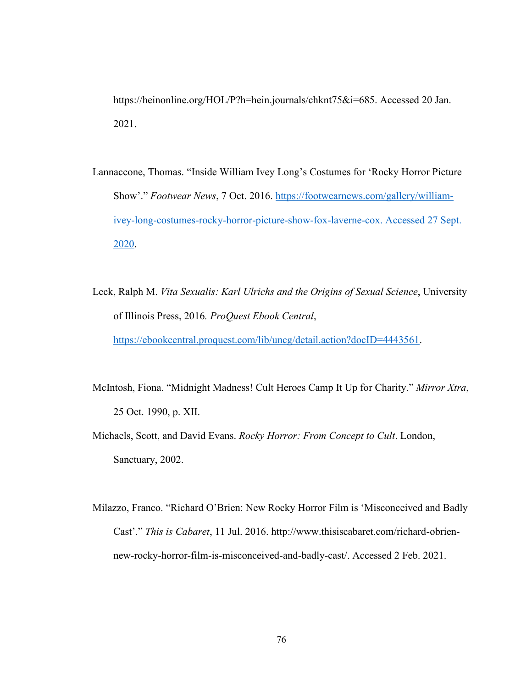https://heinonline.org/HOL/P?h=hein.journals/chknt75&i=685. Accessed 20 Jan. 2021.

- Lannaccone, Thomas. "Inside William Ivey Long's Costumes for 'Rocky Horror Picture Show'." *Footwear News*, 7 Oct. 2016. [https://footwearnews.com/gallery/william](https://footwearnews.com/gallery/william-ivey-long-costumes-rocky-horror-picture-show-fox-laverne-cox.%20Accessed%2027%20Sept.%202020)[ivey-long-costumes-rocky-horror-picture-show-fox-laverne-cox. Accessed 27 Sept.](https://footwearnews.com/gallery/william-ivey-long-costumes-rocky-horror-picture-show-fox-laverne-cox.%20Accessed%2027%20Sept.%202020)  [2020.](https://footwearnews.com/gallery/william-ivey-long-costumes-rocky-horror-picture-show-fox-laverne-cox.%20Accessed%2027%20Sept.%202020)
- Leck, Ralph M. *Vita Sexualis: Karl Ulrichs and the Origins of Sexual Science*, University of Illinois Press, 2016*. ProQuest Ebook Central*, [https://ebookcentral.proquest.com/lib/uncg/detail.action?docID=4443561.](https://ebookcentral.proquest.com/lib/uncg/detail.action?docID=4443561)
- McIntosh, Fiona. "Midnight Madness! Cult Heroes Camp It Up for Charity." *Mirror Xtra*, 25 Oct. 1990, p. XII.
- Michaels, Scott, and David Evans. *Rocky Horror: From Concept to Cult*. London, Sanctuary, 2002.
- Milazzo, Franco. "Richard O'Brien: New Rocky Horror Film is 'Misconceived and Badly Cast'." *This is Cabaret*, 11 Jul. 2016. http://www.thisiscabaret.com/richard-obriennew-rocky-horror-film-is-misconceived-and-badly-cast/. Accessed 2 Feb. 2021.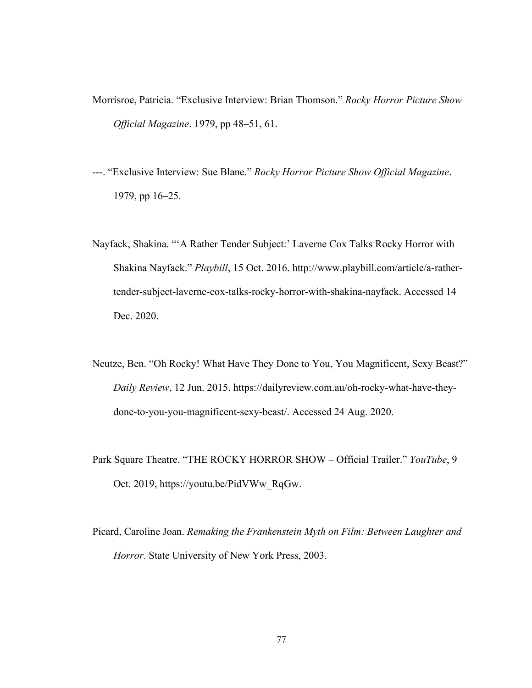- Morrisroe, Patricia. "Exclusive Interview: Brian Thomson." *Rocky Horror Picture Show Official Magazine*. 1979, pp 48–51, 61.
- ---. "Exclusive Interview: Sue Blane." *Rocky Horror Picture Show Official Magazine*. 1979, pp 16–25.
- Nayfack, Shakina. "'A Rather Tender Subject:' Laverne Cox Talks Rocky Horror with Shakina Nayfack." *Playbill*, 15 Oct. 2016. http://www.playbill.com/article/a-rathertender-subject-laverne-cox-talks-rocky-horror-with-shakina-nayfack. Accessed 14 Dec. 2020.
- Neutze, Ben. "Oh Rocky! What Have They Done to You, You Magnificent, Sexy Beast?" *Daily Review*, 12 Jun. 2015. https://dailyreview.com.au/oh-rocky-what-have-theydone-to-you-you-magnificent-sexy-beast/. Accessed 24 Aug. 2020.
- Park Square Theatre. "THE ROCKY HORROR SHOW Official Trailer." *YouTube*, 9 Oct. 2019, https://youtu.be/PidVWw\_RqGw.
- Picard, Caroline Joan. *Remaking the Frankenstein Myth on Film: Between Laughter and Horror*. State University of New York Press, 2003.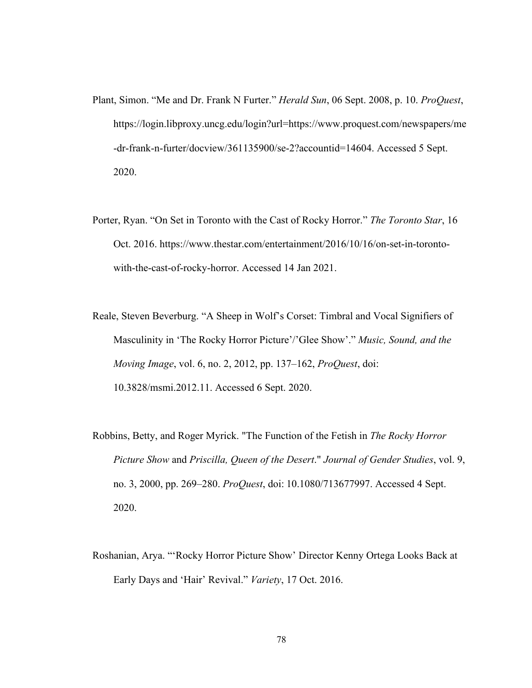- Plant, Simon. "Me and Dr. Frank N Furter." *Herald Sun*, 06 Sept. 2008, p. 10. *ProQuest*, https://login.libproxy.uncg.edu/login?url=https://www.proquest.com/newspapers/me -dr-frank-n-furter/docview/361135900/se-2?accountid=14604. Accessed 5 Sept. 2020.
- Porter, Ryan. "On Set in Toronto with the Cast of Rocky Horror." *The Toronto Star*, 16 Oct. 2016. https://www.thestar.com/entertainment/2016/10/16/on-set-in-torontowith-the-cast-of-rocky-horror. Accessed 14 Jan 2021.
- Reale, Steven Beverburg. "A Sheep in Wolf's Corset: Timbral and Vocal Signifiers of Masculinity in 'The Rocky Horror Picture'/'Glee Show'." *Music, Sound, and the Moving Image*, vol. 6, no. 2, 2012, pp. 137–162, *ProQuest*, doi: 10.3828/msmi.2012.11. Accessed 6 Sept. 2020.
- Robbins, Betty, and Roger Myrick. "The Function of the Fetish in *The Rocky Horror Picture Show* and *Priscilla, Queen of the Desert*." *Journal of Gender Studies*, vol. 9, no. 3, 2000, pp. 269–280. *ProQuest*, doi: 10.1080/713677997. Accessed 4 Sept. 2020.
- Roshanian, Arya. "'Rocky Horror Picture Show' Director Kenny Ortega Looks Back at Early Days and 'Hair' Revival." *Variety*, 17 Oct. 2016.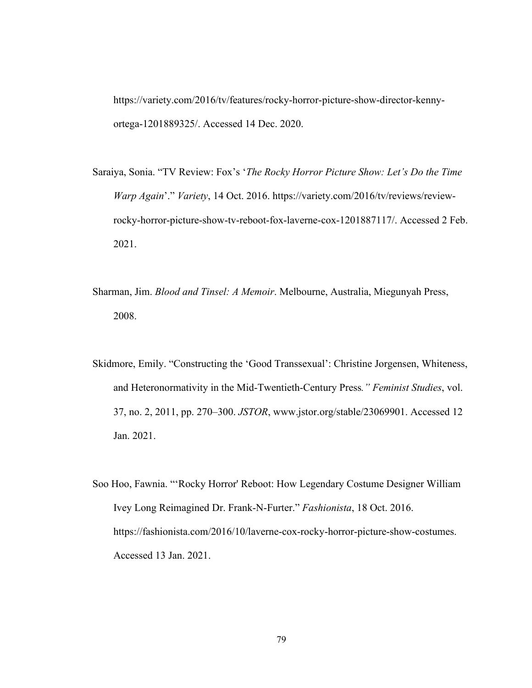https://variety.com/2016/tv/features/rocky-horror-picture-show-director-kennyortega-1201889325/. Accessed 14 Dec. 2020.

- Saraiya, Sonia. "TV Review: Fox's '*The Rocky Horror Picture Show: Let's Do the Time Warp Again*'." *Variety*, 14 Oct. 2016. https://variety.com/2016/tv/reviews/reviewrocky-horror-picture-show-tv-reboot-fox-laverne-cox-1201887117/. Accessed 2 Feb. 2021.
- Sharman, Jim. *Blood and Tinsel: A Memoir*. Melbourne, Australia, Miegunyah Press, 2008.
- Skidmore, Emily. "Constructing the 'Good Transsexual': Christine Jorgensen, Whiteness, and Heteronormativity in the Mid-Twentieth-Century Press*." Feminist Studies*, vol. 37, no. 2, 2011, pp. 270–300. *JSTOR*, www.jstor.org/stable/23069901. Accessed 12 Jan. 2021.
- Soo Hoo, Fawnia. "'Rocky Horror' Reboot: How Legendary Costume Designer William Ivey Long Reimagined Dr. Frank-N-Furter." *Fashionista*, 18 Oct. 2016. https://fashionista.com/2016/10/laverne-cox-rocky-horror-picture-show-costumes. Accessed 13 Jan. 2021.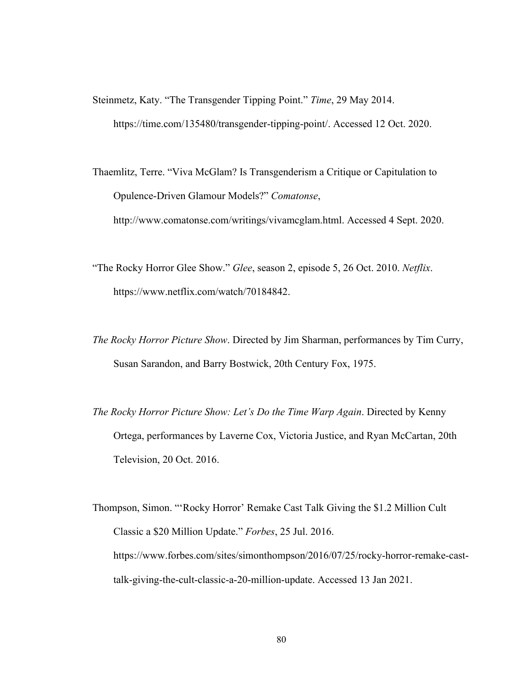Steinmetz, Katy. "The Transgender Tipping Point." *Time*, 29 May 2014. https://time.com/135480/transgender-tipping-point/. Accessed 12 Oct. 2020.

Thaemlitz, Terre. "Viva McGlam? Is Transgenderism a Critique or Capitulation to Opulence-Driven Glamour Models?" *Comatonse*, http://www.comatonse.com/writings/vivamcglam.html. Accessed 4 Sept. 2020.

"The Rocky Horror Glee Show." *Glee*, season 2, episode 5, 26 Oct. 2010. *Netflix*. https://www.netflix.com/watch/70184842.

*The Rocky Horror Picture Show*. Directed by Jim Sharman, performances by Tim Curry, Susan Sarandon, and Barry Bostwick, 20th Century Fox, 1975.

*The Rocky Horror Picture Show: Let's Do the Time Warp Again*. Directed by Kenny Ortega, performances by Laverne Cox, Victoria Justice, and Ryan McCartan, 20th Television, 20 Oct. 2016.

Thompson, Simon. "'Rocky Horror' Remake Cast Talk Giving the \$1.2 Million Cult Classic a \$20 Million Update." *Forbes*, 25 Jul. 2016. https://www.forbes.com/sites/simonthompson/2016/07/25/rocky-horror-remake-casttalk-giving-the-cult-classic-a-20-million-update. Accessed 13 Jan 2021.